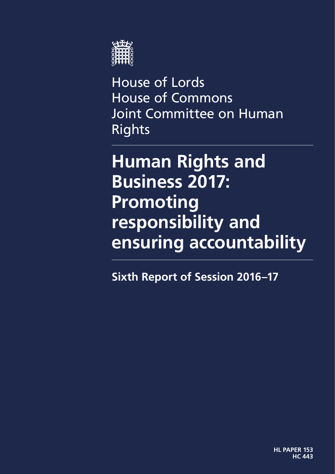

House of Lords House of Commons Joint Committee on Human **Rights** 

# **Human Rights and Business 2017: Promoting responsibility and ensuring accountability**

**Sixth Report of Session 2016–17**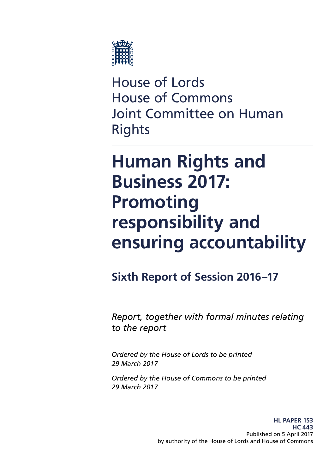

House of Lords House of Commons Joint Committee on Human Rights

# **Human Rights and Business 2017: Promoting responsibility and ensuring accountability**

### **Sixth Report of Session 2016–17**

*Report, together with formal minutes relating to the report*

*Ordered by the House of Lords to be printed 29 March 2017*

*Ordered by the House of Commons to be printed 29 March 2017*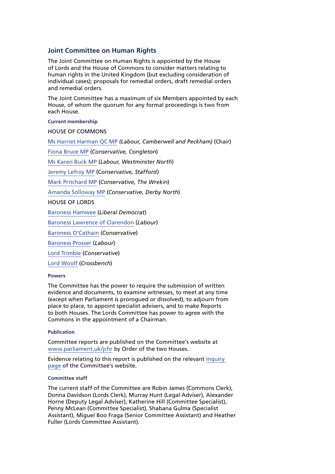#### **Joint Committee on Human Rights**

The Joint Committee on Human Rights is appointed by the House of Lords and the House of Commons to consider matters relating to human rights in the United Kingdom (but excluding consideration of individual cases); proposals for remedial orders, draft remedial orders and remedial orders.

The Joint Committee has a maximum of six Members appointed by each House, of whom the quorum for any formal proceedings is two from each House.

**Current membership**

HOUSE OF COMMONS

[Ms Harriet Harman QC MP](http://www.parliament.uk/biographies/commons/ms-harriet-harman/150) *(Labour, Camberwell and Peckham)* (Chair)

[Fiona Bruce MP](http://www.parliament.uk/biographies/commons/fiona-bruce/3958) (*Conservative, Congleton*)

[Ms Karen Buck MP](http://www.parliament.uk/biographies/commons/ms-karen-buck/199) (*Labour, Westminster North*)

[Jeremy Lefroy MP](http://www.parliament.uk/biographies/commons/jeremy-lefroy/4109) (C*onservative, Stafford*)

[Mark Pritchard MP](http://www.parliament.uk/biographies/commons/mark-pritchard/1576) (*Conservative, The Wrekin*)

[Amanda Solloway MP](http://www.parliament.uk/biographies/commons/amanda-solloway/4372) (*Conservative, Derby North*)

HOUSE OF LORDS

[Baroness Hamwee](http://www.parliament.uk/biographies/lords/baroness-hamwee/2652) (*Liberal Democrat*)

[Baroness Lawrence of Clarendon](http://www.parliament.uk/biographies/lords/baroness-lawrence-of-clarendon/4290) (*Labour*)

[Baroness O'Cathain](http://www.parliament.uk/biographies/lords/baroness-o) (*Conservative*)

[Baroness Prosser](http://www.parliament.uk/biographies/lords/baroness-prosser/3684) (*Labour*)

[Lord Trimble](http://www.parliament.uk/biographies/lords/lord-trimble/658) (*Conservative*)

[Lord Woolf](http://www.parliament.uk/biographies/lords/lord-woolf/1773) (*Crossbench*)

#### **Powers**

The Committee has the power to require the submission of written evidence and documents, to examine witnesses, to meet at any time (except when Parliament is prorogued or dissolved), to adjourn from place to place, to appoint specialist advisers, and to make Reports to both Houses. The Lords Committee has power to agree with the Commons in the appointment of a Chairman.

#### **Publication**

Committee reports are published on the Committee's website at [www.parliament.uk/jchr](http://www.parliament.uk/jchr) by Order of the two Houses.

Evidence relating to this report is published on the relevant [inquiry](http://www.parliament.uk/business/committees/committees-a-z/joint-select/human-rights-committee/inquiries/parliament-2015/inquiry/publications/)  [page](http://www.parliament.uk/business/committees/committees-a-z/joint-select/human-rights-committee/inquiries/parliament-2015/inquiry/publications/) of the Committee's website.

#### **Committee staff**

The current staff of the Committee are Robin James (Commons Clerk), Donna Davidson (Lords Clerk), Murray Hunt (Legal Adviser), Alexander Horne (Deputy Legal Adviser), Katherine Hill (Committee Specialist), Penny McLean (Committee Specialist), Shabana Gulma (Specialist Assistant), Miguel Boo Fraga (Senior Committee Assistant) and Heather Fuller (Lords Committee Assistant).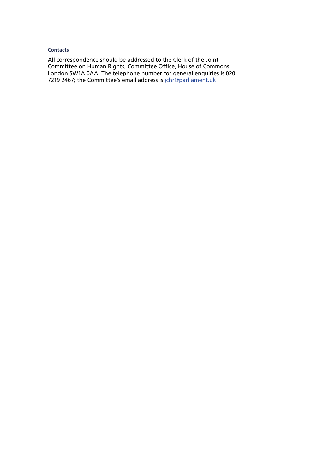#### **Contacts**

All correspondence should be addressed to the Clerk of the Joint Committee on Human Rights, Committee Office, House of Commons, London SW1A 0AA. The telephone number for general enquiries is 020 7219 2467; the Committee's email address is [jchr@parliament.uk](mailto:jchr@parliament.uk)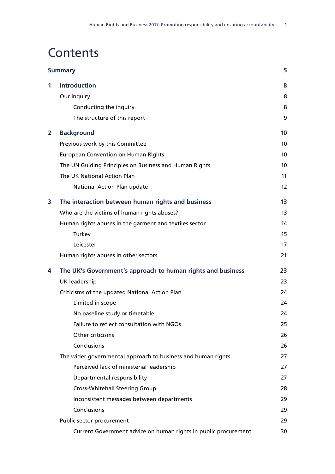## **Contents**

| <b>Summary</b> |                                                                 |                 |
|----------------|-----------------------------------------------------------------|-----------------|
| 1              | <b>Introduction</b>                                             | 8               |
|                | Our inquiry                                                     | 8               |
|                | Conducting the inquiry                                          | 8               |
|                | The structure of this report                                    | 9               |
| $\overline{2}$ | <b>Background</b>                                               | 10              |
|                | Previous work by this Committee                                 | 10 <sup>°</sup> |
|                | <b>European Convention on Human Rights</b>                      | 10 <sup>°</sup> |
|                | The UN Guiding Principles on Business and Human Rights          | 10 <sup>°</sup> |
|                | The UK National Action Plan                                     | 11              |
|                | National Action Plan update                                     | 12              |
| 3              | The interaction between human rights and business               | 13              |
|                | Who are the victims of human rights abuses?                     | 13              |
|                | Human rights abuses in the garment and textiles sector          | 14              |
|                | Turkey                                                          | 15              |
|                | Leicester                                                       | 17              |
|                | Human rights abuses in other sectors                            | 21              |
| 4              | The UK's Government's approach to human rights and business     | 23              |
|                | <b>UK leadership</b>                                            | 23              |
|                | Criticisms of the updated National Action Plan                  | 24              |
|                | Limited in scope                                                | 24              |
|                | No baseline study or timetable                                  | 24              |
|                | Failure to reflect consultation with NGOs                       | 25              |
|                | Other criticisms                                                | 26              |
|                | Conclusions                                                     | 26              |
|                | The wider governmental approach to business and human rights    | 27              |
|                | Perceived lack of ministerial leadership                        | 27              |
|                | Departmental responsibility                                     | 27              |
|                | <b>Cross-Whitehall Steering Group</b>                           | 28              |
|                | Inconsistent messages between departments                       | 29              |
|                | Conclusions                                                     | 29              |
|                | Public sector procurement                                       | 29              |
|                | Current Government advice on human rights in public procurement | 30              |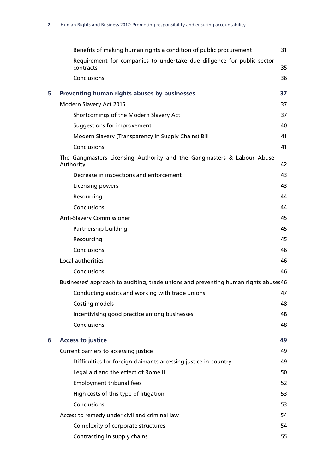|   | Benefits of making human rights a condition of public procurement                   | 31 |
|---|-------------------------------------------------------------------------------------|----|
|   | Requirement for companies to undertake due diligence for public sector<br>contracts | 35 |
|   | Conclusions                                                                         | 36 |
| 5 | Preventing human rights abuses by businesses                                        | 37 |
|   | Modern Slavery Act 2015                                                             | 37 |
|   | Shortcomings of the Modern Slavery Act                                              | 37 |
|   | Suggestions for improvement                                                         | 40 |
|   | Modern Slavery (Transparency in Supply Chains) Bill                                 | 41 |
|   | Conclusions                                                                         | 41 |
|   | The Gangmasters Licensing Authority and the Gangmasters & Labour Abuse<br>Authority | 42 |
|   | Decrease in inspections and enforcement                                             | 43 |
|   | Licensing powers                                                                    | 43 |
|   | Resourcing                                                                          | 44 |
|   | Conclusions                                                                         | 44 |
|   | <b>Anti-Slavery Commissioner</b>                                                    | 45 |
|   | Partnership building                                                                | 45 |
|   | Resourcing                                                                          | 45 |
|   | Conclusions                                                                         | 46 |
|   | Local authorities                                                                   | 46 |
|   | Conclusions                                                                         | 46 |
|   | Businesses' approach to auditing, trade unions and preventing human rights abuses46 |    |
|   | Conducting audits and working with trade unions                                     | 47 |
|   | Costing models                                                                      | 48 |
|   | Incentivising good practice among businesses                                        | 48 |
|   | Conclusions                                                                         | 48 |
| 6 | <b>Access to justice</b>                                                            | 49 |
|   | Current barriers to accessing justice                                               | 49 |
|   | Difficulties for foreign claimants accessing justice in-country                     | 49 |
|   | Legal aid and the effect of Rome II                                                 | 50 |
|   | Employment tribunal fees                                                            | 52 |
|   | High costs of this type of litigation                                               | 53 |
|   | Conclusions                                                                         | 53 |
|   | Access to remedy under civil and criminal law                                       | 54 |
|   | Complexity of corporate structures                                                  | 54 |
|   | Contracting in supply chains                                                        | 55 |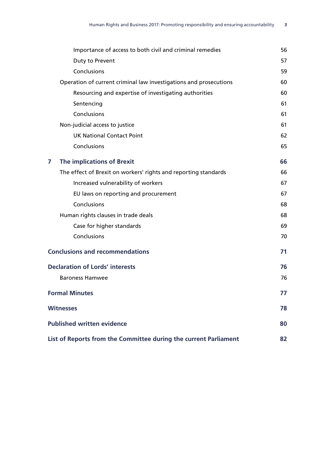| Importance of access to both civil and criminal remedies          | 56 |
|-------------------------------------------------------------------|----|
| Duty to Prevent                                                   | 57 |
| Conclusions                                                       | 59 |
| Operation of current criminal law investigations and prosecutions | 60 |
| Resourcing and expertise of investigating authorities             | 60 |
| Sentencing                                                        | 61 |
| Conclusions                                                       | 61 |
| Non-judicial access to justice                                    | 61 |
| <b>UK National Contact Point</b>                                  | 62 |
| Conclusions                                                       | 65 |
| <b>The implications of Brexit</b><br>7                            | 66 |
| The effect of Brexit on workers' rights and reporting standards   | 66 |
| Increased vulnerability of workers                                | 67 |
| EU laws on reporting and procurement                              | 67 |
| Conclusions                                                       | 68 |
| Human rights clauses in trade deals                               | 68 |
| Case for higher standards                                         | 69 |
| Conclusions                                                       | 70 |
| <b>Conclusions and recommendations</b>                            | 71 |
| <b>Declaration of Lords' interests</b>                            | 76 |
| <b>Baroness Hamwee</b>                                            | 76 |
| <b>Formal Minutes</b>                                             | 77 |
| <b>Witnesses</b>                                                  | 78 |
| <b>Published written evidence</b>                                 | 80 |
| List of Reports from the Committee during the current Parliament  | 82 |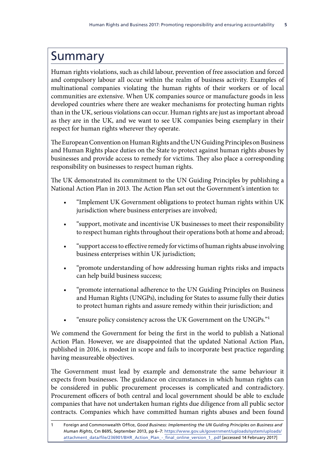### <span id="page-9-0"></span>Summary

Human rights violations, such as child labour, prevention of free association and forced and compulsory labour all occur within the realm of business activity. Examples of multinational companies violating the human rights of their workers or of local communities are extensive. When UK companies source or manufacture goods in less developed countries where there are weaker mechanisms for protecting human rights than in the UK, serious violations can occur. Human rights are just as important abroad as they are in the UK, and we want to see UK companies being exemplary in their respect for human rights wherever they operate.

The European Convention on Human Rights and the UN Guiding Principles on Business and Human Rights place duties on the State to protect against human rights abuses by businesses and provide access to remedy for victims. They also place a corresponding responsibility on businesses to respect human rights.

The UK demonstrated its commitment to the UN Guiding Principles by publishing a National Action Plan in 2013. The Action Plan set out the Government's intention to:

- "Implement UK Government obligations to protect human rights within UK jurisdiction where business enterprises are involved;
- "support, motivate and incentivise UK businesses to meet their responsibility to respect human rights throughout their operations both at home and abroad;
- "support access to effective remedy for victims of human rights abuse involving business enterprises within UK jurisdiction;
- "promote understanding of how addressing human rights risks and impacts can help build business success;
- "promote international adherence to the UN Guiding Principles on Business and Human Rights (UNGPs), including for States to assume fully their duties to protect human rights and assure remedy within their jurisdiction; and
- "ensure policy consistency across the UK Government on the UNGPs."1

We commend the Government for being the first in the world to publish a National Action Plan. However, we are disappointed that the updated National Action Plan, published in 2016, is modest in scope and fails to incorporate best practice regarding having measureable objectives.

The Government must lead by example and demonstrate the same behaviour it expects from businesses. The guidance on circumstances in which human rights can be considered in public procurement processes is complicated and contradictory. Procurement officers of both central and local government should be able to exclude companies that have not undertaken human rights due diligence from all public sector contracts. Companies which have committed human rights abuses and been found

<sup>1</sup> Foreign and Commonwealth Office, *Good Business: Implementing the UN Guiding Principles on Business and Human Rights*, Cm 8695, September 2013, pp 6–7: [https://www.gov.uk/government/uploads/system/uploads/](https://www.gov.uk/government/uploads/system/uploads/attachment_data/file/236901/BHR_Action_Plan_-_final_online_version_1_.pdf) [attachment\\_data/file/236901/BHR\\_Action\\_Plan\\_-\\_final\\_online\\_version\\_1\\_.pdf](https://www.gov.uk/government/uploads/system/uploads/attachment_data/file/236901/BHR_Action_Plan_-_final_online_version_1_.pdf) [accessed 14 February 2017]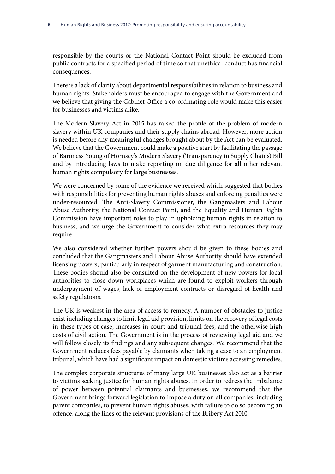responsible by the courts or the National Contact Point should be excluded from public contracts for a specified period of time so that unethical conduct has financial consequences.

There is a lack of clarity about departmental responsibilities in relation to business and human rights. Stakeholders must be encouraged to engage with the Government and we believe that giving the Cabinet Office a co-ordinating role would make this easier for businesses and victims alike.

The Modern Slavery Act in 2015 has raised the profile of the problem of modern slavery within UK companies and their supply chains abroad. However, more action is needed before any meaningful changes brought about by the Act can be evaluated. We believe that the Government could make a positive start by facilitating the passage of Baroness Young of Hornsey's Modern Slavery (Transparency in Supply Chains) Bill and by introducing laws to make reporting on due diligence for all other relevant human rights compulsory for large businesses.

We were concerned by some of the evidence we received which suggested that bodies with responsibilities for preventing human rights abuses and enforcing penalties were under-resourced. The Anti-Slavery Commissioner, the Gangmasters and Labour Abuse Authority, the National Contact Point, and the Equality and Human Rights Commission have important roles to play in upholding human rights in relation to business, and we urge the Government to consider what extra resources they may require.

We also considered whether further powers should be given to these bodies and concluded that the Gangmasters and Labour Abuse Authority should have extended licensing powers, particularly in respect of garment manufacturing and construction. These bodies should also be consulted on the development of new powers for local authorities to close down workplaces which are found to exploit workers through underpayment of wages, lack of employment contracts or disregard of health and safety regulations.

The UK is weakest in the area of access to remedy. A number of obstacles to justice exist including changes to limit legal aid provision, limits on the recovery of legal costs in these types of case, increases in court and tribunal fees, and the otherwise high costs of civil action. The Government is in the process of reviewing legal aid and we will follow closely its findings and any subsequent changes. We recommend that the Government reduces fees payable by claimants when taking a case to an employment tribunal, which have had a significant impact on domestic victims accessing remedies.

The complex corporate structures of many large UK businesses also act as a barrier to victims seeking justice for human rights abuses. In order to redress the imbalance of power between potential claimants and businesses, we recommend that the Government brings forward legislation to impose a duty on all companies, including parent companies, to prevent human rights abuses, with failure to do so becoming an offence, along the lines of the relevant provisions of the Bribery Act 2010.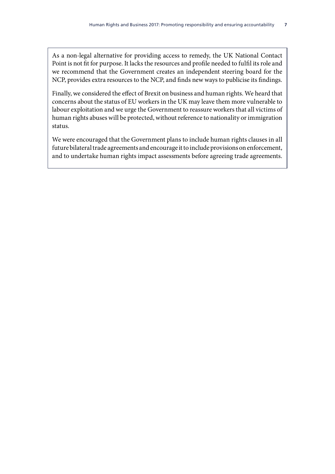As a non-legal alternative for providing access to remedy, the UK National Contact Point is not fit for purpose. It lacks the resources and profile needed to fulfil its role and we recommend that the Government creates an independent steering board for the NCP, provides extra resources to the NCP, and finds new ways to publicise its findings.

Finally, we considered the effect of Brexit on business and human rights. We heard that concerns about the status of EU workers in the UK may leave them more vulnerable to labour exploitation and we urge the Government to reassure workers that all victims of human rights abuses will be protected, without reference to nationality or immigration status.

We were encouraged that the Government plans to include human rights clauses in all future bilateral trade agreements and encourage it to include provisions on enforcement, and to undertake human rights impact assessments before agreeing trade agreements.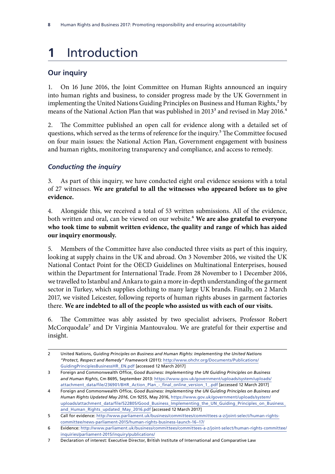# <span id="page-12-0"></span>**1** Introduction

### **Our inquiry**

1. On 16 June 2016, the Joint Committee on Human Rights announced an inquiry into human rights and business, to consider progress made by the UK Government in implementing the United Nations Guiding Principles on Business and Human Rights,<sup>2</sup> by means of the National Action Plan that was published in 2013<sup>3</sup> and revised in May 2016.<sup>4</sup>

2. The Committee published an open call for evidence along with a detailed set of questions, which served as the terms of reference for the inquiry.<sup>5</sup> The Committee focused on four main issues: the National Action Plan, Government engagement with business and human rights, monitoring transparency and compliance, and access to remedy.

#### *Conducting the inquiry*

3. As part of this inquiry, we have conducted eight oral evidence sessions with a total of 27 witnesses. **We are grateful to all the witnesses who appeared before us to give evidence.**

4. Alongside this, we received a total of 53 written submissions. All of the evidence, both written and oral, can be viewed on our website.6 **We are also grateful to everyone who took time to submit written evidence, the quality and range of which has aided our inquiry enormously.**

5. Members of the Committee have also conducted three visits as part of this inquiry, looking at supply chains in the UK and abroad. On 3 November 2016, we visited the UK National Contact Point for the OECD Guidelines on Multinational Enterprises, housed within the Department for International Trade. From 28 November to 1 December 2016, we travelled to Istanbul and Ankara to gain a more in-depth understanding of the garment sector in Turkey, which supplies clothing to many large UK brands. Finally, on 2 March 2017, we visited Leicester, following reports of human rights abuses in garment factories there. **We are indebted to all of the people who assisted us with each of our visits.**

6. The Committee was ably assisted by two specialist advisers, Professor Robert McCorquodale<sup>7</sup> and Dr Virginia Mantouvalou. We are grateful for their expertise and insight.

<sup>2</sup> United Nations, *Guiding Principles on Business and Human Rights: Implementing the United Nations "Protect, Respect and Remedy" Framework* (2011): [http://www.ohchr.org/Documents/Publications/](http://www.ohchr.org/Documents/Publications/GuidingPrinciplesBusinessHR_EN.pdf) [GuidingPrinciplesBusinessHR\\_EN.pdf](http://www.ohchr.org/Documents/Publications/GuidingPrinciplesBusinessHR_EN.pdf) [accessed 12 March 2017]

<sup>3</sup> Foreign and Commonwealth Office, *Good Business: Implementing the UN Guiding Principles on Business and Human Rights*, Cm 8695, September 2013: [https://www.gov.uk/government/uploads/system/uploads/](https://www.gov.uk/government/uploads/system/uploads/attachment_data/file/236901/BHR_Action_Plan_-_final_online_version_1_.pdf) [attachment\\_data/file/236901/BHR\\_Action\\_Plan\\_-\\_final\\_online\\_version\\_1\\_.pdf](https://www.gov.uk/government/uploads/system/uploads/attachment_data/file/236901/BHR_Action_Plan_-_final_online_version_1_.pdf) [accessed 12 March 2017]

<sup>4</sup> Foreign and Commonwealth Office, *Good Business: Implementing the UN Guiding Principles on Business and Human Rights Updated May 2016*, Cm 9255, May 2016, [https://www.gov.uk/government/uploads/system/](https://www.gov.uk/government/uploads/system/uploads/attachment_data/file/522805/Good_Business_Implementing_the_UN_Guiding_Principles_on_Business_and_Human_Rights_updated_May_2016.pdf) [uploads/attachment\\_data/file/522805/Good\\_Business\\_Implementing\\_the\\_UN\\_Guiding\\_Principles\\_on\\_Business\\_](https://www.gov.uk/government/uploads/system/uploads/attachment_data/file/522805/Good_Business_Implementing_the_UN_Guiding_Principles_on_Business_and_Human_Rights_updated_May_2016.pdf) [and\\_Human\\_Rights\\_updated\\_May\\_2016.pdf](https://www.gov.uk/government/uploads/system/uploads/attachment_data/file/522805/Good_Business_Implementing_the_UN_Guiding_Principles_on_Business_and_Human_Rights_updated_May_2016.pdf) [accessed 12 March 2017]

<sup>5</sup> Call for evidence: [http://www.parliament.uk/business/committees/committees-a-z/joint-select/human-rights](http://www.parliament.uk/business/committees/committees-a-z/joint-select/human-rights-committee/news-parliament-2015/human-rights-business-launch-16-17/)[committee/news-parliament-2015/human-rights-business-launch-16–17/](http://www.parliament.uk/business/committees/committees-a-z/joint-select/human-rights-committee/news-parliament-2015/human-rights-business-launch-16-17/)

<sup>6</sup> Evidence: [http://www.parliament.uk/business/committees/committees-a-z/joint-select/human-rights-committee/](http://www.parliament.uk/business/committees/committees-a-z/joint-select/human-rights-committee/inquiries/parliament-2015/inquiry/publications/) [inquiries/parliament-2015/inquiry/publications/](http://www.parliament.uk/business/committees/committees-a-z/joint-select/human-rights-committee/inquiries/parliament-2015/inquiry/publications/)

<sup>7</sup> Declaration of interest: Executive Director, British Institute of International and Comparative Law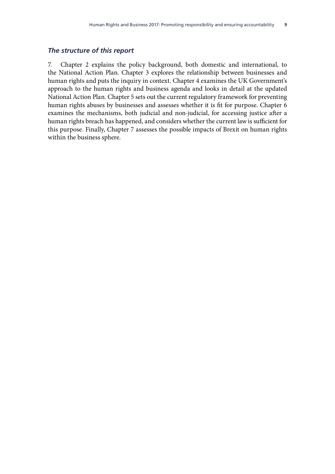#### <span id="page-13-0"></span>*The structure of this report*

7. Chapter 2 explains the policy background, both domestic and international, to the National Action Plan. Chapter 3 explores the relationship between businesses and human rights and puts the inquiry in context. Chapter 4 examines the UK Government's approach to the human rights and business agenda and looks in detail at the updated National Action Plan. Chapter 5 sets out the current regulatory framework for preventing human rights abuses by businesses and assesses whether it is fit for purpose. Chapter 6 examines the mechanisms, both judicial and non-judicial, for accessing justice after a human rights breach has happened, and considers whether the current law is sufficient for this purpose. Finally, Chapter 7 assesses the possible impacts of Brexit on human rights within the business sphere.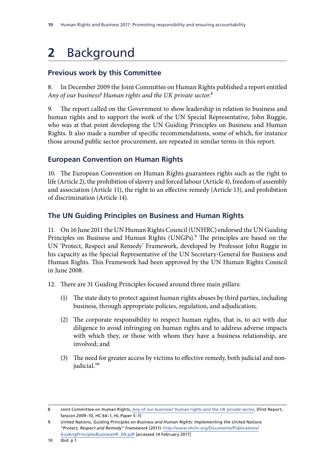# <span id="page-14-0"></span>**2** Background

### **Previous work by this Committee**

8. In December 2009 the Joint Committee on Human Rights published a report entitled *Any of our business? Human rights and the UK private sector*.8

9. The report called on the Government to show leadership in relation to business and human rights and to support the work of the UN Special Representative, John Ruggie, who was at that point developing the UN Guiding Principles on Business and Human Rights. It also made a number of specific recommendations, some of which, for instance those around public sector procurement, are repeated in similar terms in this report.

#### **European Convention on Human Rights**

10. The European Convention on Human Rights guarantees rights such as the right to life (Article 2), the prohibition of slavery and forced labour (Article 4), freedom of assembly and association (Article 11), the right to an effective remedy (Article 13), and prohibition of discrimination (Article 14).

#### **The UN Guiding Principles on Business and Human Rights**

11. On 16 June 2011 the UN Human Rights Council (UNHRC) endorsed the UN Guiding Principles on Business and Human Rights (UNGPs).<sup>9</sup> The principles are based on the UN 'Protect, Respect and Remedy' Framework, developed by Professor John Ruggie in his capacity as the Special Representative of the UN Secretary-General for Business and Human Rights. This Framework had been approved by the UN Human Rights Council in June 2008.

- 12. There are 31 Guiding Principles focused around three main pillars:
	- (1) The state duty to protect against human rights abuses by third parties, including business, through appropriate policies, regulation, and adjudication;
	- (2) The corporate responsibility to respect human rights, that is, to act with due diligence to avoid infringing on human rights and to address adverse impacts with which they, or those with whom they have a business relationship, are involved; and
	- (3) The need for greater access by victims to effective remedy, both judicial and nonjudicial.<sup>10</sup>

<sup>8</sup> Joint Committee on Human Rights, [Any of our business? Human rights and the UK private sector,](https://www.publications.parliament.uk/pa/jt200910/jtselect/jtrights/5/5i.pdf) (First Report, Session 2009–10, HC 64–1, HL Paper 5–1)

<sup>9</sup> United Nations, *Guiding Principles on Business and Human Rights: Implementing the United Nations "Protect, Respect and Remedy" Framework* (2011): [http://www.ohchr.org/Documents/Publications/](http://www.ohchr.org/Documents/Publications/GuidingPrinciplesBusinessHR_EN.pdf) [GuidingPrinciplesBusinessHR\\_EN.pdf](http://www.ohchr.org/Documents/Publications/GuidingPrinciplesBusinessHR_EN.pdf) [accessed 14 February 2017]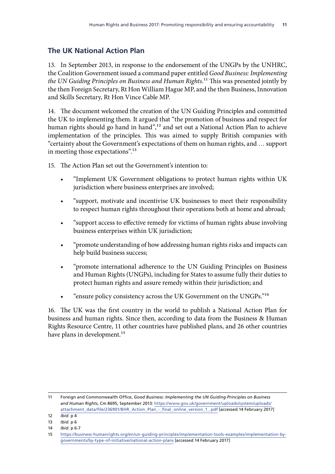### <span id="page-15-0"></span>**The UK National Action Plan**

13. In September 2013, in response to the endorsement of the UNGPs by the UNHRC, the Coalition Government issued a command paper entitled *Good Business: Implementing the UN Guiding Principles on Business and Human Rights*.11 This was presented jointly by the then Foreign Secretary, Rt Hon William Hague MP, and the then Business, Innovation and Skills Secretary, Rt Hon Vince Cable MP.

14. The document welcomed the creation of the UN Guiding Principles and committed the UK to implementing them. It argued that "the promotion of business and respect for human rights should go hand in hand",<sup>12</sup> and set out a National Action Plan to achieve implementation of the principles. This was aimed to supply British companies with "certainty about the Government's expectations of them on human rights, and … support in meeting those expectations".13

15. The Action Plan set out the Government's intention to:

- "Implement UK Government obligations to protect human rights within UK jurisdiction where business enterprises are involved;
- "support, motivate and incentivise UK businesses to meet their responsibility to respect human rights throughout their operations both at home and abroad;
- "support access to effective remedy for victims of human rights abuse involving business enterprises within UK jurisdiction;
- "promote understanding of how addressing human rights risks and impacts can help build business success;
- "promote international adherence to the UN Guiding Principles on Business and Human Rights (UNGPs), including for States to assume fully their duties to protect human rights and assure remedy within their jurisdiction; and
- "ensure policy consistency across the UK Government on the UNGPs."14

16. The UK was the first country in the world to publish a National Action Plan for business and human rights. Since then, according to data from the Business & Human Rights Resource Centre, 11 other countries have published plans, and 26 other countries have plans in development.<sup>15</sup>

<sup>11</sup> Foreign and Commonwealth Office, *Good Business: Implementing the UN Guiding Principles on Business and Human Rights*, Cm 8695, September 2013: [https://www.gov.uk/government/uploads/system/uploads/](https://www.gov.uk/government/uploads/system/uploads/attachment_data/file/236901/BHR_Action_Plan_-_final_online_version_1_.pdf) [attachment\\_data/file/236901/BHR\\_Action\\_Plan\\_-\\_final\\_online\\_version\\_1\\_.pdf](https://www.gov.uk/government/uploads/system/uploads/attachment_data/file/236901/BHR_Action_Plan_-_final_online_version_1_.pdf) [accessed 14 February 2017]

<sup>12</sup> *Ibid.* p 4

<sup>13</sup> *Ibid.* p 6

<sup>14</sup> *Ibid.* p 6-7

<sup>15</sup> [https://business-humanrights.org/en/un-guiding-principles/implementation-tools-examples/implementation-by](https://business-humanrights.org/en/un-guiding-principles/implementation-tools-examples/implementation-by-governments/by-type-of-initiative/national-action-plans)[governments/by-type-of-initiative/national-action-plans](https://business-humanrights.org/en/un-guiding-principles/implementation-tools-examples/implementation-by-governments/by-type-of-initiative/national-action-plans) [accessed 14 February 2017]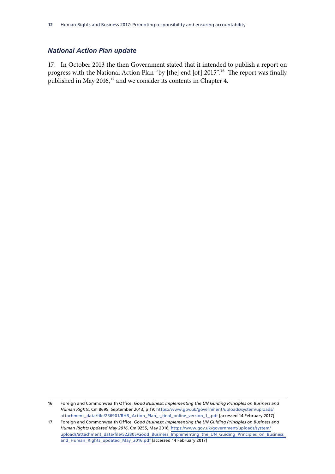#### <span id="page-16-0"></span>*National Action Plan update*

17. In October 2013 the then Government stated that it intended to publish a report on progress with the National Action Plan "by [the] end [of] 2015".16 The report was finally published in May 2016, $17$  and we consider its contents in Chapter 4.

<sup>16</sup> Foreign and Commonwealth Office, *Good Business: Implementing the UN Guiding Principles on Business and Human Rights*, Cm 8695, September 2013, p 19: [https://www.gov.uk/government/uploads/system/uploads/](https://www.gov.uk/government/uploads/system/uploads/attachment_data/file/236901/BHR_Action_Plan_-_final_online_version_1_.pdf) [attachment\\_data/file/236901/BHR\\_Action\\_Plan\\_-\\_final\\_online\\_version\\_1\\_.pdf](https://www.gov.uk/government/uploads/system/uploads/attachment_data/file/236901/BHR_Action_Plan_-_final_online_version_1_.pdf) [accessed 14 February 2017]

<sup>17</sup> Foreign and Commonwealth Office, *Good Business: Implementing the UN Guiding Principles on Business and Human Rights Updated May 2016*, Cm 9255, May 2016, [https://www.gov.uk/government/uploads/system/](https://www.gov.uk/government/uploads/system/uploads/attachment_data/file/522805/Good_Business_Implementing_the_UN_Guiding_Principles_on_Business_and_Human_Rights_updated_May_2016.pdf) [uploads/attachment\\_data/file/522805/Good\\_Business\\_Implementing\\_the\\_UN\\_Guiding\\_Principles\\_on\\_Business\\_](https://www.gov.uk/government/uploads/system/uploads/attachment_data/file/522805/Good_Business_Implementing_the_UN_Guiding_Principles_on_Business_and_Human_Rights_updated_May_2016.pdf) [and\\_Human\\_Rights\\_updated\\_May\\_2016.pdf](https://www.gov.uk/government/uploads/system/uploads/attachment_data/file/522805/Good_Business_Implementing_the_UN_Guiding_Principles_on_Business_and_Human_Rights_updated_May_2016.pdf) [accessed 14 February 2017]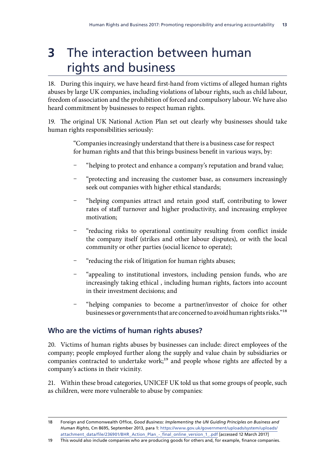# <span id="page-17-0"></span>**3** The interaction between human rights and business

18. During this inquiry, we have heard first-hand from victims of alleged human rights abuses by large UK companies, including violations of labour rights, such as child labour, freedom of association and the prohibition of forced and compulsory labour. We have also heard commitment by businesses to respect human rights.

19. The original UK National Action Plan set out clearly why businesses should take human rights responsibilities seriously:

> "Companies increasingly understand that there is a business case for respect for human rights and that this brings business benefit in various ways, by:

- "helping to protect and enhance a company's reputation and brand value;
- "protecting and increasing the customer base, as consumers increasingly seek out companies with higher ethical standards;
- "helping companies attract and retain good staff, contributing to lower rates of staff turnover and higher productivity, and increasing employee motivation;
- "reducing risks to operational continuity resulting from conflict inside the company itself (strikes and other labour disputes), or with the local community or other parties (social licence to operate);
- "reducing the risk of litigation for human rights abuses;
- "appealing to institutional investors, including pension funds, who are increasingly taking ethical , including human rights, factors into account in their investment decisions; and
- "helping companies to become a partner/investor of choice for other businesses or governments that are concerned to avoid human rights risks."18

### **Who are the victims of human rights abuses?**

20. Victims of human rights abuses by businesses can include: direct employees of the company; people employed further along the supply and value chain by subsidiaries or companies contracted to undertake work;<sup>19</sup> and people whose rights are affected by a company's actions in their vicinity.

21. Within these broad categories, UNICEF UK told us that some groups of people, such as children, were more vulnerable to abuse by companies:

<sup>18</sup> Foreign and Commonwealth Office, *Good Business: Implementing the UN Guiding Principles on Business and Human Rights*, Cm 8695, September 2013, para 1: [https://www.gov.uk/government/uploads/system/uploads/](https://www.gov.uk/government/uploads/system/uploads/attachment_data/file/236901/BHR_Action_Plan_-_final_online_version_1_.pdf) [attachment\\_data/file/236901/BHR\\_Action\\_Plan\\_-\\_final\\_online\\_version\\_1\\_.pdf](https://www.gov.uk/government/uploads/system/uploads/attachment_data/file/236901/BHR_Action_Plan_-_final_online_version_1_.pdf) [accessed 12 March 2017]

<sup>19</sup> This would also include companies who are producing goods for others and, for example, finance companies.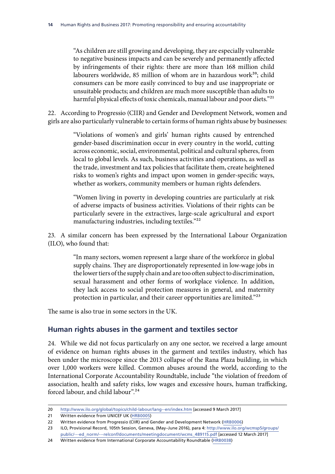<span id="page-18-0"></span>"As children are still growing and developing, they are especially vulnerable to negative business impacts and can be severely and permanently affected by infringements of their rights: there are more than 168 million child labourers worldwide, 85 million of whom are in hazardous work<sup>20</sup>; child consumers can be more easily convinced to buy and use inappropriate or unsuitable products; and children are much more susceptible than adults to harmful physical effects of toxic chemicals, manual labour and poor diets."<sup>21</sup>

22. According to Progressio (CIIR) and Gender and Development Network, women and girls are also particularly vulnerable to certain forms of human rights abuse by businesses:

> "Violations of women's and girls' human rights caused by entrenched gender-based discrimination occur in every country in the world, cutting across economic, social, environmental, political and cultural spheres, from local to global levels. As such, business activities and operations, as well as the trade, investment and tax policies that facilitate them, create heightened risks to women's rights and impact upon women in gender-specific ways, whether as workers, community members or human rights defenders.

> "Women living in poverty in developing countries are particularly at risk of adverse impacts of business activities. Violations of their rights can be particularly severe in the extractives, large-scale agricultural and export manufacturing industries, including textiles."<sup>22</sup>

23. A similar concern has been expressed by the International Labour Organization (ILO), who found that:

> "In many sectors, women represent a large share of the workforce in global supply chains. They are disproportionately represented in low-wage jobs in the lower tiers of the supply chain and are too often subject to discrimination, sexual harassment and other forms of workplace violence. In addition, they lack access to social protection measures in general, and maternity protection in particular, and their career opportunities are limited."23

The same is also true in some sectors in the UK.

#### **Human rights abuses in the garment and textiles sector**

24. While we did not focus particularly on any one sector, we received a large amount of evidence on human rights abuses in the garment and textiles industry, which has been under the microscope since the 2013 collapse of the Rana Plaza building, in which over 1,000 workers were killed. Common abuses around the world, according to the International Corporate Accountability Roundtable, include "the violation of freedom of association, health and safety risks, low wages and excessive hours, human trafficking, forced labour, and child labour".24

<sup>20</sup> <http://www.ilo.org/global/topics/child-labour/lang--en/index.htm> [accessed 9 March 2017]

<sup>21</sup> Written evidence from UNICEF UK [\(HRB0005\)](http://data.parliament.uk/writtenevidence/committeeevidence.svc/evidencedocument/human-rights-committee/human-rights-and-business/written/34819.html)

<sup>22</sup> Written evidence from Progressio (CIIR) and Gender and Development Network ([HRB0006\)](http://data.parliament.uk/writtenevidence/committeeevidence.svc/evidencedocument/human-rights-committee/human-rights-and-business/written/34821.html)

<sup>23</sup> ILO, Provisional Record, 105th Session, Geneva, (May–June 2016), para 4: [http://www.ilo.org/wcmsp5/groups/](http://www.ilo.org/wcmsp5/groups/public/---ed_norm/---relconf/documents/meetingdocument/wcms_489115.pdf) [public/---ed\\_norm/---relconf/documents/meetingdocument/wcms\\_489115.pdf](http://www.ilo.org/wcmsp5/groups/public/---ed_norm/---relconf/documents/meetingdocument/wcms_489115.pdf) [accessed 12 March 2017]

<sup>24</sup> Written evidence from International Corporate Accountability Roundtable ([HRB0038\)](http://data.parliament.uk/writtenevidence/committeeevidence.svc/evidencedocument/human-rights-committee/human-rights-and-business/written/36097.html)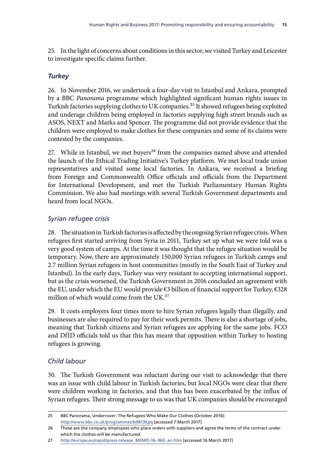<span id="page-19-0"></span>25. In the light of concerns about conditions in this sector, we visited Turkey and Leicester to investigate specific claims further.

#### *Turkey*

26. In November 2016, we undertook a four-day visit to Istanbul and Ankara, prompted by a BBC *Panorama* programme which highlighted significant human rights issues in Turkish factories supplying clothes to UK companies.<sup>25</sup> It showed refugees being exploited and underage children being employed in factories supplying high street brands such as ASOS, NEXT and Marks and Spencer. The programme did not provide evidence that the children were employed to make clothes for these companies and some of its claims were contested by the companies.

27. While in Istanbul, we met buyers<sup>26</sup> from the companies named above and attended the launch of the Ethical Trading Initiative's Turkey platform. We met local trade union representatives and visited some local factories. In Ankara, we received a briefing from Foreign and Commonwealth Office officials and officials from the Department for International Development, and met the Turkish Parliamentary Human Rights Commission. We also had meetings with several Turkish Government departments and heard from local NGOs.

#### *Syrian refugee crisis*

28. The situation in Turkish factories is affected by the ongoing Syrian refugee crisis. When refugees first started arriving from Syria in 2011, Turkey set up what we were told was a very good system of camps. At the time it was thought that the refugee situation would be temporary. Now, there are approximately 150,000 Syrian refugees in Turkish camps and 2.7 million Syrian refugees in host communities (mostly in the South East of Turkey and Istanbul). In the early days, Turkey was very resistant to accepting international support, but as the crisis worsened, the Turkish Government in 2016 concluded an agreement with the EU, under which the EU would provide €3 billion of financial support for Turkey, €328 million of which would come from the UK.<sup>27</sup>

29. It costs employers four times more to hire Syrian refugees legally than illegally, and businesses are also required to pay for their work permits. There is also a shortage of jobs, meaning that Turkish citizens and Syrian refugees are applying for the same jobs. FCO and DfID officials told us that this has meant that opposition within Turkey to hosting refugees is growing.

#### *Child labour*

30. The Turkish Government was reluctant during our visit to acknowledge that there was an issue with child labour in Turkish factories, but local NGOs were clear that there were children working in factories, and that this has been exacerbated by the influx of Syrian refugees. Their strong message to us was that UK companies should be encouraged

<sup>25</sup> BBC Panorama, Undercover: The Refugees Who Make Our Clothes (October 2016): <http://www.bbc.co.uk/programmes/b0813kpq>[accessed 7 March 2017]

<sup>26</sup> These are the company employees who place orders with suppliers and agree the terms of the contract under which the clothes will be manufactured.

<sup>27</sup> [http://europa.eu/rapid/press-release\\_MEMO-16–963\\_en.htm](http://europa.eu/rapid/press-release_MEMO-16-963_en.htm) [accessed 16 March 2017]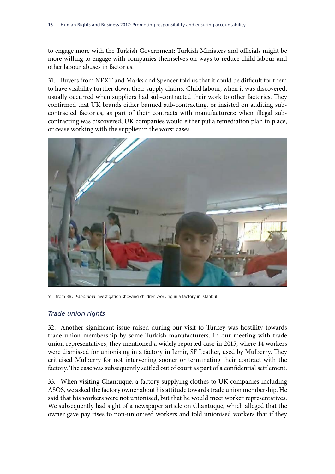to engage more with the Turkish Government: Turkish Ministers and officials might be more willing to engage with companies themselves on ways to reduce child labour and other labour abuses in factories.

31. Buyers from NEXT and Marks and Spencer told us that it could be difficult for them to have visibility further down their supply chains. Child labour, when it was discovered, usually occurred when suppliers had sub-contracted their work to other factories. They confirmed that UK brands either banned sub-contracting, or insisted on auditing subcontracted factories, as part of their contracts with manufacturers: when illegal subcontracting was discovered, UK companies would either put a remediation plan in place, or cease working with the supplier in the worst cases.



Still from BBC *Panorama* investigation showing children working in a factory in Istanbul

#### *Trade union rights*

32. Another significant issue raised during our visit to Turkey was hostility towards trade union membership by some Turkish manufacturers. In our meeting with trade union representatives, they mentioned a widely reported case in 2015, where 14 workers were dismissed for unionising in a factory in Izmir, SF Leather, used by Mulberry. They criticised Mulberry for not intervening sooner or terminating their contract with the factory. The case was subsequently settled out of court as part of a confidential settlement.

33. When visiting Chantuque, a factory supplying clothes to UK companies including ASOS, we asked the factory owner about his attitude towards trade union membership. He said that his workers were not unionised, but that he would meet worker representatives. We subsequently had sight of a newspaper article on Chantuque, which alleged that the owner gave pay rises to non-unionised workers and told unionised workers that if they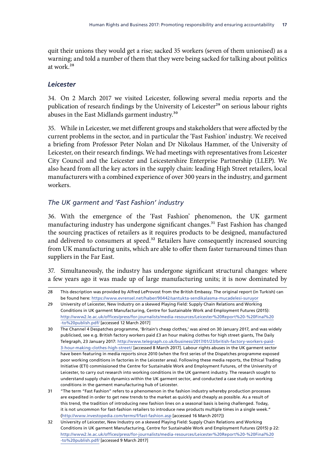<span id="page-21-0"></span>quit their unions they would get a rise; sacked 35 workers (seven of them unionised) as a warning; and told a number of them that they were being sacked for talking about politics at work.28

#### *Leicester*

34. On 2 March 2017 we visited Leicester, following several media reports and the publication of research findings by the University of Leicester<sup>29</sup> on serious labour rights abuses in the East Midlands garment industry.30

35. While in Leicester, we met different groups and stakeholders that were affected by the current problems in the sector, and in particular the 'Fast Fashion' industry. We received a briefing from Professor Peter Nolan and Dr Nikolaus Hammer, of the University of Leicester, on their research findings. We had meetings with representatives from Leicester City Council and the Leicester and Leicestershire Enterprise Partnership (LLEP). We also heard from all the key actors in the supply chain: leading High Street retailers, local manufacturers with a combined experience of over 300 years in the industry, and garment workers.

#### *The UK garment and 'Fast Fashion' industry*

36. With the emergence of the 'Fast Fashion' phenomenon, the UK garment manufacturing industry has undergone significant changes.<sup>31</sup> Fast Fashion has changed the sourcing practices of retailers as it requires products to be designed, manufactured and delivered to consumers at speed.<sup>32</sup> Retailers have consequently increased sourcing from UK manufacturing units, which are able to offer them faster turnaround times than suppliers in the Far East.

37. Simultaneously, the industry has undergone significant structural changes: where a few years ago it was made up of large manufacturing units; it is now dominated by

<sup>28</sup> This description was provided by Alfred LeProvost from the British Embassy. The original report (in Turkish) can be found here: <https://www.evrensel.net/haber/90442/santukta-sendikalasma-mucadelesi-suruyor>

<sup>29</sup> University of Leicester, New Industry on a skewed Playing Field: Supply Chain Relations and Working Conditions in UK garment Manufacturing, Centre for Sustainable Work and Employment Futures (2015): [http://www2.le.ac.uk/offices/press/for-journalists/media-resources/Leicester%20Report%20-%20Final%20](http://www2.le.ac.uk/offices/press/for-journalists/media-resources/Leicester%20Report%20-%20Final%20-to%20publish.pdf/) [-to%20publish.pdf/](http://www2.le.ac.uk/offices/press/for-journalists/media-resources/Leicester%20Report%20-%20Final%20-to%20publish.pdf/) [accessed 12 March 2017]

<sup>30</sup> The Channel 4 Despatches programme, 'Britain's cheap clothes,' was aired on 30 January 2017, and was widely publicised, see e.g. British factory workers paid £3 an hour making clothes for high street giants, The Daily Telegraph, 23 January 2017: [http://www.telegraph.co.uk/business/2017/01/23/british-factory-workers-paid-](http://www.telegraph.co.uk/business/2017/01/23/british-factory-workers-paid-3-hour-making-clothes-high-street/)[3-hour-making-clothes-high-street/](http://www.telegraph.co.uk/business/2017/01/23/british-factory-workers-paid-3-hour-making-clothes-high-street/) [accessed 8 March 2017]. Labour rights abuses in the UK garment sector have been featuring in media reports since 2010 (when the first series of the Dispatches programme exposed poor working conditions in factories in the Leicester area). Following these media reports, the Ethical Trading Initiative (ETI) commissioned the Centre for Sustainable Work and Employment Futures, of the University of Leicester, to carry out research into working conditions in the UK garment industry. The research sought to understand supply chain dynamics within the UK garment sector, and conducted a case study on working conditions in the garment manufacturing hub of Leicester.

<sup>31</sup> "The term "Fast Fashion" refers to a phenomenon in the fashion industry whereby production processes are expedited in order to get new trends to the market as quickly and cheaply as possible. As a result of this trend, the tradition of introducing new fashion lines on a seasonal basis is being challenged. Today, it is not uncommon for fast-fashion retailers to introduce new products multiple times in a single week." [\(http://www.investopedia.com/terms/f/fast-fashion.asp](http://www.investopedia.com/terms/f/fast-fashion.asp) [accessed 16 March 2017])

<sup>32</sup> University of Leicester, New Industry on a skewed Playing Field: Supply Chain Relations and Working Conditions in UK garment Manufacturing, Centre for Sustainable Work and Employment Futures (2015) p 22: [http://www2.le.ac.uk/offices/press/for-journalists/media-resources/Leicester%20Report%20-%20Final%20](http://www2.le.ac.uk/offices/press/for-journalists/media-resources/Leicester%20Report%20-%20Final%20-to%20publish.pdf/) [-to%20publish.pdf/](http://www2.le.ac.uk/offices/press/for-journalists/media-resources/Leicester%20Report%20-%20Final%20-to%20publish.pdf/) [accessed 9 March 2017]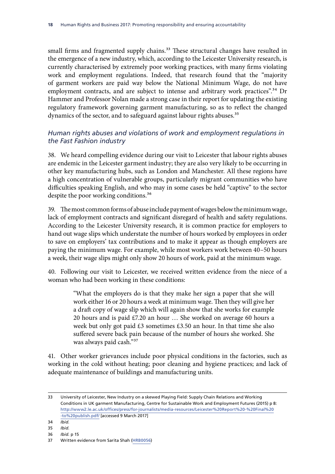small firms and fragmented supply chains.<sup>33</sup> These structural changes have resulted in the emergence of a new industry, which, according to the Leicester University research, is currently characterised by extremely poor working practices, with many firms violating work and employment regulations. Indeed, that research found that the "majority of garment workers are paid way below the National Minimum Wage, do not have employment contracts, and are subject to intense and arbitrary work practices".<sup>34</sup> Dr Hammer and Professor Nolan made a strong case in their report for updating the existing regulatory framework governing garment manufacturing, so as to reflect the changed dynamics of the sector, and to safeguard against labour rights abuses.<sup>35</sup>

#### *Human rights abuses and violations of work and employment regulations in the Fast Fashion industry*

38. We heard compelling evidence during our visit to Leicester that labour rights abuses are endemic in the Leicester garment industry; they are also very likely to be occurring in other key manufacturing hubs, such as London and Manchester. All these regions have a high concentration of vulnerable groups, particularly migrant communities who have difficulties speaking English, and who may in some cases be held "captive" to the sector despite the poor working conditions.<sup>36</sup>

39. The most common forms of abuse include payment of wages below the minimum wage, lack of employment contracts and significant disregard of health and safety regulations. According to the Leicester University research, it is common practice for employers to hand out wage slips which understate the number of hours worked by employees in order to save on employers' tax contributions and to make it appear as though employers are paying the minimum wage. For example, while most workers work between 40–50 hours a week, their wage slips might only show 20 hours of work, paid at the minimum wage.

40. Following our visit to Leicester, we received written evidence from the niece of a woman who had been working in these conditions:

> "What the employers do is that they make her sign a paper that she will work either 16 or 20 hours a week at minimum wage. Then they will give her a draft copy of wage slip which will again show that she works for example 20 hours and is paid £7.20 an hour … She worked on average 60 hours a week but only got paid £3 sometimes £3.50 an hour. In that time she also suffered severe back pain because of the number of hours she worked. She was always paid cash."37

41. Other worker grievances include poor physical conditions in the factories, such as working in the cold without heating; poor cleaning and hygiene practices; and lack of adequate maintenance of buildings and manufacturing units.

<sup>33</sup> University of Leicester, New Industry on a skewed Playing Field: Supply Chain Relations and Working Conditions in UK garment Manufacturing, Centre for Sustainable Work and Employment Futures (2015) p 8: [http://www2.le.ac.uk/offices/press/for-journalists/media-resources/Leicester%20Report%20-%20Final%20](http://www2.le.ac.uk/offices/press/for-journalists/media-resources/Leicester%20Report%20-%20Final%20-to%20publish.pdf/) [-to%20publish.pdf/](http://www2.le.ac.uk/offices/press/for-journalists/media-resources/Leicester%20Report%20-%20Final%20-to%20publish.pdf/) [accessed 9 March 2017]

<sup>34</sup> *Ibid.*

<sup>35</sup> *Ibid.*

<sup>36</sup> *Ibid.* p 15

<sup>37</sup> Written evidence from Sarita Shah ([HRB0056\)](http://data.parliament.uk/writtenevidence/committeeevidence.svc/evidencedocument/human-rights-committee/human-rights-and-business-2017-promoting-responsibility-and-ensuring-accountability/written/48474.html)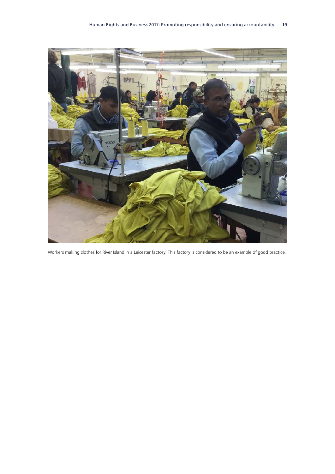

Workers making clothes for River Island in a Leicester factory. This factory is considered to be an example of good practice.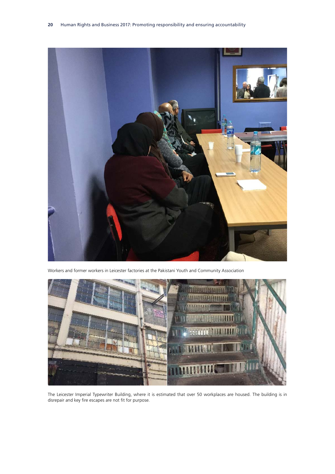

Workers and former workers in Leicester factories at the Pakistani Youth and Community Association



The Leicester Imperial Typewriter Building, where it is estimated that over 50 workplaces are housed. The building is in disrepair and key fire escapes are not fit for purpose.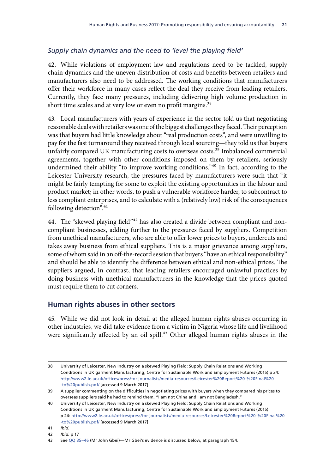### <span id="page-25-0"></span>*Supply chain dynamics and the need to 'level the playing field'*

42. While violations of employment law and regulations need to be tackled, supply chain dynamics and the uneven distribution of costs and benefits between retailers and manufacturers also need to be addressed. The working conditions that manufacturers offer their workforce in many cases reflect the deal they receive from leading retailers. Currently, they face many pressures, including delivering high volume production in short time scales and at very low or even no profit margins.<sup>38</sup>

43. Local manufacturers with years of experience in the sector told us that negotiating reasonable deals with retailers was one of the biggest challenges they faced. Their perception was that buyers had little knowledge about "real production costs", and were unwilling to pay for the fast turnaround they received through local sourcing—they told us that buyers unfairly compared UK manufacturing costs to overseas costs.<sup>39</sup> Imbalanced commercial agreements, together with other conditions imposed on them by retailers, seriously undermined their ability "to improve working conditions."40 In fact, according to the Leicester University research, the pressures faced by manufacturers were such that "it might be fairly tempting for some to exploit the existing opportunities in the labour and product market; in other words, to push a vulnerable workforce harder, to subcontract to less compliant enterprises, and to calculate with a (relatively low) risk of the consequences following detection".<sup>41</sup>

44. The "skewed playing field"42 has also created a divide between compliant and noncompliant businesses, adding further to the pressures faced by suppliers. Competition from unethical manufacturers, who are able to offer lower prices to buyers, undercuts and takes away business from ethical suppliers. This is a major grievance among suppliers, some of whom said in an off-the-record session that buyers "have an ethical responsibility" and should be able to identify the difference between ethical and non-ethical prices. The suppliers argued, in contrast, that leading retailers encouraged unlawful practices by doing business with unethical manufacturers in the knowledge that the prices quoted must require them to cut corners.

#### **Human rights abuses in other sectors**

45. While we did not look in detail at the alleged human rights abuses occurring in other industries, we did take evidence from a victim in Nigeria whose life and livelihood were significantly affected by an oil spill.<sup>43</sup> Other alleged human rights abuses in the

<sup>38</sup> University of Leicester, New Industry on a skewed Playing Field: Supply Chain Relations and Working Conditions in UK garment Manufacturing, Centre for Sustainable Work and Employment Futures (2015) p 24: [http://www2.le.ac.uk/offices/press/for-journalists/media-resources/Leicester%20Report%20-%20Final%20](http://www2.le.ac.uk/offices/press/for-journalists/media-resources/Leicester%20Report%20-%20Final%20-to%20publish.pdf/) [-to%20publish.pdf/](http://www2.le.ac.uk/offices/press/for-journalists/media-resources/Leicester%20Report%20-%20Final%20-to%20publish.pdf/) [accessed 9 March 2017]

<sup>39</sup> A supplier commenting on the difficulties in negotiating prices with buyers when they compared his prices to overseas suppliers said he had to remind them, "I am not China and I am not Bangladesh."

<sup>40</sup> University of Leicester, New Industry on a skewed Playing Field: Supply Chain Relations and Working Conditions in UK garment Manufacturing, Centre for Sustainable Work and Employment Futures (2015) p 24: [http://www2.le.ac.uk/offices/press/for-journalists/media-resources/Leicester%20Report%20-%20Final%20](http://www2.le.ac.uk/offices/press/for-journalists/media-resources/Leicester%20Report%20-%20Final%20-to%20publish.pdf/) [-to%20publish.pdf/](http://www2.le.ac.uk/offices/press/for-journalists/media-resources/Leicester%20Report%20-%20Final%20-to%20publish.pdf/) [accessed 9 March 2017]

<sup>41</sup> *Ibid.*

<sup>42</sup> *Ibid.* p 17

<sup>43</sup> See QQ [35–46](http://data.parliament.uk/writtenevidence/committeeevidence.svc/evidencedocument/human-rights-committee/human-rights-and-business/oral/42910.html) (Mr John Gbei)—Mr Gbei's evidence is discussed below, at paragraph 154.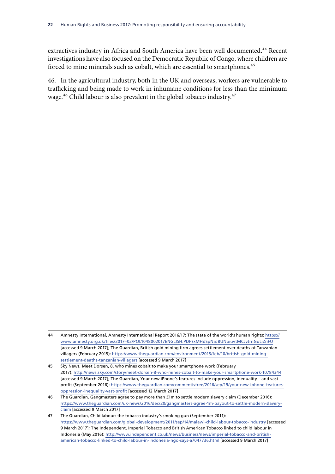extractives industry in Africa and South America have been well documented.<sup>44</sup> Recent investigations have also focused on the Democratic Republic of Congo, where children are forced to mine minerals such as cobalt, which are essential to smartphones.<sup>45</sup>

46. In the agricultural industry, both in the UK and overseas, workers are vulnerable to trafficking and being made to work in inhumane conditions for less than the minimum wage.<sup>46</sup> Child labour is also prevalent in the global tobacco industry.<sup>47</sup>

<sup>44</sup> Amnesty International, Amnesty International Report 2016/17: The state of the world's human rights: [https://](https://www.amnesty.org.uk/files/2017-02/POL1048002017ENGLISH.PDF?xMHdSpNaJBUNbiuvtMCJvJrnGuLiZnFU) [www.amnesty.org.uk/files/2017–02/POL1048002017ENGLISH.PDF?xMHdSpNaJBUNbiuvtMCJvJrnGuLiZnFU](https://www.amnesty.org.uk/files/2017-02/POL1048002017ENGLISH.PDF?xMHdSpNaJBUNbiuvtMCJvJrnGuLiZnFU) [accessed 9 March 2017]; The Guardian, British gold mining firm agrees settlement over deaths of Tanzanian villagers (February 2015): [https://www.theguardian.com/environment/2015/feb/10/british-gold-mining](https://www.theguardian.com/environment/2015/feb/10/british-gold-mining-settlement-deaths-tanzanian-villagers)[settlement-deaths-tanzanian-villagers](https://www.theguardian.com/environment/2015/feb/10/british-gold-mining-settlement-deaths-tanzanian-villagers) [accessed 9 March 2017]

<sup>45</sup> Sky News, Meet Dorsen, 8, who mines cobalt to make your smartphone work (February 2017): <http://news.sky.com/story/meet-dorsen-8-who-mines-cobalt-to-make-your-smartphone-work-10784344> [accessed 9 March 2017]; The Guardian, Your new iPhone's features include oppression, inequality – and vast profit (September 2016): [https://www.theguardian.com/commentisfree/2016/sep/19/your-new-iphone-features](https://www.theguardian.com/commentisfree/2016/sep/19/your-new-iphone-features-oppression-inequality-vast-profit)[oppression-inequality-vast-profit](https://www.theguardian.com/commentisfree/2016/sep/19/your-new-iphone-features-oppression-inequality-vast-profit) [accessed 12 March 2017]

<sup>46</sup> The Guardian, Gangmasters agree to pay more than £1m to settle modern slavery claim (December 2016): [https://www.theguardian.com/uk-news/2016/dec/20/gangmasters-agree-1m-payout-to-settle-modern-slavery](https://www.theguardian.com/uk-news/2016/dec/20/gangmasters-agree-1m-payout-to-settle-modern-slavery-claim)[claim](https://www.theguardian.com/uk-news/2016/dec/20/gangmasters-agree-1m-payout-to-settle-modern-slavery-claim) [accessed 9 March 2017]

<sup>47</sup> The Guardian, Child labour: the tobacco industry's smoking gun (September 2011): <https://www.theguardian.com/global-development/2011/sep/14/malawi-child-labour-tobacco-industry>[accessed 9 March 2017]; The Independent, Imperial Tobacco and British American Tobacco linked to child labour in Indonesia (May 2016): [http://www.independent.co.uk/news/business/news/imperial-tobacco-and-british](http://www.independent.co.uk/news/business/news/imperial-tobacco-and-british-american-tobacco-linked-to-child-labour-in-indonesia-ngo-says-a7047736.html)[american-tobacco-linked-to-child-labour-in-indonesia-ngo-says-a7047736.html](http://www.independent.co.uk/news/business/news/imperial-tobacco-and-british-american-tobacco-linked-to-child-labour-in-indonesia-ngo-says-a7047736.html) [accessed 9 March 2017]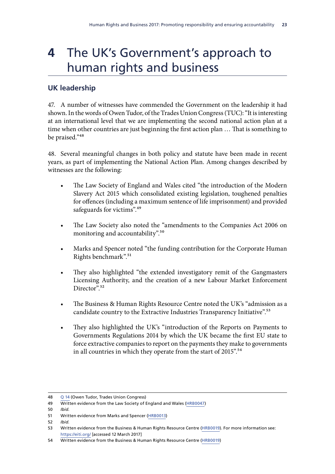## <span id="page-27-0"></span>**4** The UK's Government's approach to human rights and business

#### **UK leadership**

47. A number of witnesses have commended the Government on the leadership it had shown. In the words of Owen Tudor, of the Trades Union Congress (TUC): "It is interesting at an international level that we are implementing the second national action plan at a time when other countries are just beginning the first action plan … That is something to be praised."48

48. Several meaningful changes in both policy and statute have been made in recent years, as part of implementing the National Action Plan. Among changes described by witnesses are the following:

- The Law Society of England and Wales cited "the introduction of the Modern Slavery Act 2015 which consolidated existing legislation, toughened penalties for offences (including a maximum sentence of life imprisonment) and provided safeguards for victims".<sup>49</sup>
- The Law Society also noted the "amendments to the Companies Act 2006 on monitoring and accountability".50
- Marks and Spencer noted "the funding contribution for the Corporate Human Rights benchmark".51
- They also highlighted "the extended investigatory remit of the Gangmasters Licensing Authority, and the creation of a new Labour Market Enforcement Director<sup>"</sup><sup>52</sup>
- The Business & Human Rights Resource Centre noted the UK's "admission as a candidate country to the Extractive Industries Transparency Initiative".<sup>53</sup>
- They also highlighted the UK's "introduction of the Reports on Payments to Governments Regulations 2014 by which the UK became the first EU state to force extractive companies to report on the payments they make to governments in all countries in which they operate from the start of 2015".<sup>54</sup>

52 *Ibid.*

<sup>48</sup> Q [14](http://data.parliament.uk/writtenevidence/committeeevidence.svc/evidencedocument/human-rights-committee/human-rights-and-business/oral/37802.html) (Owen Tudor, Trades Union Congress)

<sup>49</sup> Written evidence from the Law Society of England and Wales [\(HRB0047\)](http://data.parliament.uk/writtenevidence/committeeevidence.svc/evidencedocument/human-rights-committee/human-rights-and-business/written/44152.html)

<sup>50</sup> *Ibid.*

<sup>51</sup> Written evidence from Marks and Spencer [\(HRB0013\)](http://data.parliament.uk/writtenevidence/committeeevidence.svc/evidencedocument/human-rights-committee/human-rights-and-business/written/34910.html)

<sup>53</sup> Written evidence from the Business & Human Rights Resource Centre ([HRB0019\)](http://data.parliament.uk/writtenevidence/committeeevidence.svc/evidencedocument/human-rights-committee/human-rights-and-business/written/34977.html). For more information see: <https://eiti.org/> [accessed 12 March 2017]

<sup>54</sup> Written evidence from the Business & Human Rights Resource Centre ([HRB0019\)](http://data.parliament.uk/writtenevidence/committeeevidence.svc/evidencedocument/human-rights-committee/human-rights-and-business/written/34977.html)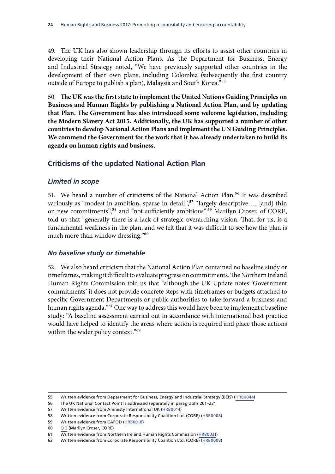<span id="page-28-0"></span>49. The UK has also shown leadership through its efforts to assist other countries in developing their National Action Plans. As the Department for Business, Energy and Industrial Strategy noted, "We have previously supported other countries in the development of their own plans, including Colombia (subsequently the first country outside of Europe to publish a plan), Malaysia and South Korea."55

50. **The UK was the first state to implement the United Nations Guiding Principles on Business and Human Rights by publishing a National Action Plan, and by updating that Plan. The Government has also introduced some welcome legislation, including the Modern Slavery Act 2015. Additionally, the UK has supported a number of other countries to develop National Action Plans and implement the UN Guiding Principles. We commend the Government for the work that it has already undertaken to build its agenda on human rights and business.**

#### **Criticisms of the updated National Action Plan**

#### *Limited in scope*

51. We heard a number of criticisms of the National Action Plan.<sup>56</sup> It was described variously as "modest in ambition, sparse in detail",<sup>57</sup> "largely descriptive ... [and] thin on new commitments",58 and "not sufficiently ambitious".59 Marilyn Croser, of CORE, told us that "generally there is a lack of strategic overarching vision. That, for us, is a fundamental weakness in the plan, and we felt that it was difficult to see how the plan is much more than window dressing."<sup>60</sup>

#### *No baseline study or timetable*

52. We also heard criticism that the National Action Plan contained no baseline study or timeframes, making it difficult to evaluate progress on commitments. The Northern Ireland Human Rights Commission told us that "although the UK Update notes 'Government commitments' it does not provide concrete steps with timeframes or budgets attached to specific Government Departments or public authorities to take forward a business and human rights agenda."<sup>61</sup> One way to address this would have been to implement a baseline study: "A baseline assessment carried out in accordance with international best practice would have helped to identify the areas where action is required and place those actions within the wider policy context."<sup>62</sup>

<sup>55</sup> Written evidence from Department for Business, Energy and Industrial Strategy (BEIS) ([HRB0044](http://data.parliament.uk/writtenevidence/committeeevidence.svc/evidencedocument/human-rights-committee/human-rights-and-business/written/38017.html))

<sup>56</sup> The UK National Contact Point is addressed separately in paragraphs 201–221

<sup>57</sup> Written evidence from Amnesty International UK ([HRB0014](http://data.parliament.uk/writtenevidence/committeeevidence.svc/evidencedocument/human-rights-committee/human-rights-and-business/written/34914.html))

<sup>58</sup> Written evidence from Corporate Responsibility Coalition Ltd. (CORE) ([HRB0008\)](http://data.parliament.uk/writtenevidence/committeeevidence.svc/evidencedocument/human-rights-committee/human-rights-and-business/written/34872.html)

<sup>59</sup> Written evidence from CAFOD [\(HRB0018](http://data.parliament.uk/writtenevidence/committeeevidence.svc/evidencedocument/human-rights-committee/human-rights-and-business/written/34966.html))

<sup>60</sup> [Q](http://data.parliament.uk/writtenevidence/committeeevidence.svc/evidencedocument/human-rights-committee/human-rights-and-business/oral/35317.html) 2 (Marilyn Croser, CORE)

<sup>61</sup> Written evidence from Northern Ireland Human Rights Commission ([HRB0031\)](http://data.parliament.uk/writtenevidence/committeeevidence.svc/evidencedocument/human-rights-committee/human-rights-and-business/written/35141.html)

<sup>62</sup> Written evidence from Corporate Responsibility Coalition Ltd. (CORE) ([HRB0008\)](http://data.parliament.uk/writtenevidence/committeeevidence.svc/evidencedocument/human-rights-committee/human-rights-and-business/written/34872.html)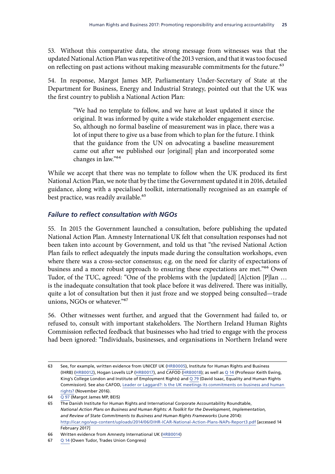<span id="page-29-0"></span>53. Without this comparative data, the strong message from witnesses was that the updated National Action Plan was repetitive of the 2013 version, and that it was too focused on reflecting on past actions without making measurable commitments for the future.<sup>63</sup>

54. In response, Margot James MP, Parliamentary Under-Secretary of State at the Department for Business, Energy and Industrial Strategy, pointed out that the UK was the first country to publish a National Action Plan:

> "We had no template to follow, and we have at least updated it since the original. It was informed by quite a wide stakeholder engagement exercise. So, although no formal baseline of measurement was in place, there was a lot of input there to give us a base from which to plan for the future. I think that the guidance from the UN on advocating a baseline measurement came out after we published our [original] plan and incorporated some changes in law."64

While we accept that there was no template to follow when the UK produced its first National Action Plan, we note that by the time the Government updated it in 2016, detailed guidance, along with a specialised toolkit, internationally recognised as an example of best practice, was readily available.<sup>65</sup>

#### *Failure to reflect consultation with NGOs*

55. In 2015 the Government launched a consultation, before publishing the updated National Action Plan. Amnesty International UK felt that consultation responses had not been taken into account by Government, and told us that "the revised National Action Plan fails to reflect adequately the inputs made during the consultation workshops, even where there was a cross-sector consensus; e.g. on the need for clarity of expectations of business and a more robust approach to ensuring these expectations are met."66 Owen Tudor, of the TUC, agreed: "One of the problems with the [updated] [A]ction [P]lan … is the inadequate consultation that took place before it was delivered. There was initially, quite a lot of consultation but then it just froze and we stopped being consulted—trade unions, NGOs or whatever."67

56. Other witnesses went further, and argued that the Government had failed to, or refused to, consult with important stakeholders. The Northern Ireland Human Rights Commission reflected feedback that businesses who had tried to engage with the process had been ignored: "Individuals, businesses, and organisations in Northern Ireland were

<sup>63</sup> See, for example, written evidence from UNICEF UK ([HRB0005\)](http://data.parliament.uk/writtenevidence/committeeevidence.svc/evidencedocument/human-rights-committee/human-rights-and-business/written/34819.html), Institute for Human Rights and Business (IHRB) [\(HRB0012](http://data.parliament.uk/writtenevidence/committeeevidence.svc/evidencedocument/human-rights-committee/human-rights-and-business/written/34907.html)), Hogan Lovells LLP [\(HRB0017\)](http://data.parliament.uk/writtenevidence/committeeevidence.svc/evidencedocument/human-rights-committee/human-rights-and-business/written/34947.html), and CAFOD ([HRB0018\)](http://data.parliament.uk/writtenevidence/committeeevidence.svc/evidencedocument/human-rights-committee/human-rights-and-business/written/34966.html); as well as Q [14](http://data.parliament.uk/writtenevidence/committeeevidence.svc/evidencedocument/human-rights-committee/human-rights-and-business/oral/37802.html) (Professor Keith Ewing, King's College London and Institute of Employment Rights) and Q [79](http://data.parliament.uk/writtenevidence/committeeevidence.svc/evidencedocument/human-rights-committee/human-rights-and-business/oral/46607.html) (David Isaac, Equality and Human Rights Commission). See also CAFOD, [Leader or Laggard?: Is the UK meetings its commitments on business and human](http://cafod.org.uk/content/download/32806/384920/version/4/file/CAFOD%20Business%20and%20human%20rights%20report,%20%27Leader%20or%20Laggard%27%20(November%202016).pdf)  [rights?](http://cafod.org.uk/content/download/32806/384920/version/4/file/CAFOD%20Business%20and%20human%20rights%20report,%20%27Leader%20or%20Laggard%27%20(November%202016).pdf) (November 2016).

<sup>64</sup> Q [97](http://data.parliament.uk/writtenevidence/committeeevidence.svc/evidencedocument/human-rights-committee/human-rights-and-business/oral/47020.html) (Margot James MP, BEIS)

<sup>65</sup> The Danish Institute for Human Rights and International Corporate Accountability Roundtable, *National Action Plans on Business and Human Rights: A Toolkit for the Development, Implementation, and Review of State Commitments to Business and Human Rights Frameworks* (June 2014): <http://icar.ngo/wp-content/uploads/2014/06/DIHR-ICAR-National-Action-Plans-NAPs-Report3.pdf> [accessed 14 February 2017]

<sup>66</sup> Written evidence from Amnesty International UK ([HRB0014](http://data.parliament.uk/writtenevidence/committeeevidence.svc/evidencedocument/human-rights-committee/human-rights-and-business/written/34914.html))

<sup>67</sup> Q [14](http://data.parliament.uk/writtenevidence/committeeevidence.svc/evidencedocument/human-rights-committee/human-rights-and-business/oral/37802.html) (Owen Tudor, Trades Union Congress)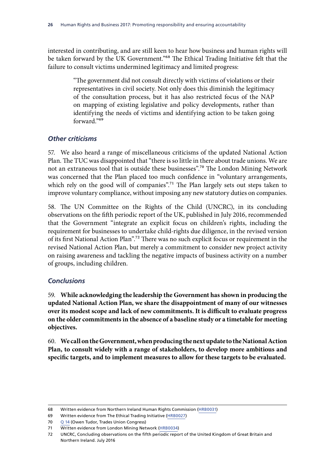<span id="page-30-0"></span>interested in contributing, and are still keen to hear how business and human rights will be taken forward by the UK Government."<sup>68</sup> The Ethical Trading Initiative felt that the failure to consult victims undermined legitimacy and limited progress:

> "The government did not consult directly with victims of violations or their representatives in civil society. Not only does this diminish the legitimacy of the consultation process, but it has also restricted focus of the NAP on mapping of existing legislative and policy developments, rather than identifying the needs of victims and identifying action to be taken going forward."69

#### *Other criticisms*

57. We also heard a range of miscellaneous criticisms of the updated National Action Plan. The TUC was disappointed that "there is so little in there about trade unions. We are not an extraneous tool that is outside these businesses".70 The London Mining Network was concerned that the Plan placed too much confidence in "voluntary arrangements, which rely on the good will of companies".<sup>71</sup> The Plan largely sets out steps taken to improve voluntary compliance, without imposing any new statutory duties on companies.

58. The UN Committee on the Rights of the Child (UNCRC), in its concluding observations on the fifth periodic report of the UK, published in July 2016, recommended that the Government "integrate an explicit focus on children's rights, including the requirement for businesses to undertake child-rights due diligence, in the revised version of its first National Action Plan".72 There was no such explicit focus or requirement in the revised National Action Plan, but merely a commitment to consider new project activity on raising awareness and tackling the negative impacts of business activity on a number of groups, including children.

#### *Conclusions*

59. **While acknowledging the leadership the Government has shown in producing the updated National Action Plan, we share the disappointment of many of our witnesses over its modest scope and lack of new commitments. It is difficult to evaluate progress on the older commitments in the absence of a baseline study or a timetable for meeting objectives.**

60. **We call on the Government, when producing the next update to the National Action Plan, to consult widely with a range of stakeholders, to develop more ambitious and specific targets, and to implement measures to allow for these targets to be evaluated.**

<sup>68</sup> Written evidence from Northern Ireland Human Rights Commission ([HRB0031\)](http://data.parliament.uk/writtenevidence/committeeevidence.svc/evidencedocument/human-rights-committee/human-rights-and-business/written/35141.html)

<sup>69</sup> Written evidence from The Ethical Trading Initiative [\(HRB0027\)](http://data.parliament.uk/writtenevidence/committeeevidence.svc/evidencedocument/human-rights-committee/human-rights-and-business/written/35128.html)

<sup>70</sup> Q [14](http://data.parliament.uk/writtenevidence/committeeevidence.svc/evidencedocument/human-rights-committee/human-rights-and-business/oral/37802.html) (Owen Tudor, Trades Union Congress)

<sup>71</sup> Written evidence from London Mining Network ([HRB0034\)](http://data.parliament.uk/writtenevidence/committeeevidence.svc/evidencedocument/human-rights-committee/human-rights-and-business/written/35281.html)

<sup>72</sup> UNCRC, Concluding observations on the fifth periodic report of the United Kingdom of Great Britain and Northern Ireland. July 2016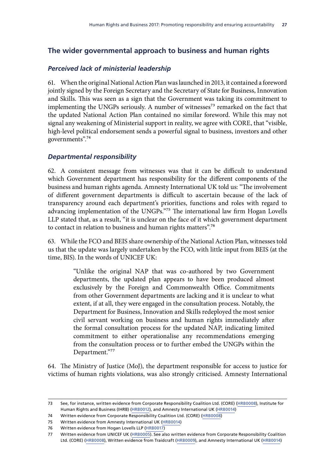### <span id="page-31-0"></span>**The wider governmental approach to business and human rights**

#### *Perceived lack of ministerial leadership*

61. When the original National Action Plan was launched in 2013, it contained a foreword jointly signed by the Foreign Secretary and the Secretary of State for Business, Innovation and Skills. This was seen as a sign that the Government was taking its commitment to implementing the UNGPs seriously. A number of witnesses<sup>73</sup> remarked on the fact that the updated National Action Plan contained no similar foreword. While this may not signal any weakening of Ministerial support in reality, we agree with CORE, that "visible, high-level political endorsement sends a powerful signal to business, investors and other governments".74

#### *Departmental responsibility*

62. A consistent message from witnesses was that it can be difficult to understand which Government department has responsibility for the different components of the business and human rights agenda. Amnesty International UK told us: "The involvement of different government departments is difficult to ascertain because of the lack of transparency around each department's priorities, functions and roles with regard to advancing implementation of the UNGPs."75 The international law firm Hogan Lovells LLP stated that, as a result, "it is unclear on the face of it which government department to contact in relation to business and human rights matters".76

63. While the FCO and BEIS share ownership of the National Action Plan, witnesses told us that the update was largely undertaken by the FCO, with little input from BEIS (at the time, BIS). In the words of UNICEF UK:

> "Unlike the original NAP that was co-authored by two Government departments, the updated plan appears to have been produced almost exclusively by the Foreign and Commonwealth Office. Commitments from other Government departments are lacking and it is unclear to what extent, if at all, they were engaged in the consultation process. Notably, the Department for Business, Innovation and Skills redeployed the most senior civil servant working on business and human rights immediately after the formal consultation process for the updated NAP, indicating limited commitment to either operationalise any recommendations emerging from the consultation process or to further embed the UNGPs within the Department."77

64. The Ministry of Justice (MoJ), the department responsible for access to justice for victims of human rights violations, was also strongly criticised. Amnesty International

<sup>73</sup> See, for instance, written evidence from Corporate Responsibility Coalition Ltd. (CORE) [\(HRB0008\)](http://data.parliament.uk/writtenevidence/committeeevidence.svc/evidencedocument/human-rights-committee/human-rights-and-business/written/34872.html), Institute for Human Rights and Business (IHRB) [\(HRB0012\)](http://data.parliament.uk/writtenevidence/committeeevidence.svc/evidencedocument/human-rights-committee/human-rights-and-business/written/34907.html), and Amnesty International UK ([HRB0014\)](http://data.parliament.uk/writtenevidence/committeeevidence.svc/evidencedocument/human-rights-committee/human-rights-and-business/written/34914.html)

<sup>74</sup> Written evidence from Corporate Responsibility Coalition Ltd. (CORE) ([HRB0008\)](http://data.parliament.uk/writtenevidence/committeeevidence.svc/evidencedocument/human-rights-committee/human-rights-and-business/written/34872.html)

<sup>75</sup> Written evidence from Amnesty International UK ([HRB0014](http://data.parliament.uk/writtenevidence/committeeevidence.svc/evidencedocument/human-rights-committee/human-rights-and-business/written/34914.html))

<sup>76</sup> Written evidence from Hogan Lovells LLP [\(HRB0017\)](http://data.parliament.uk/writtenevidence/committeeevidence.svc/evidencedocument/human-rights-committee/human-rights-and-business/written/34947.html)

<sup>77</sup> Written evidence from UNICEF UK [\(HRB0005\)](http://data.parliament.uk/writtenevidence/committeeevidence.svc/evidencedocument/human-rights-committee/human-rights-and-business/written/34819.html). See also written evidence from Corporate Responsibility Coalition Ltd. (CORE) [\(HRB0008](http://data.parliament.uk/writtenevidence/committeeevidence.svc/evidencedocument/human-rights-committee/human-rights-and-business/written/34872.html)), Written evidence from Traidcraft [\(HRB0009\)](http://data.parliament.uk/writtenevidence/committeeevidence.svc/evidencedocument/human-rights-committee/human-rights-and-business/written/34889.html), and Amnesty International UK ([HRB0014\)](http://data.parliament.uk/writtenevidence/committeeevidence.svc/evidencedocument/human-rights-committee/human-rights-and-business/written/34914.html)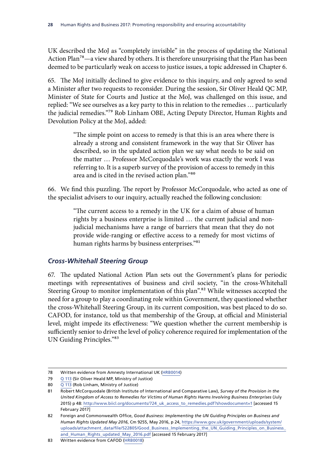<span id="page-32-0"></span>UK described the MoJ as "completely invisible" in the process of updating the National Action Plan<sup>78</sup>—a view shared by others. It is therefore unsurprising that the Plan has been deemed to be particularly weak on access to justice issues, a topic addressed in Chapter 6.

65. The MoJ initially declined to give evidence to this inquiry, and only agreed to send a Minister after two requests to reconsider. During the session, Sir Oliver Heald QC MP, Minister of State for Courts and Justice at the MoJ, was challenged on this issue, and replied: "We see ourselves as a key party to this in relation to the remedies … particularly the judicial remedies."79 Rob Linham OBE, Acting Deputy Director, Human Rights and Devolution Policy at the MoJ, added:

> "The simple point on access to remedy is that this is an area where there is already a strong and consistent framework in the way that Sir Oliver has described, so in the updated action plan we say what needs to be said on the matter … Professor McCorquodale's work was exactly the work I was referring to. It is a superb survey of the provision of access to remedy in this area and is cited in the revised action plan."80

66. We find this puzzling. The report by Professor McCorquodale, who acted as one of the specialist advisers to our inquiry, actually reached the following conclusion:

> "The current access to a remedy in the UK for a claim of abuse of human rights by a business enterprise is limited … the current judicial and nonjudicial mechanisms have a range of barriers that mean that they do not provide wide-ranging or effective access to a remedy for most victims of human rights harms by business enterprises."81

#### *Cross-Whitehall Steering Group*

67. The updated National Action Plan sets out the Government's plans for periodic meetings with representatives of business and civil society, "in the cross-Whitehall Steering Group to monitor implementation of this plan".<sup>82</sup> While witnesses accepted the need for a group to play a coordinating role within Government, they questioned whether the cross-Whitehall Steering Group, in its current composition, was best placed to do so. CAFOD, for instance, told us that membership of the Group, at official and Ministerial level, might impede its effectiveness: "We question whether the current membership is sufficiently senior to drive the level of policy coherence required for implementation of the UN Guiding Principles."83

<sup>78</sup> Written evidence from Amnesty International UK ([HRB0014](http://data.parliament.uk/writtenevidence/committeeevidence.svc/evidencedocument/human-rights-committee/human-rights-and-business/written/34914.html))

<sup>79</sup> Q [113](http://data.parliament.uk/writtenevidence/committeeevidence.svc/evidencedocument/human-rights-committee/human-rights-and-business/oral/47020.html) (Sir Oliver Heald MP, Ministry of Justice)

<sup>80</sup> Q [113](http://data.parliament.uk/writtenevidence/committeeevidence.svc/evidencedocument/human-rights-committee/human-rights-and-business/oral/47020.html) (Rob Linham, Ministry of Justice)

<sup>81</sup> Robert McCorquodale (British Institute of International and Comparative Law), *Survey of the Provision in the United Kingdom of Access to Remedies for Victims of Human Rights Harms Involving Business Enterprises* (July 2015) p 48: [http://www.biicl.org/documents/724\\_uk\\_access\\_to\\_remedies.pdf?showdocument=1](http://www.biicl.org/documents/724_uk_access_to_remedies.pdf?showdocument=1) [accessed 15 February 2017]

<sup>82</sup> Foreign and Commonwealth Office, *Good Business: Implementing the UN Guiding Principles on Business and Human Rights Updated May 2016*, Cm 9255, May 2016, p 24, [https://www.gov.uk/government/uploads/system/](https://www.gov.uk/government/uploads/system/uploads/attachment_data/file/522805/Good_Business_Implementing_the_UN_Guiding_Principles_on_Business_and_Human_Rights_updated_May_2016.pdf) [uploads/attachment\\_data/file/522805/Good\\_Business\\_Implementing\\_the\\_UN\\_Guiding\\_Principles\\_on\\_Business\\_](https://www.gov.uk/government/uploads/system/uploads/attachment_data/file/522805/Good_Business_Implementing_the_UN_Guiding_Principles_on_Business_and_Human_Rights_updated_May_2016.pdf) [and\\_Human\\_Rights\\_updated\\_May\\_2016.pdf](https://www.gov.uk/government/uploads/system/uploads/attachment_data/file/522805/Good_Business_Implementing_the_UN_Guiding_Principles_on_Business_and_Human_Rights_updated_May_2016.pdf) [accessed 15 February 2017]

<sup>83</sup> Written evidence from CAFOD [\(HRB0018](http://data.parliament.uk/writtenevidence/committeeevidence.svc/evidencedocument/human-rights-committee/human-rights-and-business/written/34966.html))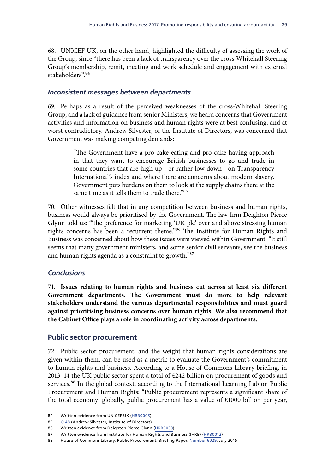<span id="page-33-0"></span>68. UNICEF UK, on the other hand, highlighted the difficulty of assessing the work of the Group, since "there has been a lack of transparency over the cross-Whitehall Steering Group's membership, remit, meeting and work schedule and engagement with external stakeholders".84

#### *Inconsistent messages between departments*

69. Perhaps as a result of the perceived weaknesses of the cross-Whitehall Steering Group, and a lack of guidance from senior Ministers, we heard concerns that Government activities and information on business and human rights were at best confusing, and at worst contradictory. Andrew Silvester, of the Institute of Directors, was concerned that Government was making competing demands:

> "The Government have a pro cake-eating and pro cake-having approach in that they want to encourage British businesses to go and trade in some countries that are high up—or rather low down—on Transparency International's index and where there are concerns about modern slavery. Government puts burdens on them to look at the supply chains there at the same time as it tells them to trade there."85

70. Other witnesses felt that in any competition between business and human rights, business would always be prioritised by the Government. The law firm Deighton Pierce Glynn told us: "The preference for marketing 'UK plc' over and above stressing human rights concerns has been a recurrent theme."86 The Institute for Human Rights and Business was concerned about how these issues were viewed within Government: "It still seems that many government ministers, and some senior civil servants, see the business and human rights agenda as a constraint to growth."87

#### *Conclusions*

71. **Issues relating to human rights and business cut across at least six different Government departments. The Government must do more to help relevant stakeholders understand the various departmental responsibilities and must guard against prioritising business concerns over human rights. We also recommend that the Cabinet Office plays a role in coordinating activity across departments.**

#### **Public sector procurement**

72. Public sector procurement, and the weight that human rights considerations are given within them, can be used as a metric to evaluate the Government's commitment to human rights and business. According to a House of Commons Library briefing, in 2013–14 the UK public sector spent a total of £242 billion on procurement of goods and services.<sup>88</sup> In the global context, according to the International Learning Lab on Public Procurement and Human Rights: "Public procurement represents a significant share of the total economy: globally, public procurement has a value of €1000 billion per year,

<sup>84</sup> Written evidence from UNICEF UK [\(HRB0005\)](http://data.parliament.uk/writtenevidence/committeeevidence.svc/evidencedocument/human-rights-committee/human-rights-and-business/written/34819.html)

<sup>85</sup> Q [48](http://data.parliament.uk/writtenevidence/committeeevidence.svc/evidencedocument/human-rights-committee/human-rights-and-business/oral/43482.html) (Andrew Silvester, Institute of Directors)

<sup>86</sup> Written evidence from Deighton Pierce Glynn [\(HRB0033](http://data.parliament.uk/writtenevidence/committeeevidence.svc/evidencedocument/human-rights-committee/human-rights-and-business/written/35152.html))

<sup>87</sup> Written evidence from Institute for Human Rights and Business (IHRB) [\(HRB0012\)](http://data.parliament.uk/writtenevidence/committeeevidence.svc/evidencedocument/human-rights-committee/human-rights-and-business/written/34907.html)

<sup>88</sup> House of Commons Library, Public Procurement, Briefing Paper, [Number 6029](http://researchbriefings.files.parliament.uk/documents/SN06029/SN06029.pdf), July 2015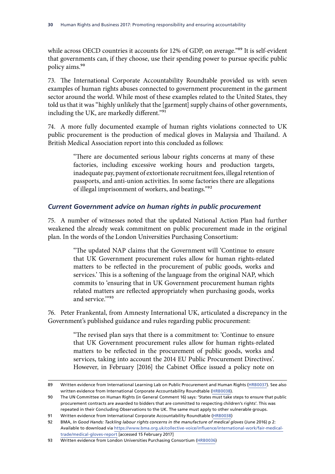<span id="page-34-0"></span>while across OECD countries it accounts for 12% of GDP, on average."<sup>89</sup> It is self-evident that governments can, if they choose, use their spending power to pursue specific public policy aims.90

73. The International Corporate Accountability Roundtable provided us with seven examples of human rights abuses connected to government procurement in the garment sector around the world. While most of these examples related to the United States, they told us that it was "highly unlikely that the [garment] supply chains of other governments, including the UK, are markedly different."<sup>91</sup>

74. A more fully documented example of human rights violations connected to UK public procurement is the production of medical gloves in Malaysia and Thailand. A British Medical Association report into this concluded as follows:

> "There are documented serious labour rights concerns at many of these factories, including excessive working hours and production targets, inadequate pay, payment of extortionate recruitment fees, illegal retention of passports, and anti-union activities. In some factories there are allegations of illegal imprisonment of workers, and beatings."92

#### *Current Government advice on human rights in public procurement*

75. A number of witnesses noted that the updated National Action Plan had further weakened the already weak commitment on public procurement made in the original plan. In the words of the London Universities Purchasing Consortium:

> "The updated NAP claims that the Government will 'Continue to ensure that UK Government procurement rules allow for human rights-related matters to be reflected in the procurement of public goods, works and services.' This is a softening of the language from the original NAP, which commits to 'ensuring that in UK Government procurement human rights related matters are reflected appropriately when purchasing goods, works and service.'"93

76. Peter Frankental, from Amnesty International UK, articulated a discrepancy in the Government's published guidance and rules regarding public procurement:

> "The revised plan says that there is a commitment to: 'Continue to ensure that UK Government procurement rules allow for human rights-related matters to be reflected in the procurement of public goods, works and services, taking into account the 2014 EU Public Procurement Directives'. However, in February [2016] the Cabinet Office issued a policy note on

<sup>89</sup> Written evidence from International Learning Lab on Public Procurement and Human Rights ([HRB0037](http://data.parliament.uk/writtenevidence/committeeevidence.svc/evidencedocument/human-rights-committee/human-rights-and-business/written/36069.html)). See also written evidence from International Corporate Accountability Roundtable [\(HRB0038\)](http://data.parliament.uk/writtenevidence/committeeevidence.svc/evidencedocument/human-rights-committee/human-rights-and-business/written/36097.html).

<sup>90</sup> The UN Committee on Human Rights (in General Comment 16) says: 'States must take steps to ensure that public procurement contracts are awarded to bidders that are committed to respecting children's rights'. This was repeated in their Concluding Observations to the UK. The same must apply to other vulnerable groups.

<sup>91</sup> Written evidence from International Corporate Accountability Roundtable ([HRB0038\)](http://data.parliament.uk/writtenevidence/committeeevidence.svc/evidencedocument/human-rights-committee/human-rights-and-business/written/36097.html)

<sup>92</sup> BMA, *In Good Hands: Tackling labour rights concerns in the manufacture of medical gloves* (June 2016) p 2: Available to download via [https://www.bma.org.uk/collective-voice/influence/international-work/fair-medical](https://www.bma.org.uk/collective-voice/influence/international-work/fair-medical-trade/medical-gloves-report)[trade/medical-gloves-report](https://www.bma.org.uk/collective-voice/influence/international-work/fair-medical-trade/medical-gloves-report) [accessed 15 February 2017]

<sup>93</sup> Written evidence from London Universities Purchasing Consortium ([HRB0036\)](http://data.parliament.uk/writtenevidence/committeeevidence.svc/evidencedocument/human-rights-committee/human-rights-and-business/written/36046.html)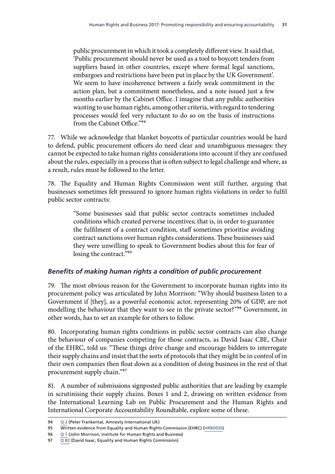<span id="page-35-0"></span>public procurement in which it took a completely different view. It said that, 'Public procurement should never be used as a tool to boycott tenders from suppliers based in other countries, except where formal legal sanctions, embargoes and restrictions have been put in place by the UK Government'. We seem to have incoherence between a fairly weak commitment in the action plan, but a commitment nonetheless, and a note issued just a few months earlier by the Cabinet Office. I imagine that any public authorities wanting to use human rights, among other criteria, with regard to tendering processes would feel very reluctant to do so on the basis of instructions from the Cabinet Office."94

77. While we acknowledge that blanket boycotts of particular countries would be hard to defend, public procurement officers do need clear and unambiguous messages: they cannot be expected to take human rights considerations into account if they are confused about the rules, especially in a process that is often subject to legal challenge and where, as a result, rules must be followed to the letter.

78. The Equality and Human Rights Commission went still further, arguing that businesses sometimes felt pressured to ignore human rights violations in order to fulfil public sector contracts:

> "Some businesses said that public sector contracts sometimes included conditions which created perverse incentives; that is, in order to guarantee the fulfilment of a contract condition, staff sometimes prioritise avoiding contract sanctions over human rights considerations. These businesses said they were unwilling to speak to Government bodies about this for fear of losing the contract."<sup>95</sup>

#### *Benefits of making human rights a condition of public procurement*

79. The most obvious reason for the Government to incorporate human rights into its procurement policy was articulated by John Morrison: "Why should business listen to a Government if [they], as a powerful economic actor, representing 20% of GDP, are not modelling the behaviour that they want to see in the private sector?"<sup>96</sup> Government, in other words, has to set an example for others to follow.

80. Incorporating human rights conditions in public sector contracts can also change the behaviour of companies competing for those contracts, as David Isaac CBE, Chair of the EHRC, told us: "These things drive change and encourage bidders to interrogate their supply chains and insist that the sorts of protocols that they might be in control of in their own companies then float down as a condition of doing business in the rest of that procurement supply chain."97

81. A number of submissions signposted public authorities that are leading by example in scrutinising their supply chains. Boxes 1 and 2, drawing on written evidence from the International Learning Lab on Public Procurement and the Human Rights and International Corporate Accountability Roundtable, explore some of these.

<sup>94</sup> [Q](http://data.parliament.uk/writtenevidence/committeeevidence.svc/evidencedocument/human-rights-committee/human-rights-and-business/oral/35317.html) 2 (Peter Frankental, Amnesty International UK)

<sup>95</sup> Written evidence from Equality and Human Rights Commission (EHRC) ([HRB0030\)](http://data.parliament.uk/writtenevidence/committeeevidence.svc/evidencedocument/human-rights-committee/human-rights-and-business/written/35138.html)

<sup>96</sup> [Q](http://data.parliament.uk/writtenevidence/committeeevidence.svc/evidencedocument/human-rights-committee/human-rights-and-business/oral/35317.html) 7 (John Morrison, Institute for Human Rights and Business)

<sup>97</sup>  $\overline{Q83}$  $\overline{Q83}$  $\overline{Q83}$  (David Isaac, Equality and Human Rights Commission)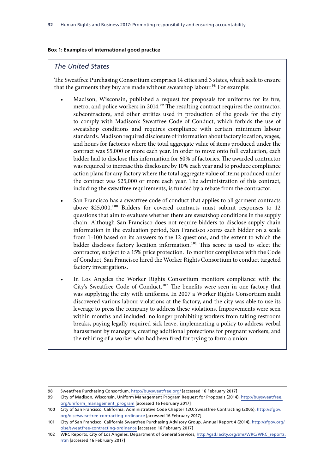#### **Box 1: Examples of international good practice**

#### *The United States*

The Sweatfree Purchasing Consortium comprises 14 cities and 3 states, which seek to ensure that the garments they buy are made without sweatshop labour.<sup>98</sup> For example:

- Madison, Wisconsin, published a request for proposals for uniforms for its fire, metro, and police workers in 2014.<sup>99</sup> The resulting contract requires the contractor, subcontractors, and other entities used in production of the goods for the city to comply with Madison's Sweatfree Code of Conduct, which forbids the use of sweatshop conditions and requires compliance with certain minimum labour standards. Madison required disclosure of information about factory location, wages, and hours for factories where the total aggregate value of items produced under the contract was \$5,000 or more each year. In order to move onto full evaluation, each bidder had to disclose this information for 60% of factories. The awarded contractor was required to increase this disclosure by 10% each year and to produce compliance action plans for any factory where the total aggregate value of items produced under the contract was \$25,000 or more each year. The administration of this contract, including the sweatfree requirements, is funded by a rebate from the contractor.
- San Francisco has a sweatfree code of conduct that applies to all garment contracts above \$25,000.100 Bidders for covered contracts must submit responses to 12 questions that aim to evaluate whether there are sweatshop conditions in the supply chain. Although San Francisco does not require bidders to disclose supply chain information in the evaluation period, San Francisco scores each bidder on a scale from 1–100 based on its answers to the 12 questions, and the extent to which the bidder discloses factory location information.<sup>101</sup> This score is used to select the contractor, subject to a 15% price protection. To monitor compliance with the Code of Conduct, San Francisco hired the Worker Rights Consortium to conduct targeted factory investigations.
- In Los Angeles the Worker Rights Consortium monitors compliance with the City's Sweatfree Code of Conduct.102 The benefits were seen in one factory that was supplying the city with uniforms. In 2007 a Worker Rights Consortium audit discovered various labour violations at the factory, and the city was able to use its leverage to press the company to address these violations. Improvements were seen within months and included: no longer prohibiting workers from taking restroom breaks, paying legally required sick leave, implementing a policy to address verbal harassment by managers, creating additional protections for pregnant workers, and the rehiring of a worker who had been fired for trying to form a union.

<sup>98</sup> Sweatfree Purchasing Consortium,<http://buysweatfree.org/> [accessed 16 February 2017]

<sup>99</sup> City of Madison, Wisconsin, Uniform Management Program Request for Proposals (2014), [http://buysweatfree.](http://buysweatfree.org/uniform_management_program) [org/uniform\\_management\\_program](http://buysweatfree.org/uniform_management_program) [accessed 16 February 2017]

<sup>100</sup> City of San Francisco, California, Administrative Code Chapter 12U: Sweatfree Contracting (2005), [http://sfgov.](http://sfgov.org/olse/sweatfree-contracting-ordinance) [org/olse/sweatfree-contracting-ordinance](http://sfgov.org/olse/sweatfree-contracting-ordinance) [accessed 16 February 2017]

<sup>101</sup> City of San Francisco, California Sweatfree Purchasing Advisory Group, Annual Report 4 (2014), [http://sfgov.org/](http://sfgov.org/olse/sweatfree-contracting-ordinance) [olse/sweatfree-contracting-ordinance](http://sfgov.org/olse/sweatfree-contracting-ordinance) [accessed 16 February 2017]

<sup>102</sup> WRC Reports, City of Los Angeles, Department of General Services, [http://gsd.lacity.org/sms/WRC/WRC\\_reports.](http://gsd.lacity.org/sms/WRC/WRC_reports.htm) [htm](http://gsd.lacity.org/sms/WRC/WRC_reports.htm) [accessed 16 February 2017]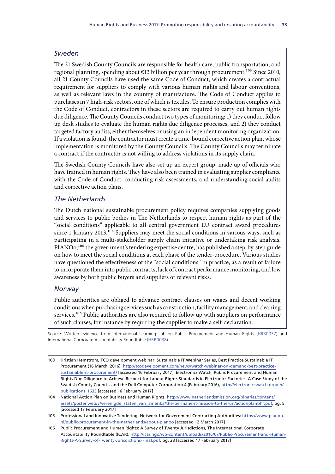### *Sweden*

The 21 Swedish County Councils are responsible for health care, public transportation, and regional planning, spending about  $\epsilon$ 13 billion per year through procurement.<sup>103</sup> Since 2010, all 21 County Councils have used the same Code of Conduct, which creates a contractual requirement for suppliers to comply with various human rights and labour conventions, as well as relevant laws in the country of manufacture. The Code of Conduct applies to purchases in 7 high-risk sectors, one of which is textiles. To ensure production complies with the Code of Conduct, contractors in these sectors are required to carry out human rights due diligence. The County Councils conduct two types of monitoring: 1) they conduct follow up desk studies to evaluate the human rights due diligence processes; and 2) they conduct targeted factory audits, either themselves or using an independent monitoring organization. If a violation is found, the contractor must create a time-bound corrective action plan, whose implementation is monitored by the County Councils. The County Councils may terminate a contract if the contractor is not willing to address violations in its supply chain.

The Swedish County Councils have also set up an expert group, made up of officials who have trained in human rights. They have also been trained in evaluating supplier compliance with the Code of Conduct, conducting risk assessments, and understanding social audits and corrective action plans.

### *The Netherlands*

The Dutch national sustainable procurement policy requires companies supplying goods and services to public bodies in The Netherlands to respect human rights as part of the "social conditions" applicable to all central government EU contract award procedures since 1 January 2013.<sup>104</sup> Suppliers may meet the social conditions in various ways, such as participating in a multi-stakeholder supply chain initiative or undertaking risk analysis. PIANO<sub>0</sub>,<sup>105</sup> the government's tendering expertise centre, has published a step-by-step guide on how to meet the social conditions at each phase of the tender-procedure. Various studies have questioned the effectiveness of the "social conditions" in practice, as a result of failure to incorporate them into public contracts, lack of contract performance monitoring, and low awareness by both public buyers and suppliers of relevant risks.

## *Norway*

Public authorities are obliged to advance contract clauses on wages and decent working conditions when purchasing services such as construction, facility management, and cleaning services.<sup>106</sup> Public authorities are also required to follow up with suppliers on performance of such clauses, for instance by requiring the supplier to make a self-declaration.

Source: Written evidence from International Learning Lab on Public Procurement and Human Rights [\(HRB0037\)](http://data.parliament.uk/writtenevidence/committeeevidence.svc/evidencedocument/human-rights-committee/human-rights-and-business/written/36069.html) and International Corporate Accountability Roundtable ([HRB0038](http://data.parliament.uk/writtenevidence/committeeevidence.svc/evidencedocument/human-rights-committee/human-rights-and-business/written/36097.html))

<sup>103</sup> Kristian Hemstrom, TCO development webinar: Sustainable IT Webinar Series, Best Practice Sustainable IT Procurement (16 March, 2016), [http://tcodevelopment.com/news/watch-webinar-on-demand-best-practice](http://tcodevelopment.com/news/watch-webinar-on-demand-best-practice-sustainable-it-procurement/)[sustainable-it-procurement/](http://tcodevelopment.com/news/watch-webinar-on-demand-best-practice-sustainable-it-procurement/) [accessed 16 February 2017]; Electronics Watch, Public Procurement and Human Rights Due Diligence to Achieve Respect for Labour Rights Standards in Electronics Factories: A Case Study of the Swedish County Councils and the Dell Computer Corporation 4 (February 2016), [http://electronicswatch.org/en/](http://electronicswatch.org/en/publications_1633) [publications\\_1633](http://electronicswatch.org/en/publications_1633) [accessed 16 February 2017]

<sup>104</sup> National Action Plan on Business and Human Rights, [http://www.netherlandsmission.org/binaries/content/](http://www.netherlandsmission.org/binaries/content/assets/postenweb/v/verenigde_staten_van_amerika/t) [assets/postenweb/v/verenigde\\_staten\\_van\\_amerika/the-permanent-mission-to-the-un/actionplanbhr.pdf,](http://www.netherlandsmission.org/binaries/content/assets/postenweb/v/verenigde_staten_van_amerika/t) pg. 5 [accessed 17 February 2017]

<sup>105</sup> Professional and Innovative Tendering, Network for Government Contracting Authorities: [https://www.pianoo.](https://www.pianoo.nl/public-procurement-in-the-netherlands/about-pianoo) [nl/public-procurement-in-the-netherlands/about-pianoo](https://www.pianoo.nl/public-procurement-in-the-netherlands/about-pianoo) [accessed 12 March 2017]

<sup>106</sup> Public Procurement and Human Rights: A Survey of Twenty Jurisdictions, The International Corporate Accountability Roundtable (ICAR), [http://icar.ngo/wp-content/uploads/2016/07/Public-Procurement-and-Human-](http://icar.ngo/wp-content/uploads/2016/07/Public-Procurement-and-Human-Rights-A-Survey-of-Twenty-Jurisdictions-Final.pdf)[Rights-A-Survey-of-Twenty-Jurisdictions-Final.pdf,](http://icar.ngo/wp-content/uploads/2016/07/Public-Procurement-and-Human-Rights-A-Survey-of-Twenty-Jurisdictions-Final.pdf) pg. 28 [accessed 17 February 2017]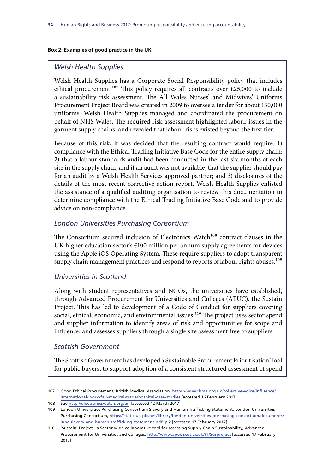#### **Box 2: Examples of good practice in the UK**

### *Welsh Health Supplies*

Welsh Health Supplies has a Corporate Social Responsibility policy that includes ethical procurement.<sup>107</sup> This policy requires all contracts over £25,000 to include a sustainability risk assessment. The All Wales Nurses' and Midwives' Uniforms Procurement Project Board was created in 2009 to oversee a tender for about 150,000 uniforms. Welsh Health Supplies managed and coordinated the procurement on behalf of NHS Wales. The required risk assessment highlighted labour issues in the garment supply chains, and revealed that labour risks existed beyond the first tier.

Because of this risk, it was decided that the resulting contract would require: 1) compliance with the Ethical Trading Initiative Base Code for the entire supply chain; 2) that a labour standards audit had been conducted in the last six months at each site in the supply chain, and if an audit was not available, that the supplier should pay for an audit by a Welsh Health Services approved partner; and 3) disclosures of the details of the most recent corrective action report. Welsh Health Supplies enlisted the assistance of a qualified auditing organisation to review this documentation to determine compliance with the Ethical Trading Initiative Base Code and to provide advice on non-compliance.

## *London Universities Purchasing Consortium*

The Consortium secured inclusion of Electronics Watch<sup>108</sup> contract clauses in the UK higher education sector's £100 million per annum supply agreements for devices using the Apple iOS Operating System. These require suppliers to adopt transparent supply chain management practices and respond to reports of labour rights abuses.<sup>109</sup>

## *Universities in Scotland*

Along with student representatives and NGOs, the universities have established, through Advanced Procurement for Universities and Colleges (APUC), the Sustain Project. This has led to development of a Code of Conduct for suppliers covering social, ethical, economic, and environmental issues.<sup>110</sup> The project uses sector spend and supplier information to identify areas of risk and opportunities for scope and influence, and assesses suppliers through a single site assessment free to suppliers.

### *Scottish Government*

The Scottish Government has developed a Sustainable Procurement Prioritisation Tool for public buyers, to support adoption of a consistent structured assessment of spend

<sup>107</sup> Good Ethical Procurement, British Medical Association, [https://www.bma.org.uk/collective-voice/influence/](https://www.bma.org.uk/collective-voice/influence/international-work/fair-medical-trade/hospital-case-studies) [international-work/fair-medical-trade/hospital-case-studies](https://www.bma.org.uk/collective-voice/influence/international-work/fair-medical-trade/hospital-case-studies) [accessed 16 February 2017]

<sup>108</sup> See<http://electronicswatch.org/en> [accessed 12 March 2017]

<sup>109</sup> London Universities Purchasing Consortium Slavery and Human Trafficking Statement, London Universities Purchasing Consortium, [https://static.uk-plc.net/library/london-universities-purchasing-consortium/documents/](https://static.uk-plc.net/library/london-universities-purchasing-consortium/documents/lupc-slavery-and-human-trafficking-statement.pdf) [lupc-slavery-and-human-trafficking-statement.pdf,](https://static.uk-plc.net/library/london-universities-purchasing-consortium/documents/lupc-slavery-and-human-trafficking-statement.pdf) p 2 [accessed 17 February 2017]

<sup>110</sup> 'Sustain' Project - a Sector wide collaborative tool for assessing Supply Chain Sustainability, Advanced Procurement for Universities and Colleges,<http://www.apuc-scot.ac.uk/#!/Susproject>[accessed 17 February 2017]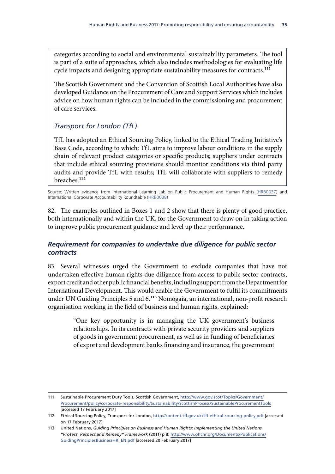categories according to social and environmental sustainability parameters. The tool is part of a suite of approaches, which also includes methodologies for evaluating life cycle impacts and designing appropriate sustainability measures for contracts.<sup>111</sup>

The Scottish Government and the Convention of Scottish Local Authorities have also developed Guidance on the Procurement of Care and Support Services which includes advice on how human rights can be included in the commissioning and procurement of care services.

# *Transport for London (TfL)*

TfL has adopted an Ethical Sourcing Policy, linked to the Ethical Trading Initiative's Base Code, according to which: TfL aims to improve labour conditions in the supply chain of relevant product categories or specific products; suppliers under contracts that include ethical sourcing provisions should monitor conditions via third party audits and provide TfL with results; TfL will collaborate with suppliers to remedy breaches.<sup>112</sup>

Source: Written evidence from International Learning Lab on Public Procurement and Human Rights [\(HRB0037\)](http://data.parliament.uk/writtenevidence/committeeevidence.svc/evidencedocument/human-rights-committee/human-rights-and-business/written/36069.html) and International Corporate Accountability Roundtable ([HRB0038](http://data.parliament.uk/writtenevidence/committeeevidence.svc/evidencedocument/human-rights-committee/human-rights-and-business/written/36097.html))

82. The examples outlined in Boxes 1 and 2 show that there is plenty of good practice, both internationally and within the UK, for the Government to draw on in taking action to improve public procurement guidance and level up their performance.

# *Requirement for companies to undertake due diligence for public sector contracts*

83. Several witnesses urged the Government to exclude companies that have not undertaken effective human rights due diligence from access to public sector contracts, export credit and other public financial benefits, including support from the Department for International Development. This would enable the Government to fulfil its commitments under UN Guiding Principles 5 and 6.<sup>113</sup> Nomogaia, an international, non-profit research organisation working in the field of business and human rights, explained:

> "One key opportunity is in managing the UK government's business relationships. In its contracts with private security providers and suppliers of goods in government procurement, as well as in funding of beneficiaries of export and development banks financing and insurance, the government

<sup>111</sup> Sustainable Procurement Duty Tools, Scottish Government, [http://www.gov.scot/Topics/Government/](http://www.gov.scot/Topics/Government/Procurement/policy/corporate-responsibility/Sustainability/ScottishProcess/SustainableProcurementTools) [Procurement/policy/corporate-responsibility/Sustainability/ScottishProcess/SustainableProcurementTools](http://www.gov.scot/Topics/Government/Procurement/policy/corporate-responsibility/Sustainability/ScottishProcess/SustainableProcurementTools) [accessed 17 February 2017]

<sup>112</sup> Ethical Sourcing Policy, Transport for London,<http://content.tfl.gov.uk/tfl-ethical-sourcing-policy.pdf>[accessed on 17 February 2017]

<sup>113</sup> United Nations, *Guiding Principles on Business and Human Rights: Implementing the United Nations "Protect, Respect and Remedy" Framework* (2011) p 8: [http://www.ohchr.org/Documents/Publications/](http://www.ohchr.org/Documents/Publications/GuidingPrinciplesBusinessHR_EN.pdf) [GuidingPrinciplesBusinessHR\\_EN.pdf](http://www.ohchr.org/Documents/Publications/GuidingPrinciplesBusinessHR_EN.pdf) [accessed 20 February 2017]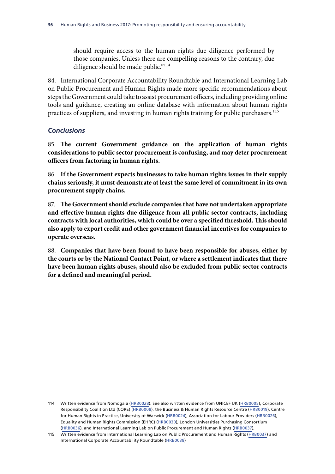should require access to the human rights due diligence performed by those companies. Unless there are compelling reasons to the contrary, due diligence should be made public."114

84. International Corporate Accountability Roundtable and International Learning Lab on Public Procurement and Human Rights made more specific recommendations about steps the Government could take to assist procurement officers, including providing online tools and guidance, creating an online database with information about human rights practices of suppliers, and investing in human rights training for public purchasers.<sup>115</sup>

### *Conclusions*

85. **The current Government guidance on the application of human rights considerations to public sector procurement is confusing, and may deter procurement officers from factoring in human rights.**

86. **If the Government expects businesses to take human rights issues in their supply chains seriously, it must demonstrate at least the same level of commitment in its own procurement supply chains.**

87. **The Government should exclude companies that have not undertaken appropriate and effective human rights due diligence from all public sector contracts, including contracts with local authorities, which could be over a specified threshold. This should also apply to export credit and other government financial incentives for companies to operate overseas.**

88. **Companies that have been found to have been responsible for abuses, either by the courts or by the National Contact Point, or where a settlement indicates that there have been human rights abuses, should also be excluded from public sector contracts for a defined and meaningful period.**

<sup>114</sup> Written evidence from Nomogaia [\(HRB0028\)](http://data.parliament.uk/writtenevidence/committeeevidence.svc/evidencedocument/human-rights-committee/human-rights-and-business/written/35131.html). See also written evidence from UNICEF UK [\(HRB0005\)](http://data.parliament.uk/writtenevidence/committeeevidence.svc/evidencedocument/human-rights-committee/human-rights-and-business/written/34819.html), Corporate Responsibility Coalition Ltd (CORE) [\(HRB0008\)](http://data.parliament.uk/writtenevidence/committeeevidence.svc/evidencedocument/human-rights-committee/human-rights-and-business/written/34872.html), the Business & Human Rights Resource Centre ([HRB0019](http://data.parliament.uk/writtenevidence/committeeevidence.svc/evidencedocument/human-rights-committee/human-rights-and-business/written/34977.html)), Centre for Human Rights in Practice, University of Warwick ([HRB0024](http://data.parliament.uk/writtenevidence/committeeevidence.svc/evidencedocument/human-rights-committee/human-rights-and-business/written/35109.html)), Association for Labour Providers [\(HRB0026\)](http://data.parliament.uk/writtenevidence/committeeevidence.svc/evidencedocument/human-rights-committee/human-rights-and-business/written/35127.html), Equality and Human Rights Commission (EHRC) [\(HRB0030\)](http://data.parliament.uk/writtenevidence/committeeevidence.svc/evidencedocument/human-rights-committee/human-rights-and-business/written/35138.html), London Universities Purchasing Consortium [\(HRB0036\)](http://data.parliament.uk/writtenevidence/committeeevidence.svc/evidencedocument/human-rights-committee/human-rights-and-business/written/36046.html), and International Learning Lab on Public Procurement and Human Rights ([HRB0037](http://data.parliament.uk/writtenevidence/committeeevidence.svc/evidencedocument/human-rights-committee/human-rights-and-business/written/36069.html)),

<sup>115</sup> Written evidence from International Learning Lab on Public Procurement and Human Rights ([HRB0037](http://data.parliament.uk/writtenevidence/committeeevidence.svc/evidencedocument/human-rights-committee/human-rights-and-business/written/36069.html)) and International Corporate Accountability Roundtable [\(HRB0038\)](http://data.parliament.uk/writtenevidence/committeeevidence.svc/evidencedocument/human-rights-committee/human-rights-and-business/written/36097.html)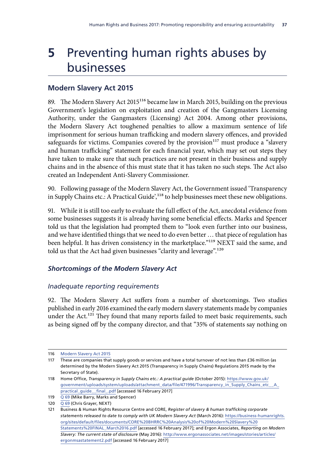# **5** Preventing human rights abuses by businesses

# **Modern Slavery Act 2015**

89. The Modern Slavery Act 2015<sup>116</sup> became law in March 2015, building on the previous Government's legislation on exploitation and creation of the Gangmasters Licensing Authority, under the Gangmasters (Licensing) Act 2004. Among other provisions, the Modern Slavery Act toughened penalties to allow a maximum sentence of life imprisonment for serious human trafficking and modern slavery offences, and provided safeguards for victims. Companies covered by the provision $117$  must produce a "slavery and human trafficking" statement for each financial year, which may set out steps they have taken to make sure that such practices are not present in their business and supply chains and in the absence of this must state that it has taken no such steps. The Act also created an Independent Anti-Slavery Commissioner.

90. Following passage of the Modern Slavery Act, the Government issued 'Transparency in Supply Chains etc.: A Practical Guide',<sup>118</sup> to help businesses meet these new obligations.

91. While it is still too early to evaluate the full effect of the Act, anecdotal evidence from some businesses suggests it is already having some beneficial effects. Marks and Spencer told us that the legislation had prompted them to "look even further into our business, and we have identified things that we need to do even better … that piece of regulation has been helpful. It has driven consistency in the marketplace."<sup>119</sup> NEXT said the same, and told us that the Act had given businesses "clarity and leverage".<sup>120</sup>

# *Shortcomings of the Modern Slavery Act*

## *Inadequate reporting requirements*

92. The Modern Slavery Act suffers from a number of shortcomings. Two studies published in early 2016 examined the early modern slavery statements made by companies under the Act.<sup>121</sup> They found that many reports failed to meet basic requirements, such as being signed off by the company director, and that "35% of statements say nothing on

<sup>116</sup> [Modern Slavery Act 2015](http://www.legislation.gov.uk/ukpga/2015/30/contents/enacted)

<sup>117</sup> These are companies that supply goods or services and have a total turnover of not less than £36 million (as determined by the Modern Slavery Act 2015 (Transparency in Supply Chains) Regulations 2015 made by the Secretary of State).

<sup>118</sup> Home Office, *Transparency in Supply Chains etc.: A practical guide* (October 2015): [https://www.gov.uk/](https://www.gov.uk/government/uploads/system/uploads/attachment_data/file/471996/Transparency_in_Supply_Chains_etc__A_practical_guide__final_.pdf) [government/uploads/system/uploads/attachment\\_data/file/471996/Transparency\\_in\\_Supply\\_Chains\\_etc\\_\\_A\\_](https://www.gov.uk/government/uploads/system/uploads/attachment_data/file/471996/Transparency_in_Supply_Chains_etc__A_practical_guide__final_.pdf) [practical\\_guide\\_\\_final\\_.pdf](https://www.gov.uk/government/uploads/system/uploads/attachment_data/file/471996/Transparency_in_Supply_Chains_etc__A_practical_guide__final_.pdf) [accessed 16 February 2017]

<sup>119</sup> Q [69](http://data.parliament.uk/writtenevidence/committeeevidence.svc/evidencedocument/human-rights-committee/human-rights-and-business/oral/46228.html) (Mike Barry, Marks and Spencer)

<sup>120</sup>  $\overline{Q_69}$  $\overline{Q_69}$  $\overline{Q_69}$  (Chris Grayer, NEXT)

<sup>121</sup> Business & Human Rights Resource Centre and CORE, *Register of slavery & human trafficking corporate statements released to date to comply with UK Modern Slavery Act* (March 2016): [https://business-humanrights.](https://business-humanrights.org/sites/default/files/documents/CORE%20BHRRC%20Analysis%20of%20Modern%20Slavery%20Statements%20FINAL_March2016.pdf) [org/sites/default/files/documents/CORE%20BHRRC%20Analysis%20of%20Modern%20Slavery%20](https://business-humanrights.org/sites/default/files/documents/CORE%20BHRRC%20Analysis%20of%20Modern%20Slavery%20Statements%20FINAL_March2016.pdf) [Statements%20FINAL\\_March2016.pdf](https://business-humanrights.org/sites/default/files/documents/CORE%20BHRRC%20Analysis%20of%20Modern%20Slavery%20Statements%20FINAL_March2016.pdf) [accessed 16 February 2017]; and Ergon Associates, *Reporting on Modern Slavery: The current state of disclosure* (May 2016): [http://www.ergonassociates.net/images/stories/articles/](http://www.ergonassociates.net/images/stories/articles/ergonmsastatement2.pdf) [ergonmsastatement2.pdf](http://www.ergonassociates.net/images/stories/articles/ergonmsastatement2.pdf) [accessed 16 February 2017]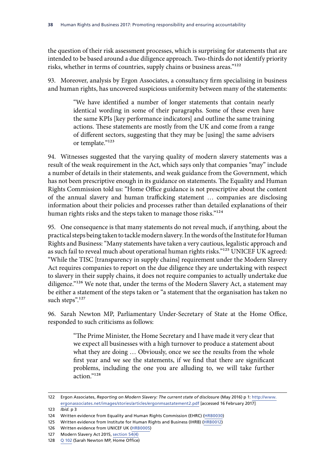the question of their risk assessment processes, which is surprising for statements that are intended to be based around a due diligence approach. Two-thirds do not identify priority risks, whether in terms of countries, supply chains or business areas."122

93. Moreover, analysis by Ergon Associates, a consultancy firm specialising in business and human rights, has uncovered suspicious uniformity between many of the statements:

> "We have identified a number of longer statements that contain nearly identical wording in some of their paragraphs. Some of these even have the same KPIs [key performance indicators] and outline the same training actions. These statements are mostly from the UK and come from a range of different sectors, suggesting that they may be [using] the same advisers or template."123

94. Witnesses suggested that the varying quality of modern slavery statements was a result of the weak requirement in the Act, which says only that companies "may" include a number of details in their statements, and weak guidance from the Government, which has not been prescriptive enough in its guidance on statements. The Equality and Human Rights Commission told us: "Home Office guidance is not prescriptive about the content of the annual slavery and human trafficking statement … companies are disclosing information about their policies and processes rather than detailed explanations of their human rights risks and the steps taken to manage those risks."<sup>124</sup>

95. One consequence is that many statements do not reveal much, if anything, about the practical steps being taken to tackle modern slavery. In the words of the Institute for Human Rights and Business: "Many statements have taken a very cautious, legalistic approach and as such fail to reveal much about operational human rights risks."<sup>125</sup> UNICEF UK agreed: "While the TISC [transparency in supply chains] requirement under the Modern Slavery Act requires companies to report on the due diligence they are undertaking with respect to slavery in their supply chains, it does not require companies to actually undertake due diligence."<sup>126</sup> We note that, under the terms of the Modern Slavery Act, a statement may be either a statement of the steps taken or "a statement that the organisation has taken no such steps".<sup>127</sup>

96. Sarah Newton MP, Parliamentary Under-Secretary of State at the Home Office, responded to such criticisms as follows:

> "The Prime Minister, the Home Secretary and I have made it very clear that we expect all businesses with a high turnover to produce a statement about what they are doing … Obviously, once we see the results from the whole first year and we see the statements, if we find that there are significant problems, including the one you are alluding to, we will take further action."128

<sup>122</sup> Ergon Associates, *Reporting on Modern Slavery: The current state of disclosure* (May 2016) p 1: [http://www.](http://www.ergonassociates.net/images/stories/articles/ergonmsastatement2.pdf) [ergonassociates.net/images/stories/articles/ergonmsastatement2.pdf](http://www.ergonassociates.net/images/stories/articles/ergonmsastatement2.pdf) [accessed 16 February 2017]

<sup>123</sup> *Ibid.* p 3

<sup>124</sup> Written evidence from Equality and Human Rights Commission (EHRC) ([HRB0030\)](http://data.parliament.uk/writtenevidence/committeeevidence.svc/evidencedocument/human-rights-committee/human-rights-and-business/written/35138.html)

<sup>125</sup> Written evidence from Institute for Human Rights and Business (IHRB) [\(HRB0012\)](http://data.parliament.uk/writtenevidence/committeeevidence.svc/evidencedocument/human-rights-committee/human-rights-and-business/written/34907.html)

<sup>126</sup> Written evidence from UNICEF UK [\(HRB0005\)](http://data.parliament.uk/writtenevidence/committeeevidence.svc/evidencedocument/human-rights-committee/human-rights-and-business/written/34819.html)

<sup>127</sup> Modern Slavery Act 2015, [section 54\(4\)](http://www.legislation.gov.uk/ukpga/2015/30/section/54/enacted)

<sup>128</sup> Q [102](http://data.parliament.uk/writtenevidence/committeeevidence.svc/evidencedocument/human-rights-committee/human-rights-and-business/oral/47020.html) (Sarah Newton MP, Home Office)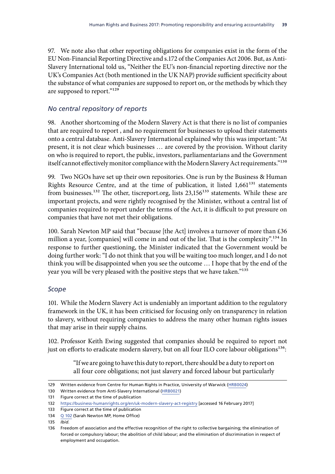97. We note also that other reporting obligations for companies exist in the form of the EU Non-Financial Reporting Directive and s.172 of the Companies Act 2006. But, as Anti-Slavery International told us, "Neither the EU's non-financial reporting directive nor the UK's Companies Act (both mentioned in the UK NAP) provide sufficient specificity about the substance of what companies are supposed to report on, or the methods by which they are supposed to report."129

## *No central repository of reports*

98. Another shortcoming of the Modern Slavery Act is that there is no list of companies that are required to report , and no requirement for businesses to upload their statements onto a central database. Anti-Slavery International explained why this was important: "At present, it is not clear which businesses … are covered by the provision. Without clarity on who is required to report, the public, investors, parliamentarians and the Government itself cannot effectively monitor compliance with the Modern Slavery Act requirements."<sup>130</sup>

99. Two NGOs have set up their own repositories. One is run by the Business & Human Rights Resource Centre, and at the time of publication, it listed 1,661<sup>131</sup> statements from businesses.<sup>132</sup> The other, tiscreport.org, lists 23,156<sup>133</sup> statements. While these are important projects, and were rightly recognised by the Minister, without a central list of companies required to report under the terms of the Act, it is difficult to put pressure on companies that have not met their obligations.

100. Sarah Newton MP said that "because [the Act] involves a turnover of more than £36 million a year, [companies] will come in and out of the list. That is the complexity".<sup>134</sup> In response to further questioning, the Minister indicated that the Government would be doing further work: "I do not think that you will be waiting too much longer, and I do not think you will be disappointed when you see the outcome … I hope that by the end of the year you will be very pleased with the positive steps that we have taken."<sup>135</sup>

## *Scope*

101. While the Modern Slavery Act is undeniably an important addition to the regulatory framework in the UK, it has been criticised for focusing only on transparency in relation to slavery, without requiring companies to address the many other human rights issues that may arise in their supply chains.

102. Professor Keith Ewing suggested that companies should be required to report not just on efforts to eradicate modern slavery, but on all four ILO core labour obligations<sup>136</sup>:

> "If we are going to have this duty to report, there should be a duty to report on all four core obligations; not just slavery and forced labour but particularly

<sup>129</sup> Written evidence from [Centre for Human Rights in Practice, University of Warwick](http://committeeevidence.parliament.uk/) ([HRB0024](http://data.parliament.uk/writtenevidence/committeeevidence.svc/evidencedocument/human-rights-committee/human-rights-and-business/written/35109.html))

<sup>130</sup> Written evidence from Anti-Slavery International ([HRB0021\)](http://data.parliament.uk/writtenevidence/committeeevidence.svc/evidencedocument/human-rights-committee/human-rights-and-business/written/35067.html)

<sup>131</sup> Figure correct at the time of publication

<sup>132</sup> <https://business-humanrights.org/en/uk-modern-slavery-act-registry>[accessed 16 February 2017]

<sup>133</sup> Figure correct at the time of publication

<sup>134</sup> [Q 102](http://data.parliament.uk/writtenevidence/committeeevidence.svc/evidencedocument/human-rights-committee/human-rights-and-business/oral/47020.html) (Sarah Newton MP, Home Office)

<sup>135</sup> *Ibid.*

<sup>136</sup> Freedom of association and the effective recognition of the right to collective bargaining; the elimination of forced or compulsory labour; the abolition of child labour; and the elimination of discrimination in respect of employment and occupation.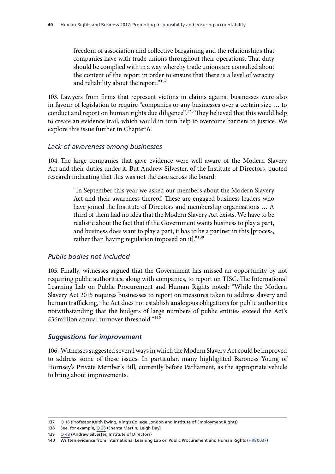freedom of association and collective bargaining and the relationships that companies have with trade unions throughout their operations. That duty should be complied with in a way whereby trade unions are consulted about the content of the report in order to ensure that there is a level of veracity and reliability about the report."137

103. Lawyers from firms that represent victims in claims against businesses were also in favour of legislation to require "companies or any businesses over a certain size … to conduct and report on human rights due diligence".138 They believed that this would help to create an evidence trail, which would in turn help to overcome barriers to justice. We explore this issue further in Chapter 6.

### *Lack of awareness among businesses*

104. The large companies that gave evidence were well aware of the Modern Slavery Act and their duties under it. But Andrew Silvester, of the Institute of Directors, quoted research indicating that this was not the case across the board:

> "In September this year we asked our members about the Modern Slavery Act and their awareness thereof. These are engaged business leaders who have joined the Institute of Directors and membership organisations … A third of them had no idea that the Modern Slavery Act exists. We have to be realistic about the fact that if the Government wants business to play a part, and business does want to play a part, it has to be a partner in this [process, rather than having regulation imposed on it]."<sup>139</sup>

### *Public bodies not included*

105. Finally, witnesses argued that the Government has missed an opportunity by not requiring public authorities, along with companies, to report on TISC. The International Learning Lab on Public Procurement and Human Rights noted: "While the Modern Slavery Act 2015 requires businesses to report on measures taken to address slavery and human trafficking, the Act does not establish analogous obligations for public authorities notwithstanding that the budgets of large numbers of public entities exceed the Act's £36million annual turnover threshold."140

### *Suggestions for improvement*

106. Witnesses suggested several ways in which the Modern Slavery Act could be improved to address some of these issues. In particular, many highlighted Baroness Young of Hornsey's Private Member's Bill, currently before Parliament, as the appropriate vehicle to bring about improvements.

<sup>137</sup> Q [18](http://data.parliament.uk/writtenevidence/committeeevidence.svc/evidencedocument/human-rights-committee/human-rights-and-business/oral/37802.html) (Professor Keith Ewing, King's College London and Institute of Employment Rights)

<sup>138</sup> See, for example, Q [28](http://data.parliament.uk/writtenevidence/committeeevidence.svc/evidencedocument/human-rights-committee/human-rights-and-business/oral/41724.html) (Shanta Martin, Leigh Day)

<sup>139</sup> Q [48](http://data.parliament.uk/writtenevidence/committeeevidence.svc/evidencedocument/human-rights-committee/human-rights-and-business/oral/43482.html) (Andrew Silvester, Institute of Directors)

<sup>140</sup> Written evidence from International Learning Lab on Public Procurement and Human Rights ([HRB0037](http://data.parliament.uk/writtenevidence/committeeevidence.svc/evidencedocument/human-rights-committee/human-rights-and-business/written/36069.html))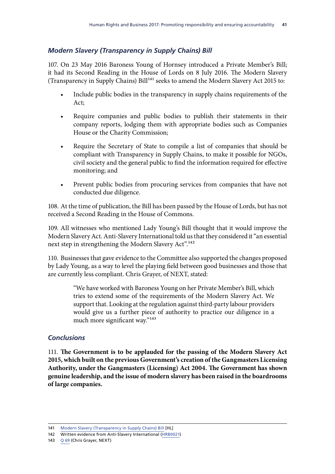# *Modern Slavery (Transparency in Supply Chains) Bill*

107. On 23 May 2016 Baroness Young of Hornsey introduced a Private Member's Bill; it had its Second Reading in the House of Lords on 8 July 2016. The Modern Slavery (Transparency in Supply Chains)  $Bill<sup>141</sup>$  seeks to amend the Modern Slavery Act 2015 to:

- Include public bodies in the transparency in supply chains requirements of the Act;
- Require companies and public bodies to publish their statements in their company reports, lodging them with appropriate bodies such as Companies House or the Charity Commission;
- Require the Secretary of State to compile a list of companies that should be compliant with Transparency in Supply Chains, to make it possible for NGOs, civil society and the general public to find the information required for effective monitoring; and
- Prevent public bodies from procuring services from companies that have not conducted due diligence.

108. At the time of publication, the Bill has been passed by the House of Lords, but has not received a Second Reading in the House of Commons.

109. All witnesses who mentioned Lady Young's Bill thought that it would improve the Modern Slavery Act. Anti-Slavery International told us that they considered it "an essential next step in strengthening the Modern Slavery Act".<sup>142</sup>

110. Businesses that gave evidence to the Committee also supported the changes proposed by Lady Young, as a way to level the playing field between good businesses and those that are currently less compliant. Chris Grayer, of NEXT, stated:

> "We have worked with Baroness Young on her Private Member's Bill, which tries to extend some of the requirements of the Modern Slavery Act. We support that. Looking at the regulation against third-party labour providers would give us a further piece of authority to practice our diligence in a much more significant way."<sup>143</sup>

## *Conclusions*

111. **The Government is to be applauded for the passing of the Modern Slavery Act 2015, which built on the previous Government's creation of the Gangmasters Licensing Authority, under the Gangmasters (Licensing) Act 2004. The Government has shown genuine leadership, and the issue of modern slavery has been raised in the boardrooms of large companies.**

<sup>141</sup> [Modern Slavery \(Transparency in Supply Chains\) Bill](http://services.parliament.uk/bills/2016-17/modernslaverytransparencyinsupplychains.html) [HL]

<sup>142</sup> Written evidence from Anti-Slavery International ([HRB0021\)](http://data.parliament.uk/writtenevidence/committeeevidence.svc/evidencedocument/human-rights-committee/human-rights-and-business/written/35067.html)

<sup>143</sup> Q [69](http://data.parliament.uk/writtenevidence/committeeevidence.svc/evidencedocument/human-rights-committee/human-rights-and-business/oral/46228.html) (Chris Grayer, NEXT)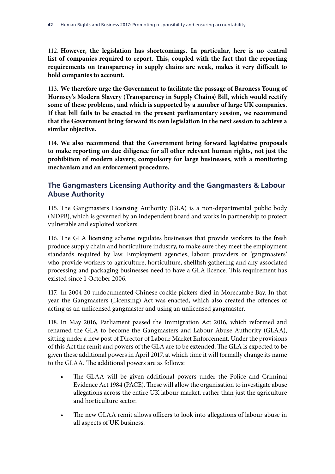112. **However, the legislation has shortcomings. In particular, here is no central list of companies required to report. This, coupled with the fact that the reporting requirements on transparency in supply chains are weak, makes it very difficult to hold companies to account.**

113. **We therefore urge the Government to facilitate the passage of Baroness Young of Hornsey's Modern Slavery (Transparency in Supply Chains) Bill, which would rectify some of these problems, and which is supported by a number of large UK companies. If that bill fails to be enacted in the present parliamentary session, we recommend that the Government bring forward its own legislation in the next session to achieve a similar objective.**

114. **We also recommend that the Government bring forward legislative proposals to make reporting on due diligence for all other relevant human rights, not just the prohibition of modern slavery, compulsory for large businesses, with a monitoring mechanism and an enforcement procedure.**

# **The Gangmasters Licensing Authority and the Gangmasters & Labour Abuse Authority**

115. The Gangmasters Licensing Authority (GLA) is a non-departmental public body (NDPB), which is governed by an independent board and works in partnership to protect vulnerable and exploited workers.

116. The GLA licensing scheme regulates businesses that provide workers to the fresh produce supply chain and horticulture industry, to make sure they meet the employment standards required by law. Employment agencies, labour providers or 'gangmasters' who provide workers to agriculture, horticulture, shellfish gathering and any associated processing and packaging businesses need to have a GLA licence. This requirement has existed since 1 October 2006.

117. In 2004 20 undocumented Chinese cockle pickers died in Morecambe Bay. In that year the Gangmasters (Licensing) Act was enacted, which also created the offences of acting as an unlicensed gangmaster and using an unlicensed gangmaster.

118. In May 2016, Parliament passed the Immigration Act 2016, which reformed and renamed the GLA to become the Gangmasters and Labour Abuse Authority (GLAA), sitting under a new post of Director of Labour Market Enforcement. Under the provisions of this Act the remit and powers of the GLA are to be extended. The GLA is expected to be given these additional powers in April 2017, at which time it will formally change its name to the GLAA. The additional powers are as follows:

- The GLAA will be given additional powers under the Police and Criminal Evidence Act 1984 (PACE). These will allow the organisation to investigate abuse allegations across the entire UK labour market, rather than just the agriculture and horticulture sector.
- The new GLAA remit allows officers to look into allegations of labour abuse in all aspects of UK business.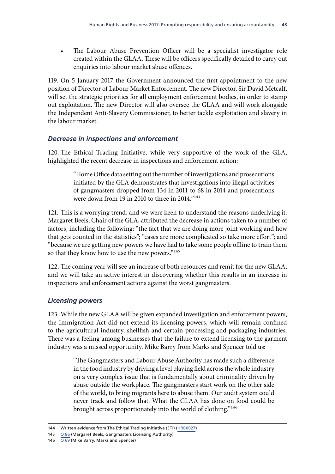The Labour Abuse Prevention Officer will be a specialist investigator role created within the GLAA. These will be officers specifically detailed to carry out enquiries into labour market abuse offences.

119. On 5 January 2017 the Government announced the first appointment to the new position of Director of Labour Market Enforcement. The new Director, Sir David Metcalf, will set the strategic priorities for all employment enforcement bodies, in order to stamp out exploitation. The new Director will also oversee the GLAA and will work alongside the Independent Anti-Slavery Commissioner, to better tackle exploitation and slavery in the labour market.

## *Decrease in inspections and enforcement*

120. The Ethical Trading Initiative, while very supportive of the work of the GLA, highlighted the recent decrease in inspections and enforcement action:

> "Home Office data setting out the number of investigations and prosecutions initiated by the GLA demonstrates that investigations into illegal activities of gangmasters dropped from 134 in 2011 to 68 in 2014 and prosecutions were down from 19 in 2010 to three in 2014."144

121. This is a worrying trend, and we were keen to understand the reasons underlying it. Margaret Beels, Chair of the GLA, attributed the decrease in actions taken to a number of factors, including the following: "the fact that we are doing more joint working and how that gets counted in the statistics"; "cases are more complicated so take more effort"; and "because we are getting new powers we have had to take some people offline to train them so that they know how to use the new powers."<sup>145</sup>

122. The coming year will see an increase of both resources and remit for the new GLAA, and we will take an active interest in discovering whether this results in an increase in inspections and enforcement actions against the worst gangmasters.

## *Licensing powers*

123. While the new GLAA will be given expanded investigation and enforcement powers, the Immigration Act did not extend its licensing powers, which will remain confined to the agricultural industry, shellfish and certain processing and packaging industries. There was a feeling among businesses that the failure to extend licensing to the garment industry was a missed opportunity. Mike Barry from Marks and Spencer told us:

> "The Gangmasters and Labour Abuse Authority has made such a difference in the food industry by driving a level playing field across the whole industry on a very complex issue that is fundamentally about criminality driven by abuse outside the workplace. The gangmasters start work on the other side of the world, to bring migrants here to abuse them. Our audit system could never track and follow that. What the GLAA has done on food could be brought across proportionately into the world of clothing."146

<sup>144</sup> Written evidence from The Ethical Trading Initiative (ETI) [\(HRB0027\)](http://data.parliament.uk/writtenevidence/committeeevidence.svc/evidencedocument/human-rights-committee/human-rights-and-business/written/35128.html)

<sup>145</sup> Q [86](http://data.parliament.uk/writtenevidence/committeeevidence.svc/evidencedocument/human-rights-committee/human-rights-and-business/oral/46607.html) (Margaret Beels, Gangmasters Licensing Authority)

<sup>146</sup>  $\overline{Q_69}$  $\overline{Q_69}$  $\overline{Q_69}$  (Mike Barry, Marks and Spencer)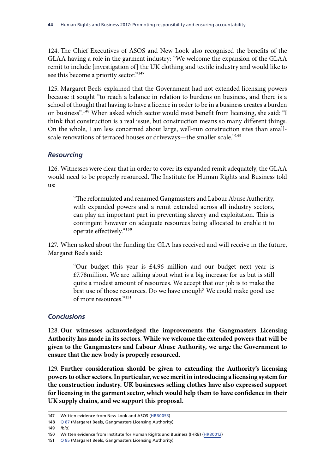124. The Chief Executives of ASOS and New Look also recognised the benefits of the GLAA having a role in the garment industry: "We welcome the expansion of the GLAA remit to include [investigation of] the UK clothing and textile industry and would like to see this become a priority sector."<sup>147</sup>

125. Margaret Beels explained that the Government had not extended licensing powers because it sought "to reach a balance in relation to burdens on business, and there is a school of thought that having to have a licence in order to be in a business creates a burden on business".148 When asked which sector would most benefit from licensing, she said: "I think that construction is a real issue, but construction means so many different things. On the whole, I am less concerned about large, well-run construction sites than smallscale renovations of terraced houses or driveways—the smaller scale."<sup>149</sup>

## *Resourcing*

126. Witnesses were clear that in order to cover its expanded remit adequately, the GLAA would need to be properly resourced. The Institute for Human Rights and Business told us:

> "The reformulated and renamed Gangmasters and Labour Abuse Authority, with expanded powers and a remit extended across all industry sectors, can play an important part in preventing slavery and exploitation. This is contingent however on adequate resources being allocated to enable it to operate effectively."150

127. When asked about the funding the GLA has received and will receive in the future, Margaret Beels said:

> "Our budget this year is £4.96 million and our budget next year is £7.78million. We are talking about what is a big increase for us but is still quite a modest amount of resources. We accept that our job is to make the best use of those resources. Do we have enough? We could make good use of more resources."151

### *Conclusions*

128. **Our witnesses acknowledged the improvements the Gangmasters Licensing Authority has made in its sectors. While we welcome the extended powers that will be given to the Gangmasters and Labour Abuse Authority, we urge the Government to ensure that the new body is properly resourced.**

129. **Further consideration should be given to extending the Authority's licensing powers to other sectors. In particular, we see merit in introducing a licensing system for the construction industry. UK businesses selling clothes have also expressed support for licensing in the garment sector, which would help them to have confidence in their UK supply chains, and we support this proposal.**

<sup>147</sup> Written evidence from New Look and ASOS [\(HRB0053](http://data.parliament.uk/writtenevidence/committeeevidence.svc/evidencedocument/human-rights-committee/human-rights-and-business/written/48216.html))

<sup>148</sup> Q [87](http://data.parliament.uk/writtenevidence/committeeevidence.svc/evidencedocument/human-rights-committee/human-rights-and-business/oral/46607.html) (Margaret Beels, Gangmasters Licensing Authority)

<sup>149</sup> *Ibid.*

<sup>150</sup> Written evidence from Institute for Human Rights and Business (IHRB) [\(HRB0012\)](http://data.parliament.uk/writtenevidence/committeeevidence.svc/evidencedocument/human-rights-committee/human-rights-and-business/written/34907.html)

<sup>151</sup> Q [85](http://data.parliament.uk/writtenevidence/committeeevidence.svc/evidencedocument/human-rights-committee/human-rights-and-business/oral/46607.html) (Margaret Beels, Gangmasters Licensing Authority)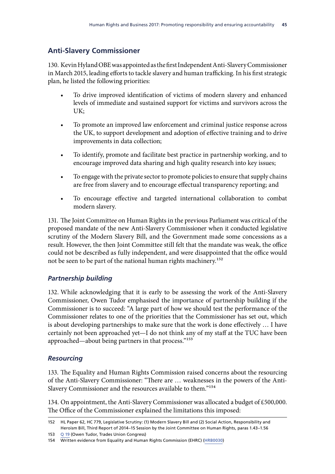# **Anti-Slavery Commissioner**

130. Kevin Hyland OBE was appointed as the first Independent Anti-Slavery Commissioner in March 2015, leading efforts to tackle slavery and human trafficking. In his first strategic plan, he listed the following priorities:

- To drive improved identification of victims of modern slavery and enhanced levels of immediate and sustained support for victims and survivors across the UK;
- To promote an improved law enforcement and criminal justice response across the UK, to support development and adoption of effective training and to drive improvements in data collection;
- To identify, promote and facilitate best practice in partnership working, and to encourage improved data sharing and high quality research into key issues;
- To engage with the private sector to promote policies to ensure that supply chains are free from slavery and to encourage effectual transparency reporting; and
- To encourage effective and targeted international collaboration to combat modern slavery.

131. The Joint Committee on Human Rights in the previous Parliament was critical of the proposed mandate of the new Anti-Slavery Commissioner when it conducted legislative scrutiny of the Modern Slavery Bill, and the Government made some concessions as a result. However, the then Joint Committee still felt that the mandate was weak, the office could not be described as fully independent, and were disappointed that the office would not be seen to be part of the national human rights machinery.<sup>152</sup>

# *Partnership building*

132. While acknowledging that it is early to be assessing the work of the Anti-Slavery Commissioner, Owen Tudor emphasised the importance of partnership building if the Commissioner is to succeed: "A large part of how we should test the performance of the Commissioner relates to one of the priorities that the Commissioner has set out, which is about developing partnerships to make sure that the work is done effectively … I have certainly not been approached yet—I do not think any of my staff at the TUC have been approached—about being partners in that process."<sup>153</sup>

# *Resourcing*

133. The Equality and Human Rights Commission raised concerns about the resourcing of the Anti-Slavery Commissioner: "There are … weaknesses in the powers of the Anti-Slavery Commissioner and the resources available to them."154

134. On appointment, the Anti-Slavery Commissioner was allocated a budget of £500,000. The Office of the Commissioner explained the limitations this imposed:

153 Q [19](http://data.parliament.uk/writtenevidence/committeeevidence.svc/evidencedocument/human-rights-committee/human-rights-and-business/oral/37802.html) (Owen Tudor, Trades Union Congress)

<sup>152</sup> HL Paper 62, HC 779, Legislative Scrutiny: (1) Modern Slavery Bill and (2) Social Action, Responsibility and Heroism Bill, Third Report of 2014–15 Session by the Joint Committee on Human Rights, paras 1.43–1.56

<sup>154</sup> Written evidence from Equality and Human Rights Commission (EHRC) ([HRB0030\)](http://data.parliament.uk/writtenevidence/committeeevidence.svc/evidencedocument/human-rights-committee/human-rights-and-business/written/35138.html)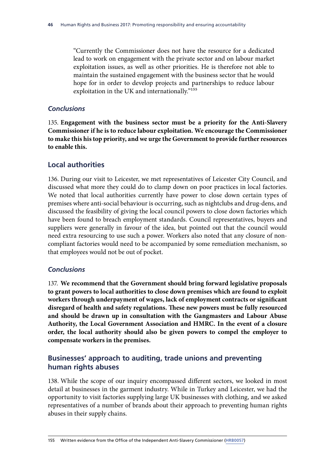"Currently the Commissioner does not have the resource for a dedicated lead to work on engagement with the private sector and on labour market exploitation issues, as well as other priorities. He is therefore not able to maintain the sustained engagement with the business sector that he would hope for in order to develop projects and partnerships to reduce labour exploitation in the UK and internationally."155

### *Conclusions*

135. **Engagement with the business sector must be a priority for the Anti-Slavery Commissioner if he is to reduce labour exploitation. We encourage the Commissioner to make this his top priority, and we urge the Government to provide further resources to enable this.**

## **Local authorities**

136. During our visit to Leicester, we met representatives of Leicester City Council, and discussed what more they could do to clamp down on poor practices in local factories. We noted that local authorities currently have power to close down certain types of premises where anti-social behaviour is occurring, such as nightclubs and drug-dens, and discussed the feasibility of giving the local council powers to close down factories which have been found to breach employment standards. Council representatives, buyers and suppliers were generally in favour of the idea, but pointed out that the council would need extra resourcing to use such a power. Workers also noted that any closure of noncompliant factories would need to be accompanied by some remediation mechanism, so that employees would not be out of pocket.

### *Conclusions*

137. **We recommend that the Government should bring forward legislative proposals to grant powers to local authorities to close down premises which are found to exploit workers through underpayment of wages, lack of employment contracts or significant disregard of health and safety regulations. These new powers must be fully resourced and should be drawn up in consultation with the Gangmasters and Labour Abuse Authority, the Local Government Association and HMRC. In the event of a closure order, the local authority should also be given powers to compel the employer to compensate workers in the premises.**

# **Businesses' approach to auditing, trade unions and preventing human rights abuses**

138. While the scope of our inquiry encompassed different sectors, we looked in most detail at businesses in the garment industry. While in Turkey and Leicester, we had the opportunity to visit factories supplying large UK businesses with clothing, and we asked representatives of a number of brands about their approach to preventing human rights abuses in their supply chains.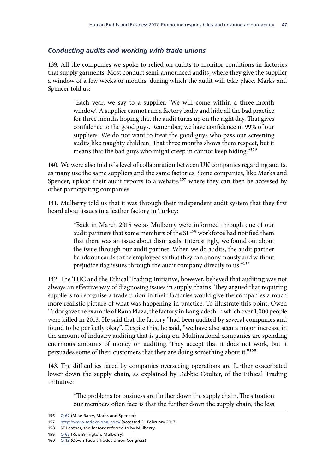## *Conducting audits and working with trade unions*

139. All the companies we spoke to relied on audits to monitor conditions in factories that supply garments. Most conduct semi-announced audits, where they give the supplier a window of a few weeks or months, during which the audit will take place. Marks and Spencer told us:

> "Each year, we say to a supplier, 'We will come within a three-month window'. A supplier cannot run a factory badly and hide all the bad practice for three months hoping that the audit turns up on the right day. That gives confidence to the good guys. Remember, we have confidence in 99% of our suppliers. We do not want to treat the good guys who pass our screening audits like naughty children. That three months shows them respect, but it means that the bad guys who might creep in cannot keep hiding."156

140. We were also told of a level of collaboration between UK companies regarding audits, as many use the same suppliers and the same factories. Some companies, like Marks and Spencer, upload their audit reports to a website,<sup>157</sup> where they can then be accessed by other participating companies.

141. Mulberry told us that it was through their independent audit system that they first heard about issues in a leather factory in Turkey:

> "Back in March 2015 we as Mulberry were informed through one of our audit partners that some members of the SF<sup>158</sup> workforce had notified them that there was an issue about dismissals. Interestingly, we found out about the issue through our audit partner. When we do audits, the audit partner hands out cards to the employees so that they can anonymously and without prejudice flag issues through the audit company directly to us."159

142. The TUC and the Ethical Trading Initiative, however, believed that auditing was not always an effective way of diagnosing issues in supply chains. They argued that requiring suppliers to recognise a trade union in their factories would give the companies a much more realistic picture of what was happening in practice. To illustrate this point, Owen Tudor gave the example of Rana Plaza, the factory in Bangladesh in which over 1,000 people were killed in 2013. He said that the factory "had been audited by several companies and found to be perfectly okay". Despite this, he said, "we have also seen a major increase in the amount of industry auditing that is going on. Multinational companies are spending enormous amounts of money on auditing. They accept that it does not work, but it persuades some of their customers that they are doing something about it."<sup>160</sup>

143. The difficulties faced by companies overseeing operations are further exacerbated lower down the supply chain, as explained by Debbie Coulter, of the Ethical Trading Initiative:

> "The problems for business are further down the supply chain. The situation our members often face is that the further down the supply chain, the less

<sup>156</sup> Q [67](http://data.parliament.uk/writtenevidence/committeeevidence.svc/evidencedocument/human-rights-committee/human-rights-and-business/oral/46228.html) (Mike Barry, Marks and Spencer)

<sup>157</sup> <http://www.sedexglobal.com/>[accessed 21 February 2017]

<sup>158</sup> SF Leather, the factory referred to by Mulberry.

<sup>159</sup> Q [65](http://data.parliament.uk/writtenevidence/committeeevidence.svc/evidencedocument/human-rights-committee/human-rights-and-business/oral/46228.html) (Rob Billington, Mulberry)

<sup>160</sup> Q [13](http://data.parliament.uk/writtenevidence/committeeevidence.svc/evidencedocument/human-rights-committee/human-rights-and-business/oral/37802.html) (Owen Tudor, Trades Union Congress)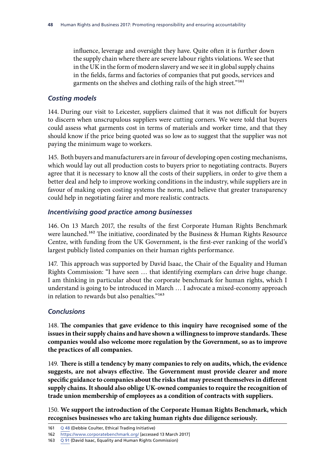influence, leverage and oversight they have. Quite often it is further down the supply chain where there are severe labour rights violations. We see that in the UK in the form of modern slavery and we see it in global supply chains in the fields, farms and factories of companies that put goods, services and garments on the shelves and clothing rails of the high street."161

## *Costing models*

144. During our visit to Leicester, suppliers claimed that it was not difficult for buyers to discern when unscrupulous suppliers were cutting corners. We were told that buyers could assess what garments cost in terms of materials and worker time, and that they should know if the price being quoted was so low as to suggest that the supplier was not paying the minimum wage to workers.

145. Both buyers and manufacturers are in favour of developing open costing mechanisms, which would lay out all production costs to buyers prior to negotiating contracts. Buyers agree that it is necessary to know all the costs of their suppliers, in order to give them a better deal and help to improve working conditions in the industry, while suppliers are in favour of making open costing systems the norm, and believe that greater transparency could help in negotiating fairer and more realistic contracts.

## *Incentivising good practice among businesses*

146. On 13 March 2017, the results of the first Corporate Human Rights Benchmark were launched.<sup>162</sup> The initiative, coordinated by the Business & Human Rights Resource Centre, with funding from the UK Government, is the first-ever ranking of the world's largest publicly listed companies on their human rights performance.

147. This approach was supported by David Isaac, the Chair of the Equality and Human Rights Commission: "I have seen … that identifying exemplars can drive huge change. I am thinking in particular about the corporate benchmark for human rights, which I understand is going to be introduced in March … I advocate a mixed-economy approach in relation to rewards but also penalties."163

## *Conclusions*

148. **The companies that gave evidence to this inquiry have recognised some of the issues in their supply chains and have shown a willingness to improve standards. These companies would also welcome more regulation by the Government, so as to improve the practices of all companies.**

149. **There is still a tendency by many companies to rely on audits, which, the evidence suggests, are not always effective. The Government must provide clearer and more specific guidance to companies about the risks that may present themselves in different supply chains. It should also oblige UK-owned companies to require the recognition of trade union membership of employees as a condition of contracts with suppliers.**

150. **We support the introduction of the Corporate Human Rights Benchmark, which recognises businesses who are taking human rights due diligence seriously.**

<sup>161</sup> Q [48](http://data.parliament.uk/writtenevidence/committeeevidence.svc/evidencedocument/human-rights-committee/human-rights-and-business/oral/43482.html) (Debbie Coulter, Ethical Trading Initiative)

<sup>162</sup> <https://www.corporatebenchmark.org/> [accessed 13 March 2017]

<sup>163</sup> Q [91](http://data.parliament.uk/writtenevidence/committeeevidence.svc/evidencedocument/human-rights-committee/human-rights-and-business/oral/46607.html) (David Isaac, Equality and Human Rights Commission)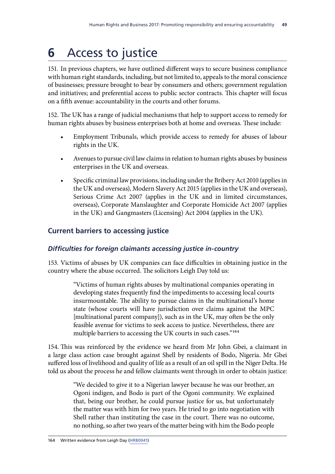# **6** Access to justice

151. In previous chapters, we have outlined different ways to secure business compliance with human right standards, including, but not limited to, appeals to the moral conscience of businesses; pressure brought to bear by consumers and others; government regulation and initiatives; and preferential access to public sector contracts. This chapter will focus on a fifth avenue: accountability in the courts and other forums.

152. The UK has a range of judicial mechanisms that help to support access to remedy for human rights abuses by business enterprises both at home and overseas. These include:

- Employment Tribunals, which provide access to remedy for abuses of labour rights in the UK.
- Avenues to pursue civil law claims in relation to human rights abuses by business enterprises in the UK and overseas.
- Specific criminal law provisions, including under the Bribery Act 2010 (applies in the UK and overseas), Modern Slavery Act 2015 (applies in the UK and overseas), Serious Crime Act 2007 (applies in the UK and in limited circumstances, overseas), Corporate Manslaughter and Corporate Homicide Act 2007 (applies in the UK) and Gangmasters (Licensing) Act 2004 (applies in the UK).

# **Current barriers to accessing justice**

# *Difficulties for foreign claimants accessing justice in-country*

153. Victims of abuses by UK companies can face difficulties in obtaining justice in the country where the abuse occurred. The solicitors Leigh Day told us:

> "Victims of human rights abuses by multinational companies operating in developing states frequently find the impediments to accessing local courts insurmountable. The ability to pursue claims in the multinational's home state (whose courts will have jurisdiction over claims against the MPC [multinational parent company]), such as in the UK, may often be the only feasible avenue for victims to seek access to justice. Nevertheless, there are multiple barriers to accessing the UK courts in such cases."<sup>164</sup>

154. This was reinforced by the evidence we heard from Mr John Gbei, a claimant in a large class action case brought against Shell by residents of Bodo, Nigeria. Mr Gbei suffered loss of livelihood and quality of life as a result of an oil spill in the Niger Delta. He told us about the process he and fellow claimants went through in order to obtain justice:

> "We decided to give it to a Nigerian lawyer because he was our brother, an Ogoni indigen, and Bodo is part of the Ogoni community. We explained that, being our brother, he could pursue justice for us, but unfortunately the matter was with him for two years. He tried to go into negotiation with Shell rather than instituting the case in the court. There was no outcome, no nothing, so after two years of the matter being with him the Bodo people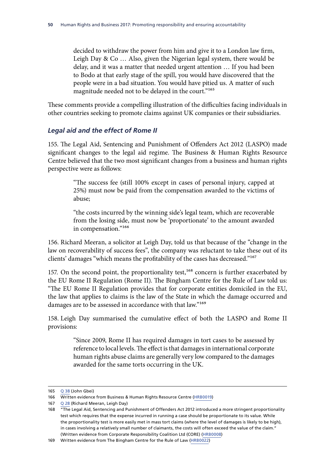decided to withdraw the power from him and give it to a London law firm, Leigh Day & Co … Also, given the Nigerian legal system, there would be delay, and it was a matter that needed urgent attention … If you had been to Bodo at that early stage of the spill, you would have discovered that the people were in a bad situation. You would have pitied us. A matter of such magnitude needed not to be delayed in the court."165

These comments provide a compelling illustration of the difficulties facing individuals in other countries seeking to promote claims against UK companies or their subsidiaries.

### *Legal aid and the effect of Rome II*

155. The Legal Aid, Sentencing and Punishment of Offenders Act 2012 (LASPO) made significant changes to the legal aid regime. The Business & Human Rights Resource Centre believed that the two most significant changes from a business and human rights perspective were as follows:

> "The success fee (still 100% except in cases of personal injury, capped at 25%) must now be paid from the compensation awarded to the victims of abuse;

> "the costs incurred by the winning side's legal team, which are recoverable from the losing side, must now be 'proportionate' to the amount awarded in compensation."166

156. Richard Meeran, a solicitor at Leigh Day, told us that because of the "change in the law on recoverability of success fees", the company was reluctant to take these out of its clients' damages "which means the profitability of the cases has decreased."167

157. On the second point, the proportionality test,<sup>168</sup> concern is further exacerbated by the EU Rome II Regulation (Rome II). The Bingham Centre for the Rule of Law told us: "The EU Rome II Regulation provides that for corporate entities domiciled in the EU, the law that applies to claims is the law of the State in which the damage occurred and damages are to be assessed in accordance with that law."<sup>169</sup>

158. Leigh Day summarised the cumulative effect of both the LASPO and Rome II provisions:

> "Since 2009, Rome II has required damages in tort cases to be assessed by reference to local levels. The effect is that damages in international corporate human rights abuse claims are generally very low compared to the damages awarded for the same torts occurring in the UK.

<sup>165</sup> Q [38](http://data.parliament.uk/writtenevidence/committeeevidence.svc/evidencedocument/human-rights-committee/human-rights-and-business/oral/42910.html) (John Gbei)

<sup>166</sup> Written evidence from Business & Human Rights Resource Centre ([HRB0019\)](http://data.parliament.uk/writtenevidence/committeeevidence.svc/evidencedocument/human-rights-committee/human-rights-and-business/written/34977.html)

<sup>167</sup> Q [28](http://data.parliament.uk/writtenevidence/committeeevidence.svc/evidencedocument/human-rights-committee/human-rights-and-business/oral/41724.html) (Richard Meeran, Leigh Day)

<sup>168</sup> The Legal Aid, Sentencing and Punishment of Offenders Act 2012 introduced a more stringent proportionality test which requires that the expense incurred in running a case should be proportionate to its value. While the proportionality test is more easily met in mass tort claims (where the level of damages is likely to be high), in cases involving a relatively small number of claimants, the costs will often exceed the value of the claim." (Written evidence from Corporate Responsibility Coalition Ltd (CORE) [\(HRB0008](http://data.parliament.uk/writtenevidence/committeeevidence.svc/evidencedocument/human-rights-committee/human-rights-and-business/written/34872.html))

<sup>169</sup> Written evidence from The Bingham Centre for the Rule of Law ([HRB0022](http://data.parliament.uk/writtenevidence/committeeevidence.svc/evidencedocument/human-rights-committee/human-rights-and-business/written/35076.html))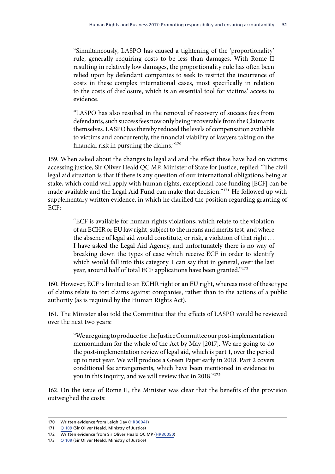"Simultaneously, LASPO has caused a tightening of the 'proportionality' rule, generally requiring costs to be less than damages. With Rome II resulting in relatively low damages, the proportionality rule has often been relied upon by defendant companies to seek to restrict the incurrence of costs in these complex international cases, most specifically in relation to the costs of disclosure, which is an essential tool for victims' access to evidence.

"LASPO has also resulted in the removal of recovery of success fees from defendants, such success fees now only being recoverable from the Claimants themselves. LASPO has thereby reduced the levels of compensation available to victims and concurrently, the financial viability of lawyers taking on the financial risk in pursuing the claims."170

159. When asked about the changes to legal aid and the effect these have had on victims accessing justice, Sir Oliver Heald QC MP, Minister of State for Justice, replied: "The civil legal aid situation is that if there is any question of our international obligations being at stake, which could well apply with human rights, exceptional case funding [ECF] can be made available and the Legal Aid Fund can make that decision."171 He followed up with supplementary written evidence, in which he clarified the position regarding granting of ECF:

> "ECF is available for human rights violations, which relate to the violation of an ECHR or EU law right, subject to the means and merits test, and where the absence of legal aid would constitute, or risk, a violation of that right … I have asked the Legal Aid Agency, and unfortunately there is no way of breaking down the types of case which receive ECF in order to identify which would fall into this category. I can say that in general, over the last year, around half of total ECF applications have been granted."172

160. However, ECF is limited to an ECHR right or an EU right, whereas most of these type of claims relate to tort claims against companies, rather than to the actions of a public authority (as is required by the Human Rights Act).

161. The Minister also told the Committee that the effects of LASPO would be reviewed over the next two years:

> "We are going to produce for the Justice Committee our post-implementation memorandum for the whole of the Act by May [2017]. We are going to do the post-implementation review of legal aid, which is part 1, over the period up to next year. We will produce a Green Paper early in 2018. Part 2 covers conditional fee arrangements, which have been mentioned in evidence to you in this inquiry, and we will review that in 2018."173

162. On the issue of Rome II, the Minister was clear that the benefits of the provision outweighed the costs:

<sup>170</sup> Written evidence from Leigh Day ([HRB0041](http://data.parliament.uk/writtenevidence/committeeevidence.svc/evidencedocument/human-rights-committee/human-rights-and-business/written/36641.html))

<sup>171</sup> Q [109](http://data.parliament.uk/writtenevidence/committeeevidence.svc/evidencedocument/human-rights-committee/human-rights-and-business/oral/47020.html) (Sir Oliver Heald, Ministry of Justice)

<sup>172</sup> Written evidence from Sir Oliver Heald QC MP ([HRB0050](http://data.parliament.uk/writtenevidence/committeeevidence.svc/evidencedocument/human-rights-committee/human-rights-and-business/written/47481.html))

<sup>173</sup> Q [109](http://data.parliament.uk/writtenevidence/committeeevidence.svc/evidencedocument/human-rights-committee/human-rights-and-business/oral/47020.html) (Sir Oliver Heald, Ministry of Justice)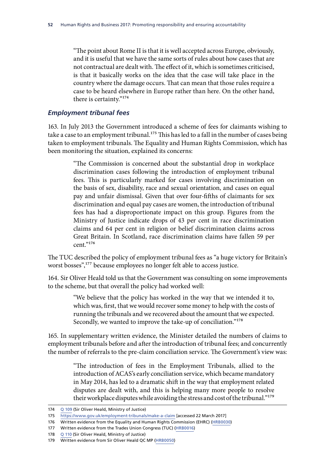"The point about Rome II is that it is well accepted across Europe, obviously, and it is useful that we have the same sorts of rules about how cases that are not contractual are dealt with. The effect of it, which is sometimes criticised, is that it basically works on the idea that the case will take place in the country where the damage occurs. That can mean that those rules require a case to be heard elsewhere in Europe rather than here. On the other hand, there is certainty."174

### *Employment tribunal fees*

163. In July 2013 the Government introduced a scheme of fees for claimants wishing to take a case to an employment tribunal.<sup>175</sup> This has led to a fall in the number of cases being taken to employment tribunals. The Equality and Human Rights Commission, which has been monitoring the situation, explained its concerns:

> "The Commission is concerned about the substantial drop in workplace discrimination cases following the introduction of employment tribunal fees. This is particularly marked for cases involving discrimination on the basis of sex, disability, race and sexual orientation, and cases on equal pay and unfair dismissal. Given that over four-fifths of claimants for sex discrimination and equal pay cases are women, the introduction of tribunal fees has had a disproportionate impact on this group. Figures from the Ministry of Justice indicate drops of 43 per cent in race discrimination claims and 64 per cent in religion or belief discrimination claims across Great Britain. In Scotland, race discrimination claims have fallen 59 per cent."176

The TUC described the policy of employment tribunal fees as "a huge victory for Britain's worst bosses",<sup>177</sup> because employees no longer felt able to access justice.

164. Sir Oliver Heald told us that the Government was consulting on some improvements to the scheme, but that overall the policy had worked well:

> "We believe that the policy has worked in the way that we intended it to, which was, first, that we would recover some money to help with the costs of running the tribunals and we recovered about the amount that we expected. Secondly, we wanted to improve the take-up of conciliation."178

165. In supplementary written evidence, the Minister detailed the numbers of claims to employment tribunals before and after the introduction of tribunal fees; and concurrently the number of referrals to the pre-claim conciliation service. The Government's view was:

> "The introduction of fees in the Employment Tribunals, allied to the introduction of ACAS's early conciliation service, which became mandatory in May 2014, has led to a dramatic shift in the way that employment related disputes are dealt with, and this is helping many more people to resolve their workplace disputes while avoiding the stress and cost of the tribunal."179

175 <https://www.gov.uk/employment-tribunals/make-a-claim> [accessed 22 March 2017]

<sup>174</sup> [Q 109](http://data.parliament.uk/writtenevidence/committeeevidence.svc/evidencedocument/human-rights-committee/human-rights-and-business/oral/47020.html) (Sir Oliver Heald, Ministry of Justice)

<sup>176</sup> Written evidence from the Equality and Human Rights Commission (EHRC) [\(HRB0030\)](http://data.parliament.uk/writtenevidence/committeeevidence.svc/evidencedocument/human-rights-committee/human-rights-and-business/written/35138.html)

<sup>177</sup> Written evidence from the Trades Union Congress (TUC) [\(HRB0016](http://data.parliament.uk/writtenevidence/committeeevidence.svc/evidencedocument/human-rights-committee/human-rights-and-business/written/34934.html))

<sup>178</sup> Q [110](http://data.parliament.uk/writtenevidence/committeeevidence.svc/evidencedocument/human-rights-committee/human-rights-and-business/oral/47020.html) (Sir Oliver Heald, Ministry of Justice)

<sup>179</sup> Written evidence from Sir Oliver Heald QC MP ([HRB0050](http://data.parliament.uk/writtenevidence/committeeevidence.svc/evidencedocument/human-rights-committee/human-rights-and-business/written/47481.html))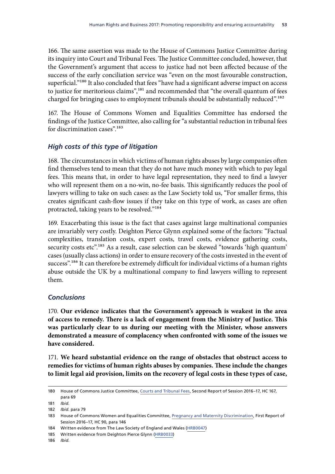166. The same assertion was made to the House of Commons Justice Committee during its inquiry into Court and Tribunal Fees. The Justice Committee concluded, however, that the Government's argument that access to justice had not been affected because of the success of the early conciliation service was "even on the most favourable construction, superficial."<sup>180</sup> It also concluded that fees "have had a significant adverse impact on access to justice for meritorious claims",181 and recommended that "the overall quantum of fees charged for bringing cases to employment tribunals should be substantially reduced".<sup>182</sup>

167. The House of Commons Women and Equalities Committee has endorsed the findings of the Justice Committee, also calling for "a substantial reduction in tribunal fees for discrimination cases".<sup>183</sup>

## *High costs of this type of litigation*

168. The circumstances in which victims of human rights abuses by large companies often find themselves tend to mean that they do not have much money with which to pay legal fees. This means that, in order to have legal representation, they need to find a lawyer who will represent them on a no-win, no-fee basis. This significantly reduces the pool of lawyers willing to take on such cases: as the Law Society told us, "For smaller firms, this creates significant cash-flow issues if they take on this type of work, as cases are often protracted, taking years to be resolved."184

169. Exacerbating this issue is the fact that cases against large multinational companies are invariably very costly. Deighton Pierce Glynn explained some of the factors: "Factual complexities, translation costs, expert costs, travel costs, evidence gathering costs, security costs etc".<sup>185</sup> As a result, case selection can be skewed "towards 'high quantum' cases (usually class actions) in order to ensure recovery of the costs invested in the event of success".<sup>186</sup> It can therefore be extremely difficult for individual victims of a human rights abuse outside the UK by a multinational company to find lawyers willing to represent them.

## *Conclusions*

170. **Our evidence indicates that the Government's approach is weakest in the area of access to remedy. There is a lack of engagement from the Ministry of Justice. This was particularly clear to us during our meeting with the Minister, whose answers demonstrated a measure of complacency when confronted with some of the issues we have considered.**

171. **We heard substantial evidence on the range of obstacles that obstruct access to remedies for victims of human rights abuses by companies. These include the changes to limit legal aid provision, limits on the recovery of legal costs in these types of case,** 

<sup>180</sup> House of Commons Justice Committee, [Courts and Tribunal Fees](https://www.publications.parliament.uk/pa/cm201617/cmselect/cmjust/167/167.pdf), Second Report of Session 2016–17, HC 167, para 69

<sup>181</sup> *Ibid.*

<sup>182</sup> *Ibid.* para 79

<sup>183</sup> House of Commons Women and Equalities Committee, [Pregnancy and Maternity Discrimination](https://www.publications.parliament.uk/pa/cm201617/cmselect/cmwomeq/90/90.pdf), First Report of Session 2016–17, HC 90, para 146

<sup>184</sup> Written evidence from The Law Society of England and Wales ([HRB0047](http://data.parliament.uk/writtenevidence/committeeevidence.svc/evidencedocument/human-rights-committee/human-rights-and-business/written/44152.html))

<sup>185</sup> Written evidence from Deighton Pierce Glynn [\(HRB0033](http://data.parliament.uk/writtenevidence/committeeevidence.svc/evidencedocument/human-rights-committee/human-rights-and-business/written/35152.html))

<sup>186</sup> *Ibid.*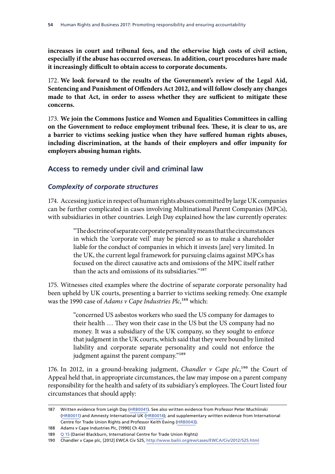**increases in court and tribunal fees, and the otherwise high costs of civil action, especially if the abuse has occurred overseas. In addition, court procedures have made it increasingly difficult to obtain access to corporate documents.**

172. **We look forward to the results of the Government's review of the Legal Aid, Sentencing and Punishment of Offenders Act 2012, and will follow closely any changes made to that Act, in order to assess whether they are sufficient to mitigate these concerns.**

173. **We join the Commons Justice and Women and Equalities Committees in calling on the Government to reduce employment tribunal fees. These, it is clear to us, are a barrier to victims seeking justice when they have suffered human rights abuses, including discrimination, at the hands of their employers and offer impunity for employers abusing human rights.**

# **Access to remedy under civil and criminal law**

## *Complexity of corporate structures*

174. Accessing justice in respect of human rights abuses committed by large UK companies can be further complicated in cases involving Multinational Parent Companies (MPCs), with subsidiaries in other countries. Leigh Day explained how the law currently operates:

> "The doctrine of separate corporate personality means that the circumstances in which the 'corporate veil' may be pierced so as to make a shareholder liable for the conduct of companies in which it invests [are] very limited. In the UK, the current legal framework for pursuing claims against MPCs has focused on the direct causative acts and omissions of the MPC itself rather than the acts and omissions of its subsidiaries."187

175. Witnesses cited examples where the doctrine of separate corporate personality had been upheld by UK courts, presenting a barrier to victims seeking remedy. One example was the 1990 case of *Adams v Cape Industries Plc*,<sup>188</sup> which:

> "concerned US asbestos workers who sued the US company for damages to their health … They won their case in the US but the US company had no money. It was a subsidiary of the UK company, so they sought to enforce that judgment in the UK courts, which said that they were bound by limited liability and corporate separate personality and could not enforce the judgment against the parent company."<sup>189</sup>

176. In 2012, in a ground-breaking judgment, *Chandler v Cape plc*,<sup>190</sup> the Court of Appeal held that, in appropriate circumstances, the law may impose on a parent company responsibility for the health and safety of its subsidiary's employees. The Court listed four circumstances that should apply:

<sup>187</sup> Written evidence from Leigh Day ([HRB0041](http://data.parliament.uk/writtenevidence/committeeevidence.svc/evidencedocument/human-rights-committee/human-rights-and-business/written/36641.html)). See also written evidence from Professor Peter Muchlinski [\(HRB0011](http://data.parliament.uk/writtenevidence/committeeevidence.svc/evidencedocument/human-rights-committee/human-rights-and-business/written/34900.html)) and Amnesty International UK [\(HRB0014](http://data.parliament.uk/writtenevidence/committeeevidence.svc/evidencedocument/human-rights-committee/human-rights-and-business/written/34914.html)); and supplementary written evidence from International Centre for Trade Union Rights and Professor Keith Ewing ([HRB0043](http://data.parliament.uk/writtenevidence/committeeevidence.svc/evidencedocument/human-rights-committee/human-rights-and-business/written/37834.html)).

<sup>188</sup> Adams v Cape Industries Plc, [1990] Ch 433

<sup>189</sup> Q [15](http://data.parliament.uk/writtenevidence/committeeevidence.svc/evidencedocument/human-rights-committee/human-rights-and-business/oral/37802.html) (Daniel Blackburn, International Centre for Trade Union Rights)

<sup>190</sup> Chandler v Cape plc, [2012] EWCA Civ 525,<http://www.bailii.org/ew/cases/EWCA/Civ/2012/525.html>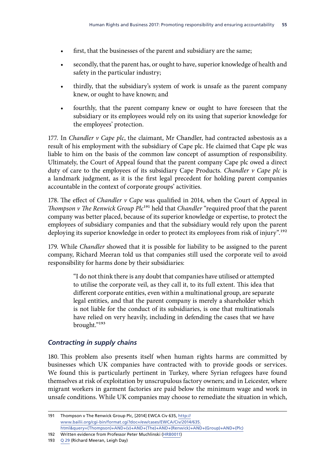- first, that the businesses of the parent and subsidiary are the same;
- secondly, that the parent has, or ought to have, superior knowledge of health and safety in the particular industry;
- thirdly, that the subsidiary's system of work is unsafe as the parent company knew, or ought to have known; and
- fourthly, that the parent company knew or ought to have foreseen that the subsidiary or its employees would rely on its using that superior knowledge for the employees' protection.

177. In *Chandler v Cape plc*, the claimant, Mr Chandler, had contracted asbestosis as a result of his employment with the subsidiary of Cape plc. He claimed that Cape plc was liable to him on the basis of the common law concept of assumption of responsibility. Ultimately, the Court of Appeal found that the parent company Cape plc owed a direct duty of care to the employees of its subsidiary Cape Products. *Chandler v Cape plc* is a landmark judgment, as it is the first legal precedent for holding parent companies accountable in the context of corporate groups' activities.

178. The effect of *Chandler v Cape* was qualified in 2014, when the Court of Appeal in *Thompson v The Renwick Group Plc*<sup>191</sup> held that *Chandler* "required proof that the parent company was better placed, because of its superior knowledge or expertise, to protect the employees of subsidiary companies and that the subsidiary would rely upon the parent deploying its superior knowledge in order to protect its employees from risk of injury".<sup>192</sup>

179. While *Chandler* showed that it is possible for liability to be assigned to the parent company, Richard Meeran told us that companies still used the corporate veil to avoid responsibility for harms done by their subsidiaries:

> "I do not think there is any doubt that companies have utilised or attempted to utilise the corporate veil, as they call it, to its full extent. This idea that different corporate entities, even within a multinational group, are separate legal entities, and that the parent company is merely a shareholder which is not liable for the conduct of its subsidiaries, is one that multinationals have relied on very heavily, including in defending the cases that we have brought."193

# *Contracting in supply chains*

180. This problem also presents itself when human rights harms are committed by businesses which UK companies have contracted with to provide goods or services. We found this is particularly pertinent in Turkey, where Syrian refugees have found themselves at risk of exploitation by unscrupulous factory owners; and in Leicester, where migrant workers in garment factories are paid below the minimum wage and work in unsafe conditions. While UK companies may choose to remediate the situation in which,

193 Q [29](http://data.parliament.uk/writtenevidence/committeeevidence.svc/evidencedocument/human-rights-committee/human-rights-and-business/oral/41724.html) (Richard Meeran, Leigh Day)

<sup>191</sup> Thompson v The Renwick Group Plc, [2014] EWCA Civ 635, [http://](http://www.bailii.org/cgi-bin/format.cgi?doc=/ew/cases/EWCA/Civ/2014/635.html&query=(Thompson)+AND+(v)+AND+(The)+AND+(Renwick)+AND+(Group)+AND+(Plc)) [www.bailii.org/cgi-bin/format.cgi?doc=/ew/cases/EWCA/Civ/2014/635.](http://www.bailii.org/cgi-bin/format.cgi?doc=/ew/cases/EWCA/Civ/2014/635.html&query=(Thompson)+AND+(v)+AND+(The)+AND+(Renwick)+AND+(Group)+AND+(Plc)) [html&query=\(Thompson\)+AND+\(v\)+AND+\(The\)+AND+\(Renwick\)+AND+\(Group\)+AND+\(Plc\)](http://www.bailii.org/cgi-bin/format.cgi?doc=/ew/cases/EWCA/Civ/2014/635.html&query=(Thompson)+AND+(v)+AND+(The)+AND+(Renwick)+AND+(Group)+AND+(Plc))

<sup>192</sup> Written evidence from Professor Peter Muchlinski ([HRB0011\)](http://data.parliament.uk/writtenevidence/committeeevidence.svc/evidencedocument/human-rights-committee/human-rights-and-business/written/34900.html)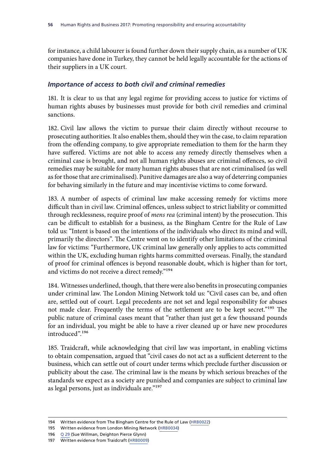for instance, a child labourer is found further down their supply chain, as a number of UK companies have done in Turkey, they cannot be held legally accountable for the actions of their suppliers in a UK court.

## *Importance of access to both civil and criminal remedies*

181. It is clear to us that any legal regime for providing access to justice for victims of human rights abuses by businesses must provide for both civil remedies and criminal sanctions.

182. Civil law allows the victim to pursue their claim directly without recourse to prosecuting authorities. It also enables them, should they win the case, to claim reparation from the offending company, to give appropriate remediation to them for the harm they have suffered. Victims are not able to access any remedy directly themselves when a criminal case is brought, and not all human rights abuses are criminal offences, so civil remedies may be suitable for many human rights abuses that are not criminalised (as well as for those that are criminalised). Punitive damages are also a way of deterring companies for behaving similarly in the future and may incentivise victims to come forward.

183. A number of aspects of criminal law make accessing remedy for victims more difficult than in civil law. Criminal offences, unless subject to strict liability or committed through recklessness, require proof of *mens rea* (criminal intent) by the prosecution. This can be difficult to establish for a business, as the Bingham Centre for the Rule of Law told us: "Intent is based on the intentions of the individuals who direct its mind and will, primarily the directors". The Centre went on to identify other limitations of the criminal law for victims: "Furthermore, UK criminal law generally only applies to acts committed within the UK, excluding human rights harms committed overseas. Finally, the standard of proof for criminal offences is beyond reasonable doubt, which is higher than for tort, and victims do not receive a direct remedy."194

184. Witnesses underlined, though, that there were also benefits in prosecuting companies under criminal law. The London Mining Network told us: "Civil cases can be, and often are, settled out of court. Legal precedents are not set and legal responsibility for abuses not made clear. Frequently the terms of the settlement are to be kept secret."<sup>195</sup> The public nature of criminal cases meant that "rather than just get a few thousand pounds for an individual, you might be able to have a river cleaned up or have new procedures introduced".196

185. Traidcraft, while acknowledging that civil law was important, in enabling victims to obtain compensation, argued that "civil cases do not act as a sufficient deterrent to the business, which can settle out of court under terms which preclude further discussion or publicity about the case. The criminal law is the means by which serious breaches of the standards we expect as a society are punished and companies are subject to criminal law as legal persons, just as individuals are."197

<sup>194</sup> Written evidence from The Bingham Centre for the Rule of Law ([HRB0022](http://data.parliament.uk/writtenevidence/committeeevidence.svc/evidencedocument/human-rights-committee/human-rights-and-business/written/35076.html))

<sup>195</sup> Written evidence from London Mining Network ([HRB0034\)](http://data.parliament.uk/writtenevidence/committeeevidence.svc/evidencedocument/human-rights-committee/human-rights-and-business/written/35281.html)

<sup>196</sup> Q [29](http://data.parliament.uk/writtenevidence/committeeevidence.svc/evidencedocument/human-rights-committee/human-rights-and-business/oral/41724.html) (Sue Willman, Deighton Pierce Glynn)

<sup>197</sup> Written evidence from Traidcraft [\(HRB0009\)](http://data.parliament.uk/writtenevidence/committeeevidence.svc/evidencedocument/human-rights-committee/human-rights-and-business/written/34889.html)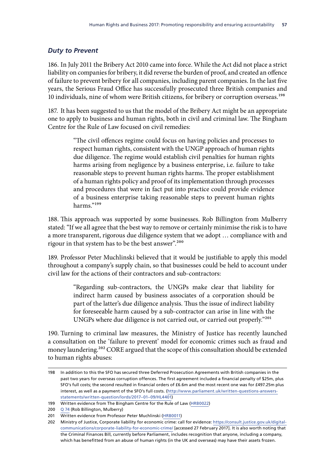# *Duty to Prevent*

186. In July 2011 the Bribery Act 2010 came into force. While the Act did not place a strict liability on companies for bribery, it did reverse the burden of proof, and created an offence of failure to prevent bribery for all companies, including parent companies. In the last five years, the Serious Fraud Office has successfully prosecuted three British companies and 10 individuals, nine of whom were British citizens, for bribery or corruption overseas.<sup>198</sup>

187. It has been suggested to us that the model of the Bribery Act might be an appropriate one to apply to business and human rights, both in civil and criminal law. The Bingham Centre for the Rule of Law focused on civil remedies:

> "The civil offences regime could focus on having policies and processes to respect human rights, consistent with the UNGP approach of human rights due diligence. The regime would establish civil penalties for human rights harms arising from negligence by a business enterprise, i.e. failure to take reasonable steps to prevent human rights harms. The proper establishment of a human rights policy and proof of its implementation through processes and procedures that were in fact put into practice could provide evidence of a business enterprise taking reasonable steps to prevent human rights harms."199

188. This approach was supported by some businesses. Rob Billington from Mulberry stated: "If we all agree that the best way to remove or certainly minimise the risk is to have a more transparent, rigorous due diligence system that we adopt … compliance with and rigour in that system has to be the best answer".<sup>200</sup>

189. Professor Peter Muchlinski believed that it would be justifiable to apply this model throughout a company's supply chain, so that businesses could be held to account under civil law for the actions of their contractors and sub-contractors:

> "Regarding sub-contractors, the UNGPs make clear that liability for indirect harm caused by business associates of a corporation should be part of the latter's due diligence analysis. Thus the issue of indirect liability for foreseeable harm caused by a sub-contractor can arise in line with the UNGPs where due diligence is not carried out, or carried out properly."201

190. Turning to criminal law measures, the Ministry of Justice has recently launched a consultation on the 'failure to prevent' model for economic crimes such as fraud and money laundering.202 CORE argued that the scope of this consultation should be extended to human rights abuses:

<sup>198</sup> In addition to this the SFO has secured three Deferred Prosecution Agreements with British companies in the past two years for overseas corruption offences. The first agreement included a financial penalty of \$25m, plus SFO's full costs; the second resulted in financial orders of £6.6m and the most recent one was for £497.25m plus interest, as well as a payment of the SFO's full costs. ([http://www.parliament.uk/written-questions-answers](http://www.parliament.uk/written-questions-answers-statements/written-question/lords/2017-01-09/HL4401)[statements/written-question/lords/2017–01–09/HL4401\)](http://www.parliament.uk/written-questions-answers-statements/written-question/lords/2017-01-09/HL4401)

<sup>199</sup> Written evidence from The Bingham Centre for the Rule of Law ([HRB0022](http://data.parliament.uk/writtenevidence/committeeevidence.svc/evidencedocument/human-rights-committee/human-rights-and-business/written/35076.html))

<sup>200</sup> Q [74](http://data.parliament.uk/writtenevidence/committeeevidence.svc/evidencedocument/human-rights-committee/human-rights-and-business/oral/46228.html) (Rob Billington, Mulberry)

<sup>201</sup> Written evidence from Professor Peter Muchlinski ([HRB0011\)](http://data.parliament.uk/writtenevidence/committeeevidence.svc/evidencedocument/human-rights-committee/human-rights-and-business/written/34900.html)

<sup>202</sup> Ministry of Justice, Corporate liability for economic crime: call for evidence: [https://consult.justice.gov.uk/digital](https://consult.justice.gov.uk/digital-communications/corporate-liability-for-economic-crime/)[communications/corporate-liability-for-economic-crime/](https://consult.justice.gov.uk/digital-communications/corporate-liability-for-economic-crime/) [accessed 27 February 2017]. It is also worth noting that the Criminal Finances Bill, currently before Parliament, includes recognition that anyone, including a company, which has benefitted from an abuse of human rights (in the UK and overseas) may have their assets frozen.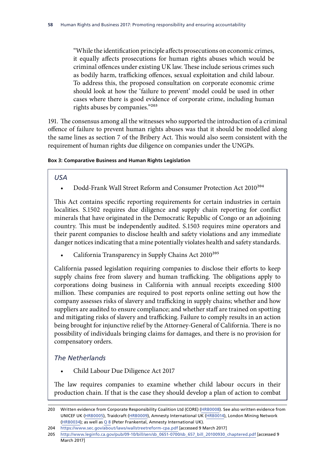"While the identification principle affects prosecutions on economic crimes, it equally affects prosecutions for human rights abuses which would be criminal offences under existing UK law. These include serious crimes such as bodily harm, trafficking offences, sexual exploitation and child labour. To address this, the proposed consultation on corporate economic crime should look at how the 'failure to prevent' model could be used in other cases where there is good evidence of corporate crime, including human rights abuses by companies."203

191. The consensus among all the witnesses who supported the introduction of a criminal offence of failure to prevent human rights abuses was that it should be modelled along the same lines as section 7 of the Bribery Act. This would also seem consistent with the requirement of human rights due diligence on companies under the UNGPs.

### **Box 3: Comparative Business and Human Rights Legislation**

### *USA*

Dodd-Frank Wall Street Reform and Consumer Protection Act 2010<sup>204</sup>

This Act contains specific reporting requirements for certain industries in certain localities. S.1502 requires due diligence and supply chain reporting for conflict minerals that have originated in the Democratic Republic of Congo or an adjoining country. This must be independently audited. S.1503 requires mine operators and their parent companies to disclose health and safety violations and any immediate danger notices indicating that a mine potentially violates health and safety standards.

California Transparency in Supply Chains Act 2010<sup>205</sup>

California passed legislation requiring companies to disclose their efforts to keep supply chains free from slavery and human trafficking. The obligations apply to corporations doing business in California with annual receipts exceeding \$100 million. These companies are required to post reports online setting out how the company assesses risks of slavery and trafficking in supply chains; whether and how suppliers are audited to ensure compliance; and whether staff are trained on spotting and mitigating risks of slavery and trafficking. Failure to comply results in an action being brought for injunctive relief by the Attorney-General of California. There is no possibility of individuals bringing claims for damages, and there is no provision for compensatory orders.

## *The Netherlands*

• Child Labour Due Diligence Act 2017

The law requires companies to examine whether child labour occurs in their production chain. If that is the case they should develop a plan of action to combat

<sup>203</sup> Written evidence from Corporate Responsibility Coalition Ltd (CORE) ([HRB0008](http://data.parliament.uk/writtenevidence/committeeevidence.svc/evidencedocument/human-rights-committee/human-rights-and-business/written/34872.html)). See also written evidence from UNICEF UK ([HRB0005\)](http://data.parliament.uk/writtenevidence/committeeevidence.svc/evidencedocument/human-rights-committee/human-rights-and-business/written/34819.html), Traidcraft ([HRB0009](http://data.parliament.uk/writtenevidence/committeeevidence.svc/evidencedocument/human-rights-committee/human-rights-and-business/written/34889.html)), Amnesty International UK ([HRB0014](http://data.parliament.uk/writtenevidence/committeeevidence.svc/evidencedocument/human-rights-committee/human-rights-and-business/written/34914.html)), London Mining Network [\(HRB0034\)](http://data.parliament.uk/writtenevidence/committeeevidence.svc/evidencedocument/human-rights-committee/human-rights-and-business/written/35281.html); as well as [Q](http://data.parliament.uk/writtenevidence/committeeevidence.svc/evidencedocument/human-rights-committee/human-rights-and-business/oral/35317.html) 8 (Peter Frankental, Amnesty International UK).

<sup>204</sup> <https://www.sec.gov/about/laws/wallstreetreform-cpa.pdf> [accessed 9 March 2017]

<sup>205</sup> [http://www.leginfo.ca.gov/pub/09-10/bill/sen/sb\\_0651-0700/sb\\_657\\_bill\\_20100930\\_chaptered.pdf](http://www.leginfo.ca.gov/pub/09-10/bill/sen/sb_0651-0700/sb_657_bill_20100930_chaptered.pdf) [accessed 9 March 2017]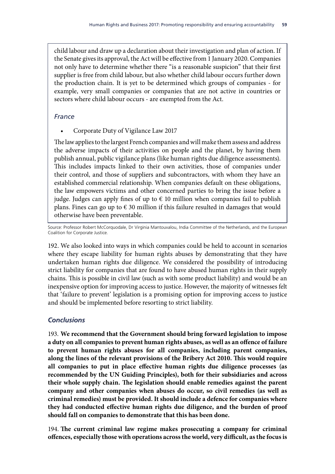child labour and draw up a declaration about their investigation and plan of action. If the Senate gives its approval, the Act will be effective from 1 January 2020. Companies not only have to determine whether there "is a reasonable suspicion" that their first supplier is free from child labour, but also whether child labour occurs further down the production chain. It is yet to be determined which groups of companies - for example, very small companies or companies that are not active in countries or sectors where child labour occurs - are exempted from the Act.

## *France*

• Corporate Duty of Vigilance Law 2017

The law applies to the largest French companies and will make them assess and address the adverse impacts of their activities on people and the planet, by having them publish annual, public vigilance plans (like human rights due diligence assessments). This includes impacts linked to their own activities, those of companies under their control, and those of suppliers and subcontractors, with whom they have an established commercial relationship. When companies default on these obligations, the law empowers victims and other concerned parties to bring the issue before a judge. Judges can apply fines of up to  $\epsilon$  10 million when companies fail to publish plans. Fines can go up to  $\epsilon$  30 million if this failure resulted in damages that would otherwise have been preventable.

Source: Professor Robert McCorquodale, Dr Virginia Mantouvalou, India Committee of the Netherlands, and the European Coalition for Corporate Justice.

192. We also looked into ways in which companies could be held to account in scenarios where they escape liability for human rights abuses by demonstrating that they have undertaken human rights due diligence. We considered the possibility of introducing strict liability for companies that are found to have abused human rights in their supply chains. This is possible in civil law (such as with some product liability) and would be an inexpensive option for improving access to justice. However, the majority of witnesses felt that 'failure to prevent' legislation is a promising option for improving access to justice and should be implemented before resorting to strict liability.

# *Conclusions*

193. **We recommend that the Government should bring forward legislation to impose a duty on all companies to prevent human rights abuses, as well as an offence of failure to prevent human rights abuses for all companies, including parent companies, along the lines of the relevant provisions of the Bribery Act 2010. This would require all companies to put in place effective human rights due diligence processes (as recommended by the UN Guiding Principles), both for their subsidiaries and across their whole supply chain. The legislation should enable remedies against the parent company and other companies when abuses do occur, so civil remedies (as well as criminal remedies) must be provided. It should include a defence for companies where they had conducted effective human rights due diligence, and the burden of proof should fall on companies to demonstrate that this has been done.**

194. **The current criminal law regime makes prosecuting a company for criminal offences, especially those with operations across the world, very difficult, as the focus is**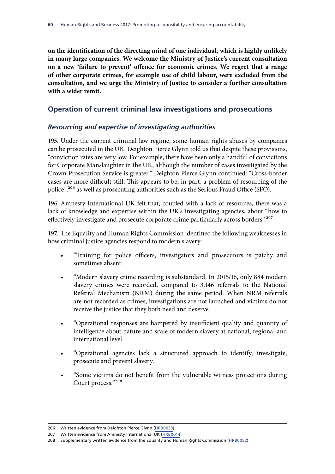**on the identification of the directing mind of one individual, which is highly unlikely in many large companies. We welcome the Ministry of Justice's current consultation on a new 'failure to prevent' offence for economic crimes. We regret that a range of other corporate crimes, for example use of child labour, were excluded from the consultation, and we urge the Ministry of Justice to consider a further consultation with a wider remit.**

## **Operation of current criminal law investigations and prosecutions**

### *Resourcing and expertise of investigating authorities*

195. Under the current criminal law regime, some human rights abuses by companies can be prosecuted in the UK. Deighton Pierce Glynn told us that despite these provisions, "conviction rates are very low. For example, there have been only a handful of convictions for Corporate Manslaughter in the UK, although the number of cases investigated by the Crown Prosecution Service is greater." Deighton Pierce Glynn continued: "Cross-border cases are more difficult still. This appears to be, in part, a problem of resourcing of the police",<sup>206</sup> as well as prosecuting authorities such as the Serious Fraud Office (SFO).

196. Amnesty International UK felt that, coupled with a lack of resources, there was a lack of knowledge and expertise within the UK's investigating agencies, about "how to effectively investigate and prosecute corporate crime particularly across borders".<sup>207</sup>

197. The Equality and Human Rights Commission identified the following weaknesses in how criminal justice agencies respond to modern slavery:

- "Training for police officers, investigators and prosecutors is patchy and sometimes absent.
- "Modern slavery crime recording is substandard. In 2015/16, only 884 modern slavery crimes were recorded, compared to 3,146 referrals to the National Referral Mechanism (NRM) during the same period. When NRM referrals are not recorded as crimes, investigations are not launched and victims do not receive the justice that they both need and deserve.
- "Operational responses are hampered by insufficient quality and quantity of intelligence about nature and scale of modern slavery at national, regional and international level.
- "Operational agencies lack a structured approach to identify, investigate, prosecute and prevent slavery.
- "Some victims do not benefit from the vulnerable witness protections during Court process."208

<sup>206</sup> Written evidence from Deighton Pierce Glynn [\(HRB0033](http://data.parliament.uk/writtenevidence/committeeevidence.svc/evidencedocument/human-rights-committee/human-rights-and-business/written/35152.html))

<sup>207</sup> Written evidence from Amnesty International UK ([HRB0014](http://data.parliament.uk/writtenevidence/committeeevidence.svc/evidencedocument/human-rights-committee/human-rights-and-business/written/34914.html))

<sup>208</sup> Supplementary written evidence from the Equality and Human Rights Commission ([HRB0052](http://data.parliament.uk/writtenevidence/committeeevidence.svc/evidencedocument/human-rights-committee/human-rights-and-business/written/47890.html))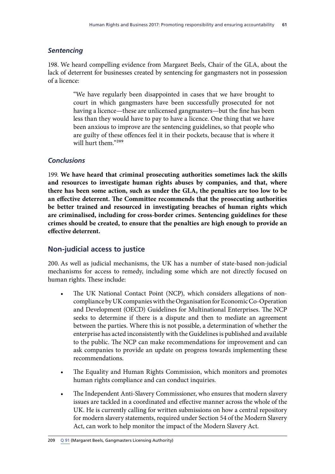## *Sentencing*

198. We heard compelling evidence from Margaret Beels, Chair of the GLA, about the lack of deterrent for businesses created by sentencing for gangmasters not in possession of a licence:

> "We have regularly been disappointed in cases that we have brought to court in which gangmasters have been successfully prosecuted for not having a licence—these are unlicensed gangmasters—but the fine has been less than they would have to pay to have a licence. One thing that we have been anxious to improve are the sentencing guidelines, so that people who are guilty of these offences feel it in their pockets, because that is where it will hurt them."209

## *Conclusions*

199. **We have heard that criminal prosecuting authorities sometimes lack the skills and resources to investigate human rights abuses by companies, and that, where there has been some action, such as under the GLA, the penalties are too low to be an effective deterrent. The Committee recommends that the prosecuting authorities be better trained and resourced in investigating breaches of human rights which are criminalised, including for cross-border crimes. Sentencing guidelines for these crimes should be created, to ensure that the penalties are high enough to provide an effective deterrent.**

# **Non-judicial access to justice**

200. As well as judicial mechanisms, the UK has a number of state-based non-judicial mechanisms for access to remedy, including some which are not directly focused on human rights. These include:

- The UK National Contact Point (NCP), which considers allegations of noncompliance by UK companies with the Organisation for Economic Co-Operation and Development (OECD) Guidelines for Multinational Enterprises. The NCP seeks to determine if there is a dispute and then to mediate an agreement between the parties. Where this is not possible, a determination of whether the enterprise has acted inconsistently with the Guidelines is published and available to the public. The NCP can make recommendations for improvement and can ask companies to provide an update on progress towards implementing these recommendations.
- The Equality and Human Rights Commission, which monitors and promotes human rights compliance and can conduct inquiries.
- The Independent Anti-Slavery Commissioner, who ensures that modern slavery issues are tackled in a coordinated and effective manner across the whole of the UK. He is currently calling for written submissions on how a central repository for modern slavery statements, required under Section 54 of the Modern Slavery Act, can work to help monitor the impact of the Modern Slavery Act.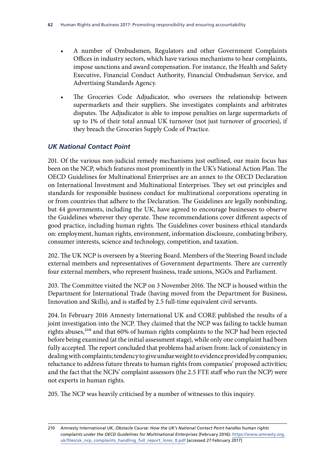- A number of Ombudsmen, Regulators and other Government Complaints Offices in industry sectors, which have various mechanisms to hear complaints, impose sanctions and award compensation. For instance, the Health and Safety Executive, Financial Conduct Authority, Financial Ombudsman Service, and Advertising Standards Agency.
- The Groceries Code Adjudicator, who oversees the relationship between supermarkets and their suppliers. She investigates complaints and arbitrates disputes. The Adjudicator is able to impose penalties on large supermarkets of up to 1% of their total annual UK turnover (not just turnover of groceries), if they breach the Groceries Supply Code of Practice.

## *UK National Contact Point*

201. Of the various non-judicial remedy mechanisms just outlined, our main focus has been on the NCP, which features most prominently in the UK's National Action Plan. The OECD Guidelines for Multinational Enterprises are an annex to the OECD Declaration on International Investment and Multinational Enterprises. They set out principles and standards for responsible business conduct for multinational corporations operating in or from countries that adhere to the Declaration. The Guidelines are legally nonbinding, but 44 governments, including the UK, have agreed to encourage businesses to observe the Guidelines wherever they operate. These recommendations cover different aspects of good practice, including human rights. The Guidelines cover business ethical standards on: employment, human rights, environment, information disclosure, combating bribery, consumer interests, science and technology, competition, and taxation.

202. The UK NCP is overseen by a Steering Board. Members of the Steering Board include external members and representatives of Government departments. There are currently four external members, who represent business, trade unions, NGOs and Parliament.

203. The Committee visited the NCP on 3 November 2016. The NCP is housed within the Department for International Trade (having moved from the Department for Business, Innovation and Skills), and is staffed by 2.5 full-time equivalent civil servants.

204. In February 2016 Amnesty International UK and CORE published the results of a joint investigation into the NCP. They claimed that the NCP was failing to tackle human rights abuses,<sup>210</sup> and that 60% of human rights complaints to the NCP had been rejected before being examined (at the initial assessment stage), while only one complaint had been fully accepted. The report concluded that problems had arisen from: lack of consistency in dealing with complaints; tendency to give undue weight to evidence provided by companies; reluctance to address future threats to human rights from companies' proposed activities; and the fact that the NCPs' complaint assessors (the 2.5 FTE staff who run the NCP) were not experts in human rights.

205. The NCP was heavily criticised by a number of witnesses to this inquiry.

<sup>210</sup> Amnesty International UK, *Obstacle Course: How the UK's National Contact Point handles human rights complaints under the OECD Guidelines for Multinational Enterprises* (February 2016): [https://www.amnesty.org.](https://www.amnesty.org.uk/files/uk_ncp_complaints_handling_full_report_lores_0.pdf) [uk/files/uk\\_ncp\\_complaints\\_handling\\_full\\_report\\_lores\\_0.pdf](https://www.amnesty.org.uk/files/uk_ncp_complaints_handling_full_report_lores_0.pdf) [accessed 27 February 2017]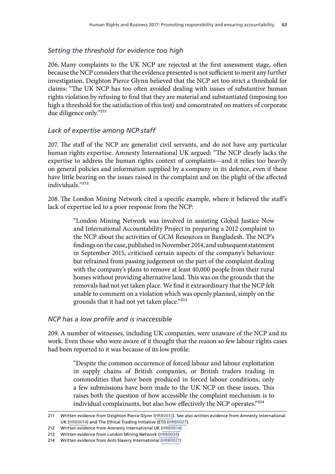### *Setting the threshold for evidence too high*

206. Many complaints to the UK NCP are rejected at the first assessment stage, often because the NCP considers that the evidence presented is not sufficient to merit any further investigation. Deighton Pierce Glynn believed that the NCP set too strict a threshold for claims: "The UK NCP has too often avoided dealing with issues of substantive human rights violation by refusing to find that they are material and substantiated (imposing too high a threshold for the satisfaction of this test) and concentrated on matters of corporate due diligence only."211

### *Lack of expertise among NCP staff*

207. The staff of the NCP are generalist civil servants, and do not have any particular human rights expertise. Amnesty International UK argued: "The NCP clearly lacks the expertise to address the human rights context of complaints—and it relies too heavily on general policies and information supplied by a company in its defence, even if these have little bearing on the issues raised in the complaint and on the plight of the affected individuals."212

208. The London Mining Network cited a specific example, where it believed the staff's lack of expertise led to a poor response from the NCP:

> "London Mining Network was involved in assisting Global Justice Now and International Accountability Project in preparing a 2012 complaint to the NCP about the activities of GCM Resources in Bangladesh. The NCP's findings on the case, published in November 2014, and subsequent statement in September 2015, criticised certain aspects of the company's behaviour but refrained from passing judgement on the part of the complaint dealing with the company's plans to remove at least 40,000 people from their rural homes without providing alternative land. This was on the grounds that the removals had not yet taken place. We find it extraordinary that the NCP felt unable to comment on a violation which was openly planned, simply on the grounds that it had not yet taken place."213

### *NCP has a low profile and is inaccessible*

209. A number of witnesses, including UK companies, were unaware of the NCP and its work. Even those who were aware of it thought that the reason so few labour rights cases had been reported to it was because of its low profile:

> "Despite the common occurrence of forced labour and labour exploitation in supply chains of British companies, or British traders trading in commodities that have been produced in forced labour conditions, only a few submissions have been made to the UK NCP on these issues. This raises both the question of how accessible the complaint mechanism is to individual complainants, but also how effectively the NCP operates."214

<sup>211</sup> Written evidence from Deighton Pierce Glynn [\(HRB0033](http://data.parliament.uk/writtenevidence/committeeevidence.svc/evidencedocument/human-rights-committee/human-rights-and-business/written/35152.html)). See also written evidence from Amnesty International UK ([HRB0014\)](http://data.parliament.uk/writtenevidence/committeeevidence.svc/evidencedocument/human-rights-committee/human-rights-and-business/written/34914.html) and The Ethical Trading Initiative (ETI) ([HRB0027\)](http://data.parliament.uk/writtenevidence/committeeevidence.svc/evidencedocument/human-rights-committee/human-rights-and-business/written/35128.html).

<sup>212</sup> Written evidence from Amnesty International UK ([HRB0014](http://data.parliament.uk/writtenevidence/committeeevidence.svc/evidencedocument/human-rights-committee/human-rights-and-business/written/34914.html))

<sup>213</sup> Written evidence from London Mining Network ([HRB0034\)](http://data.parliament.uk/writtenevidence/committeeevidence.svc/evidencedocument/human-rights-committee/human-rights-and-business/written/35281.html)

<sup>214</sup> Written evidence from Anti-Slavery International ([HRB0021\)](http://data.parliament.uk/writtenevidence/committeeevidence.svc/evidencedocument/human-rights-committee/human-rights-and-business/written/35067.html)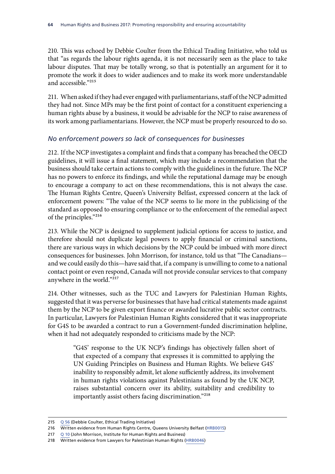210. This was echoed by Debbie Coulter from the Ethical Trading Initiative, who told us that "as regards the labour rights agenda, it is not necessarily seen as the place to take labour disputes. That may be totally wrong, so that is potentially an argument for it to promote the work it does to wider audiences and to make its work more understandable and accessible."215

211. When asked if they had ever engaged with parliamentarians, staff of the NCP admitted they had not. Since MPs may be the first point of contact for a constituent experiencing a human rights abuse by a business, it would be advisable for the NCP to raise awareness of its work among parliamentarians. However, the NCP must be properly resourced to do so.

## *No enforcement powers so lack of consequences for businesses*

212. If the NCP investigates a complaint and finds that a company has breached the OECD guidelines, it will issue a final statement, which may include a recommendation that the business should take certain actions to comply with the guidelines in the future. The NCP has no powers to enforce its findings, and while the reputational damage may be enough to encourage a company to act on these recommendations, this is not always the case. The Human Rights Centre, Queen's University Belfast, expressed concern at the lack of enforcement powers: "The value of the NCP seems to lie more in the publicising of the standard as opposed to ensuring compliance or to the enforcement of the remedial aspect of the principles."216

213. While the NCP is designed to supplement judicial options for access to justice, and therefore should not duplicate legal powers to apply financial or criminal sanctions, there are various ways in which decisions by the NCP could be imbued with more direct consequences for businesses. John Morrison, for instance, told us that "The Canadians and we could easily do this—have said that, if a company is unwilling to come to a national contact point or even respond, Canada will not provide consular services to that company anywhere in the world."217

214. Other witnesses, such as the TUC and Lawyers for Palestinian Human Rights, suggested that it was perverse for businesses that have had critical statements made against them by the NCP to be given export finance or awarded lucrative public sector contracts. In particular, Lawyers for Palestinian Human Rights considered that it was inappropriate for G4S to be awarded a contract to run a Government-funded discrimination helpline, when it had not adequately responded to criticisms made by the NCP:

> "G4S' response to the UK NCP's findings has objectively fallen short of that expected of a company that expresses it is committed to applying the UN Guiding Principles on Business and Human Rights. We believe G4S' inability to responsibly admit, let alone sufficiently address, its involvement in human rights violations against Palestinians as found by the UK NCP, raises substantial concern over its ability, suitability and credibility to importantly assist others facing discrimination."218

<sup>215</sup> Q [56](http://data.parliament.uk/writtenevidence/committeeevidence.svc/evidencedocument/human-rights-committee/human-rights-and-business/oral/43482.html) (Debbie Coulter, Ethical Trading Initiative)

<sup>216</sup> Written evidence from Human Rights Centre, Queens University Belfast [\(HRB0015](http://data.parliament.uk/writtenevidence/committeeevidence.svc/evidencedocument/human-rights-committee/human-rights-and-business/written/34922.html))

<sup>217</sup> Q [10](http://data.parliament.uk/writtenevidence/committeeevidence.svc/evidencedocument/human-rights-committee/human-rights-and-business/oral/35317.html) (John Morrison, Institute for Human Rights and Business)

<sup>218</sup> Written evidence from Lawyers for Palestinian Human Rights [\(HRB0046](http://data.parliament.uk/writtenevidence/committeeevidence.svc/evidencedocument/human-rights-committee/human-rights-and-business/written/43296.html))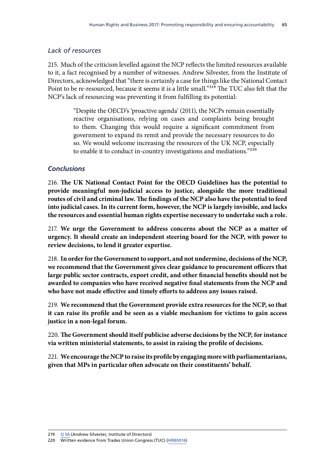# *Lack of resources*

215. Much of the criticism levelled against the NCP reflects the limited resources available to it, a fact recognised by a number of witnesses. Andrew Silvester, from the Institute of Directors, acknowledged that "there is certainly a case for things like the National Contact Point to be re-resourced, because it seems it is a little small."219 The TUC also felt that the NCP's lack of resourcing was preventing it from fulfilling its potential:

> "Despite the OECD's 'proactive agenda' (2011), the NCPs remain essentially reactive organisations, relying on cases and complaints being brought to them. Changing this would require a significant commitment from government to expand its remit and provide the necessary resources to do so. We would welcome increasing the resources of the UK NCP, especially to enable it to conduct in-country investigations and mediations."220

## *Conclusions*

216. **The UK National Contact Point for the OECD Guidelines has the potential to provide meaningful non-judicial access to justice, alongside the more traditional routes of civil and criminal law. The findings of the NCP also have the potential to feed into judicial cases. In its current form, however, the NCP is largely invisible, and lacks the resources and essential human rights expertise necessary to undertake such a role.**

217. **We urge the Government to address concerns about the NCP as a matter of urgency. It should create an independent steering board for the NCP, with power to review decisions, to lend it greater expertise.**

218. **In order for the Government to support, and not undermine, decisions of the NCP, we recommend that the Government gives clear guidance to procurement officers that large public sector contracts, export credit, and other financial benefits should not be awarded to companies who have received negative final statements from the NCP and who have not made effective and timely efforts to address any issues raised.**

219. **We recommend that the Government provide extra resources for the NCP, so that it can raise its profile and be seen as a viable mechanism for victims to gain access justice in a non-legal forum.**

220. **The Government should itself publicise adverse decisions by the NCP, for instance via written ministerial statements, to assist in raising the profile of decisions.**

221. **We encourage the NCP to raise its profile by engaging more with parliamentarians, given that MPs in particular often advocate on their constituents' behalf.**

<sup>219</sup> Q [56](http://data.parliament.uk/writtenevidence/committeeevidence.svc/evidencedocument/human-rights-committee/human-rights-and-business/oral/43482.html) (Andrew Silvester, Institute of Directors)

<sup>220</sup> Written evidence from Trades Union Congress (TUC) [\(HRB0016](http://data.parliament.uk/writtenevidence/committeeevidence.svc/evidencedocument/human-rights-committee/human-rights-and-business/written/34934.html))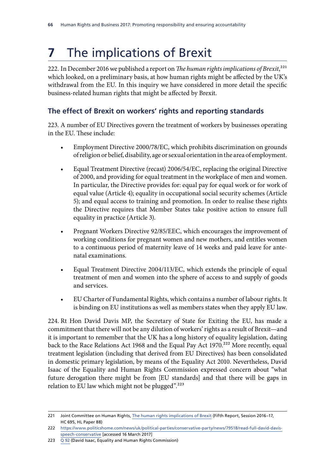# **7** The implications of Brexit

222. In December 2016 we published a report on *The human rights implications of Brexit*,<sup>221</sup> which looked, on a preliminary basis, at how human rights might be affected by the UK's withdrawal from the EU. In this inquiry we have considered in more detail the specific business-related human rights that might be affected by Brexit.

# **The effect of Brexit on workers' rights and reporting standards**

223. A number of EU Directives govern the treatment of workers by businesses operating in the EU. These include:

- Employment Directive 2000/78/EC, which prohibits discrimination on grounds of religion or belief, disability, age or sexual orientation in the area of employment.
- Equal Treatment Directive (recast) 2006/54/EC, replacing the original Directive of 2000, and providing for equal treatment in the workplace of men and women. In particular, the Directive provides for: equal pay for equal work or for work of equal value (Article 4); equality in occupational social security schemes (Article 5); and equal access to training and promotion. In order to realise these rights the Directive requires that Member States take positive action to ensure full equality in practice (Article 3).
- Pregnant Workers Directive 92/85/EEC, which encourages the improvement of working conditions for pregnant women and new mothers, and entitles women to a continuous period of maternity leave of 14 weeks and paid leave for antenatal examinations.
- Equal Treatment Directive 2004/113/EC, which extends the principle of equal treatment of men and women into the sphere of access to and supply of goods and services.
- EU Charter of Fundamental Rights, which contains a number of labour rights. It is binding on EU institutions as well as members states when they apply EU law.

224. Rt Hon David Davis MP, the Secretary of State for Exiting the EU, has made a commitment that there will not be any dilution of workers' rights as a result of Brexit—and it is important to remember that the UK has a long history of equality legislation, dating back to the Race Relations Act 1968 and the Equal Pay Act 1970.<sup>222</sup> More recently, equal treatment legislation (including that derived from EU Directives) has been consolidated in domestic primary legislation, by means of the Equality Act 2010. Nevertheless, David Isaac of the Equality and Human Rights Commission expressed concern about "what future derogation there might be from [EU standards] and that there will be gaps in relation to EU law which might not be plugged". $223$ 

<sup>221</sup> Joint Committee on Human Rights, [The human rights implications of Brexit](https://www.publications.parliament.uk/pa/jt201617/jtselect/jtrights/695/695.pdf) (Fifth Report, Session 2016–17, HC 695, HL Paper 88)

<sup>222</sup> [https://www.politicshome.com/news/uk/political-parties/conservative-party/news/79518/read-full-david-davis](https://www.politicshome.com/news/uk/political-parties/conservative-party/news/79518/read-full-david-davis-speech-conservative)[speech-conservative](https://www.politicshome.com/news/uk/political-parties/conservative-party/news/79518/read-full-david-davis-speech-conservative) [accessed 16 March 2017]

<sup>223</sup> Q [92](http://data.parliament.uk/writtenevidence/committeeevidence.svc/evidencedocument/human-rights-committee/human-rights-and-business/oral/46607.html) (David Isaac, Equality and Human Rights Commission)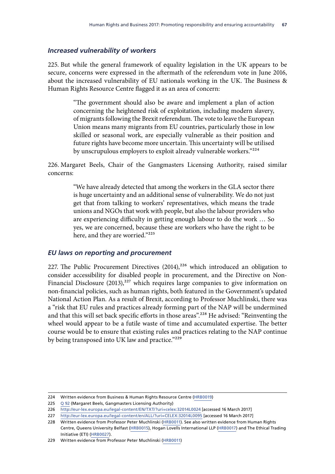## *Increased vulnerability of workers*

225. But while the general framework of equality legislation in the UK appears to be secure, concerns were expressed in the aftermath of the referendum vote in June 2016, about the increased vulnerability of EU nationals working in the UK. The Business & Human Rights Resource Centre flagged it as an area of concern:

> "The government should also be aware and implement a plan of action concerning the heightened risk of exploitation, including modern slavery, of migrants following the Brexit referendum. The vote to leave the European Union means many migrants from EU countries, particularly those in low skilled or seasonal work, are especially vulnerable as their position and future rights have become more uncertain. This uncertainty will be utilised by unscrupulous employers to exploit already vulnerable workers."224

226. Margaret Beels, Chair of the Gangmasters Licensing Authority, raised similar concerns:

> "We have already detected that among the workers in the GLA sector there is huge uncertainty and an additional sense of vulnerability. We do not just get that from talking to workers' representatives, which means the trade unions and NGOs that work with people, but also the labour providers who are experiencing difficulty in getting enough labour to do the work … So yes, we are concerned, because these are workers who have the right to be here, and they are worried."225

### *EU laws on reporting and procurement*

227. The Public Procurement Directives  $(2014),^{226}$  which introduced an obligation to consider accessibility for disabled people in procurement, and the Directive on Non-Financial Disclosure (2013),<sup>227</sup> which requires large companies to give information on non-financial policies, such as human rights, both featured in the Government's updated National Action Plan. As a result of Brexit, according to Professor Muchlinski, there was a "risk that EU rules and practices already forming part of the NAP will be undermined and that this will set back specific efforts in those areas".<sup>228</sup> He advised: "Reinventing the wheel would appear to be a futile waste of time and accumulated expertise. The better course would be to ensure that existing rules and practices relating to the NAP continue by being transposed into UK law and practice."<sup>229</sup>

<sup>224</sup> Written evidence from Business & Human Rights Resource Centre ([HRB0019\)](http://data.parliament.uk/writtenevidence/committeeevidence.svc/evidencedocument/human-rights-committee/human-rights-and-business/written/34977.html)

<sup>225</sup> Q [92](http://data.parliament.uk/writtenevidence/committeeevidence.svc/evidencedocument/human-rights-committee/human-rights-and-business/oral/46607.html) (Margaret Beels, Gangmasters Licensing Authority)

<sup>226</sup> <http://eur-lex.europa.eu/legal-content/EN/TXT/?uri=celex:32014L0024>[accessed 16 March 2017]

<sup>227</sup> <http://eur-lex.europa.eu/legal-content/en/ALL/?uri=CELEX:32014L0095>[accessed 16 March 2017]

<sup>228</sup> Written evidence from Professor Peter Muchlinski ([HRB0011\)](http://data.parliament.uk/writtenevidence/committeeevidence.svc/evidencedocument/human-rights-committee/human-rights-and-business/written/34900.html). See also written evidence from Human Rights Centre, Queens University Belfast ([HRB0015\)](http://data.parliament.uk/writtenevidence/committeeevidence.svc/evidencedocument/human-rights-committee/human-rights-and-business/written/34922.html), Hogan Lovells International LLP ([HRB0017\)](http://data.parliament.uk/writtenevidence/committeeevidence.svc/evidencedocument/human-rights-committee/human-rights-and-business/written/34947.html) and The Ethical Trading Initiative (ETI) ([HRB0027](http://data.parliament.uk/writtenevidence/committeeevidence.svc/evidencedocument/human-rights-committee/human-rights-and-business/written/35128.html)).

<sup>229</sup> Written evidence from Professor Peter Muchlinski ([HRB0011\)](http://data.parliament.uk/writtenevidence/committeeevidence.svc/evidencedocument/human-rights-committee/human-rights-and-business/written/34900.html)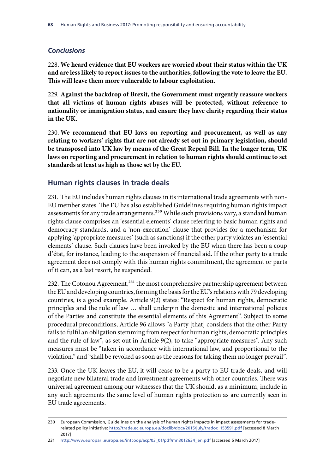## *Conclusions*

228. **We heard evidence that EU workers are worried about their status within the UK and are less likely to report issues to the authorities, following the vote to leave the EU. This will leave them more vulnerable to labour exploitation.**

229. **Against the backdrop of Brexit, the Government must urgently reassure workers that all victims of human rights abuses will be protected, without reference to nationality or immigration status, and ensure they have clarity regarding their status in the UK.**

230. **We recommend that EU laws on reporting and procurement, as well as any relating to workers' rights that are not already set out in primary legislation, should be transposed into UK law by means of the Great Repeal Bill. In the longer term, UK laws on reporting and procurement in relation to human rights should continue to set standards at least as high as those set by the EU.**

## **Human rights clauses in trade deals**

231. The EU includes human rights clauses in its international trade agreements with non-EU member states. The EU has also established Guidelines requiring human rights impact assessments for any trade arrangements.<sup>230</sup> While such provisions vary, a standard human rights clause comprises an 'essential elements' clause referring to basic human rights and democracy standards, and a 'non-execution' clause that provides for a mechanism for applying 'appropriate measures' (such as sanctions) if the other party violates an 'essential elements' clause. Such clauses have been invoked by the EU when there has been a coup d'état, for instance, leading to the suspension of financial aid. If the other party to a trade agreement does not comply with this human rights commitment, the agreement or parts of it can, as a last resort, be suspended.

232. The Cotonou Agreement,<sup>231</sup> the most comprehensive partnership agreement between the EU and developing countries, forming the basis for the EU's relations with 79 developing countries, is a good example. Article 9(2) states: "Respect for human rights, democratic principles and the rule of law … shall underpin the domestic and international policies of the Parties and constitute the essential elements of this Agreement". Subject to some procedural preconditions, Article 96 allows "a Party [that] considers that the other Party fails to fulfil an obligation stemming from respect for human rights, democratic principles and the rule of law", as set out in Article 9(2), to take "appropriate measures". Any such measures must be "taken in accordance with international law, and proportional to the violation," and "shall be revoked as soon as the reasons for taking them no longer prevail".

233. Once the UK leaves the EU, it will cease to be a party to EU trade deals, and will negotiate new bilateral trade and investment agreements with other countries. There was universal agreement among our witnesses that the UK should, as a minimum, include in any such agreements the same level of human rights protection as are currently seen in EU trade agreements.

<sup>230</sup> European Commission, Guidelines on the analysis of human rights impacts in impact assessments for traderelated policy initiative: [http://trade.ec.europa.eu/doclib/docs/2015/july/tradoc\\_153591.pdf](http://trade.ec.europa.eu/doclib/docs/2015/july/tradoc_153591.pdf) [accessed 8 March 2017]

<sup>231</sup> [http://www.europarl.europa.eu/intcoop/acp/03\\_01/pdf/mn3012634\\_en.pdf](http://www.europarl.europa.eu/intcoop/acp/03_01/pdf/mn3012634_en.pdf) [accessed 5 March 2017]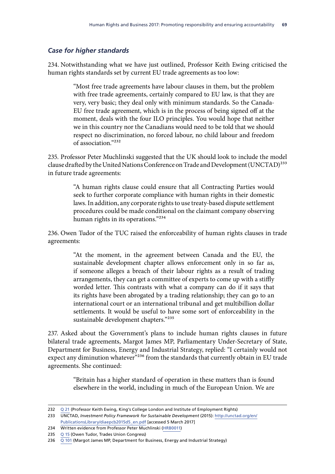#### *Case for higher standards*

234. Notwithstanding what we have just outlined, Professor Keith Ewing criticised the human rights standards set by current EU trade agreements as too low:

> "Most free trade agreements have labour clauses in them, but the problem with free trade agreements, certainly compared to EU law, is that they are very, very basic; they deal only with minimum standards. So the Canada-EU free trade agreement, which is in the process of being signed off at the moment, deals with the four ILO principles. You would hope that neither we in this country nor the Canadians would need to be told that we should respect no discrimination, no forced labour, no child labour and freedom of association."232

235. Professor Peter Muchlinski suggested that the UK should look to include the model clause drafted by the United Nations Conference on Trade and Development (UNCTAD)<sup>233</sup> in future trade agreements:

> "A human rights clause could ensure that all Contracting Parties would seek to further corporate compliance with human rights in their domestic laws. In addition, any corporate rights to use treaty-based dispute settlement procedures could be made conditional on the claimant company observing human rights in its operations."234

236. Owen Tudor of the TUC raised the enforceability of human rights clauses in trade agreements:

> "At the moment, in the agreement between Canada and the EU, the sustainable development chapter allows enforcement only in so far as, if someone alleges a breach of their labour rights as a result of trading arrangements, they can get a committee of experts to come up with a stiffly worded letter. This contrasts with what a company can do if it says that its rights have been abrogated by a trading relationship; they can go to an international court or an international tribunal and get multibillion dollar settlements. It would be useful to have some sort of enforceability in the sustainable development chapters."235

237. Asked about the Government's plans to include human rights clauses in future bilateral trade agreements, Margot James MP, Parliamentary Under-Secretary of State, Department for Business, Energy and Industrial Strategy, replied: "I certainly would not expect any diminution whatever<sup>"236</sup> from the standards that currently obtain in EU trade agreements. She continued:

> "Britain has a higher standard of operation in these matters than is found elsewhere in the world, including in much of the European Union. We are

<sup>232</sup> Q [21](http://data.parliament.uk/writtenevidence/committeeevidence.svc/evidencedocument/human-rights-committee/human-rights-and-business/oral/37802.html) (Professor Keith Ewing, King's College London and Institute of Employment Rights)

<sup>233</sup> UNCTAD, *Investment Policy Framework for Sustainable Development* (2015): [http://unctad.org/en/](http://unctad.org/en/PublicationsLibrary/diaepcb2015d5_en.pdf) [PublicationsLibrary/diaepcb2015d5\\_en.pdf](http://unctad.org/en/PublicationsLibrary/diaepcb2015d5_en.pdf) [accessed 5 March 2017]

<sup>234</sup> Written evidence from Professor Peter Muchlinski ([HRB0011\)](http://data.parliament.uk/writtenevidence/committeeevidence.svc/evidencedocument/human-rights-committee/human-rights-and-business/written/34900.html)

<sup>235</sup> Q [15](http://data.parliament.uk/writtenevidence/committeeevidence.svc/evidencedocument/human-rights-committee/human-rights-and-business/oral/37802.html) (Owen Tudor, Trades Union Congress)

<sup>236</sup>  $\overline{Q}$  [101](http://data.parliament.uk/writtenevidence/committeeevidence.svc/evidencedocument/human-rights-committee/human-rights-and-business/oral/47020.html) (Margot James MP, Department for Business, Energy and Industrial Strategy)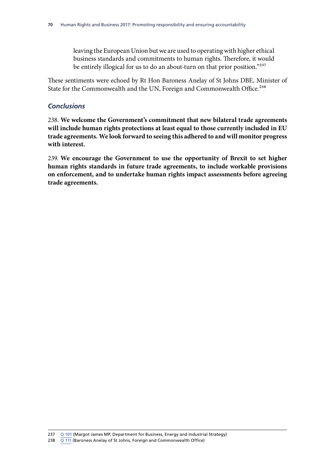leaving the European Union but we are used to operating with higher ethical business standards and commitments to human rights. Therefore, it would be entirely illogical for us to do an about-turn on that prior position."237

These sentiments were echoed by Rt Hon Baroness Anelay of St Johns DBE, Minister of State for the Commonwealth and the UN, Foreign and Commonwealth Office.<sup>238</sup>

#### *Conclusions*

238. **We welcome the Government's commitment that new bilateral trade agreements will include human rights protections at least equal to those currently included in EU trade agreements. We look forward to seeing this adhered to and will monitor progress with interest.**

239. **We encourage the Government to use the opportunity of Brexit to set higher human rights standards in future trade agreements, to include workable provisions on enforcement, and to undertake human rights impact assessments before agreeing trade agreements.**

<sup>237</sup> Q [101](http://data.parliament.uk/writtenevidence/committeeevidence.svc/evidencedocument/human-rights-committee/human-rights-and-business/oral/47020.html) (Margot James MP, Department for Business, Energy and Industrial Strategy)

<sup>238</sup> Q [111](http://data.parliament.uk/writtenevidence/committeeevidence.svc/evidencedocument/human-rights-committee/human-rights-and-business/oral/47020.html) (Baroness Anelay of St Johns, Foreign and Commonwealth Office)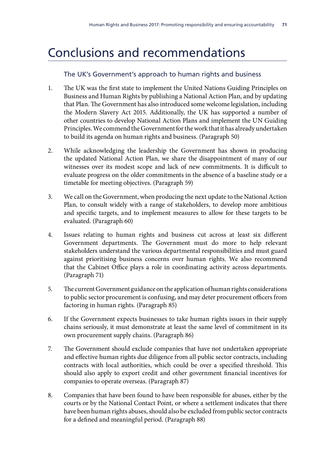## Conclusions and recommendations

## The UK's Government's approach to human rights and business

- 1. The UK was the first state to implement the United Nations Guiding Principles on Business and Human Rights by publishing a National Action Plan, and by updating that Plan. The Government has also introduced some welcome legislation, including the Modern Slavery Act 2015. Additionally, the UK has supported a number of other countries to develop National Action Plans and implement the UN Guiding Principles. We commend the Government for the work that it has already undertaken to build its agenda on human rights and business. (Paragraph 50)
- 2. While acknowledging the leadership the Government has shown in producing the updated National Action Plan, we share the disappointment of many of our witnesses over its modest scope and lack of new commitments. It is difficult to evaluate progress on the older commitments in the absence of a baseline study or a timetable for meeting objectives. (Paragraph 59)
- 3. We call on the Government, when producing the next update to the National Action Plan, to consult widely with a range of stakeholders, to develop more ambitious and specific targets, and to implement measures to allow for these targets to be evaluated. (Paragraph 60)
- 4. Issues relating to human rights and business cut across at least six different Government departments. The Government must do more to help relevant stakeholders understand the various departmental responsibilities and must guard against prioritising business concerns over human rights. We also recommend that the Cabinet Office plays a role in coordinating activity across departments. (Paragraph 71)
- 5. The current Government guidance on the application of human rights considerations to public sector procurement is confusing, and may deter procurement officers from factoring in human rights. (Paragraph 85)
- 6. If the Government expects businesses to take human rights issues in their supply chains seriously, it must demonstrate at least the same level of commitment in its own procurement supply chains. (Paragraph 86)
- 7. The Government should exclude companies that have not undertaken appropriate and effective human rights due diligence from all public sector contracts, including contracts with local authorities, which could be over a specified threshold. This should also apply to export credit and other government financial incentives for companies to operate overseas. (Paragraph 87)
- 8. Companies that have been found to have been responsible for abuses, either by the courts or by the National Contact Point, or where a settlement indicates that there have been human rights abuses, should also be excluded from public sector contracts for a defined and meaningful period. (Paragraph 88)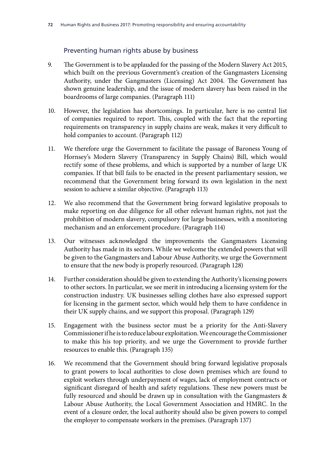### Preventing human rights abuse by business

- 9. The Government is to be applauded for the passing of the Modern Slavery Act 2015, which built on the previous Government's creation of the Gangmasters Licensing Authority, under the Gangmasters (Licensing) Act 2004. The Government has shown genuine leadership, and the issue of modern slavery has been raised in the boardrooms of large companies. (Paragraph 111)
- 10. However, the legislation has shortcomings. In particular, here is no central list of companies required to report. This, coupled with the fact that the reporting requirements on transparency in supply chains are weak, makes it very difficult to hold companies to account. (Paragraph 112)
- 11. We therefore urge the Government to facilitate the passage of Baroness Young of Hornsey's Modern Slavery (Transparency in Supply Chains) Bill, which would rectify some of these problems, and which is supported by a number of large UK companies. If that bill fails to be enacted in the present parliamentary session, we recommend that the Government bring forward its own legislation in the next session to achieve a similar objective. (Paragraph 113)
- 12. We also recommend that the Government bring forward legislative proposals to make reporting on due diligence for all other relevant human rights, not just the prohibition of modern slavery, compulsory for large businesses, with a monitoring mechanism and an enforcement procedure. (Paragraph 114)
- 13. Our witnesses acknowledged the improvements the Gangmasters Licensing Authority has made in its sectors. While we welcome the extended powers that will be given to the Gangmasters and Labour Abuse Authority, we urge the Government to ensure that the new body is properly resourced. (Paragraph 128)
- 14. Further consideration should be given to extending the Authority's licensing powers to other sectors. In particular, we see merit in introducing a licensing system for the construction industry. UK businesses selling clothes have also expressed support for licensing in the garment sector, which would help them to have confidence in their UK supply chains, and we support this proposal. (Paragraph 129)
- 15. Engagement with the business sector must be a priority for the Anti-Slavery Commissioner if he is to reduce labour exploitation. We encourage the Commissioner to make this his top priority, and we urge the Government to provide further resources to enable this. (Paragraph 135)
- 16. We recommend that the Government should bring forward legislative proposals to grant powers to local authorities to close down premises which are found to exploit workers through underpayment of wages, lack of employment contracts or significant disregard of health and safety regulations. These new powers must be fully resourced and should be drawn up in consultation with the Gangmasters & Labour Abuse Authority, the Local Government Association and HMRC. In the event of a closure order, the local authority should also be given powers to compel the employer to compensate workers in the premises. (Paragraph 137)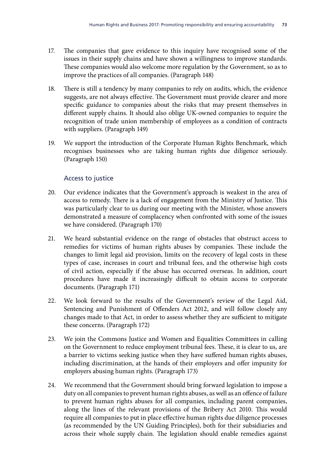- 17. The companies that gave evidence to this inquiry have recognised some of the issues in their supply chains and have shown a willingness to improve standards. These companies would also welcome more regulation by the Government, so as to improve the practices of all companies. (Paragraph 148)
- 18. There is still a tendency by many companies to rely on audits, which, the evidence suggests, are not always effective. The Government must provide clearer and more specific guidance to companies about the risks that may present themselves in different supply chains. It should also oblige UK-owned companies to require the recognition of trade union membership of employees as a condition of contracts with suppliers. (Paragraph 149)
- 19. We support the introduction of the Corporate Human Rights Benchmark, which recognises businesses who are taking human rights due diligence seriously. (Paragraph 150)

### Access to justice

- 20. Our evidence indicates that the Government's approach is weakest in the area of access to remedy. There is a lack of engagement from the Ministry of Justice. This was particularly clear to us during our meeting with the Minister, whose answers demonstrated a measure of complacency when confronted with some of the issues we have considered. (Paragraph 170)
- 21. We heard substantial evidence on the range of obstacles that obstruct access to remedies for victims of human rights abuses by companies. These include the changes to limit legal aid provision, limits on the recovery of legal costs in these types of case, increases in court and tribunal fees, and the otherwise high costs of civil action, especially if the abuse has occurred overseas. In addition, court procedures have made it increasingly difficult to obtain access to corporate documents. (Paragraph 171)
- 22. We look forward to the results of the Government's review of the Legal Aid, Sentencing and Punishment of Offenders Act 2012, and will follow closely any changes made to that Act, in order to assess whether they are sufficient to mitigate these concerns. (Paragraph 172)
- 23. We join the Commons Justice and Women and Equalities Committees in calling on the Government to reduce employment tribunal fees. These, it is clear to us, are a barrier to victims seeking justice when they have suffered human rights abuses, including discrimination, at the hands of their employers and offer impunity for employers abusing human rights. (Paragraph 173)
- 24. We recommend that the Government should bring forward legislation to impose a duty on all companies to prevent human rights abuses, as well as an offence of failure to prevent human rights abuses for all companies, including parent companies, along the lines of the relevant provisions of the Bribery Act 2010. This would require all companies to put in place effective human rights due diligence processes (as recommended by the UN Guiding Principles), both for their subsidiaries and across their whole supply chain. The legislation should enable remedies against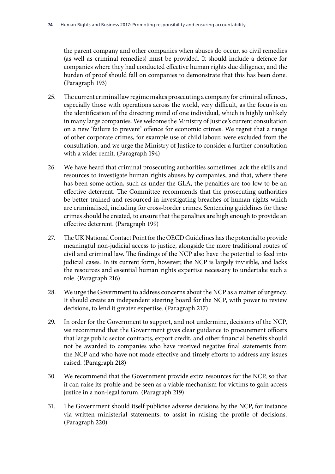the parent company and other companies when abuses do occur, so civil remedies (as well as criminal remedies) must be provided. It should include a defence for companies where they had conducted effective human rights due diligence, and the burden of proof should fall on companies to demonstrate that this has been done. (Paragraph 193)

- 25. The current criminal law regime makes prosecuting a company for criminal offences, especially those with operations across the world, very difficult, as the focus is on the identification of the directing mind of one individual, which is highly unlikely in many large companies. We welcome the Ministry of Justice's current consultation on a new 'failure to prevent' offence for economic crimes. We regret that a range of other corporate crimes, for example use of child labour, were excluded from the consultation, and we urge the Ministry of Justice to consider a further consultation with a wider remit. (Paragraph 194)
- 26. We have heard that criminal prosecuting authorities sometimes lack the skills and resources to investigate human rights abuses by companies, and that, where there has been some action, such as under the GLA, the penalties are too low to be an effective deterrent. The Committee recommends that the prosecuting authorities be better trained and resourced in investigating breaches of human rights which are criminalised, including for cross-border crimes. Sentencing guidelines for these crimes should be created, to ensure that the penalties are high enough to provide an effective deterrent. (Paragraph 199)
- 27. The UK National Contact Point for the OECD Guidelines has the potential to provide meaningful non-judicial access to justice, alongside the more traditional routes of civil and criminal law. The findings of the NCP also have the potential to feed into judicial cases. In its current form, however, the NCP is largely invisible, and lacks the resources and essential human rights expertise necessary to undertake such a role. (Paragraph 216)
- 28. We urge the Government to address concerns about the NCP as a matter of urgency. It should create an independent steering board for the NCP, with power to review decisions, to lend it greater expertise. (Paragraph 217)
- 29. In order for the Government to support, and not undermine, decisions of the NCP, we recommend that the Government gives clear guidance to procurement officers that large public sector contracts, export credit, and other financial benefits should not be awarded to companies who have received negative final statements from the NCP and who have not made effective and timely efforts to address any issues raised. (Paragraph 218)
- 30. We recommend that the Government provide extra resources for the NCP, so that it can raise its profile and be seen as a viable mechanism for victims to gain access justice in a non-legal forum. (Paragraph 219)
- 31. The Government should itself publicise adverse decisions by the NCP, for instance via written ministerial statements, to assist in raising the profile of decisions. (Paragraph 220)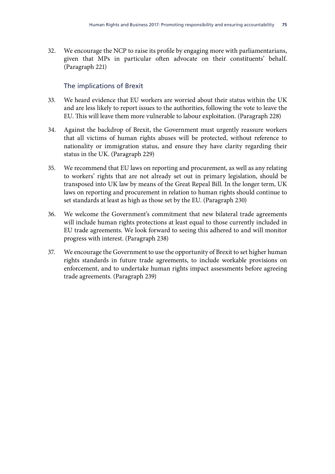32. We encourage the NCP to raise its profile by engaging more with parliamentarians, given that MPs in particular often advocate on their constituents' behalf. (Paragraph 221)

## The implications of Brexit

- 33. We heard evidence that EU workers are worried about their status within the UK and are less likely to report issues to the authorities, following the vote to leave the EU. This will leave them more vulnerable to labour exploitation. (Paragraph 228)
- 34. Against the backdrop of Brexit, the Government must urgently reassure workers that all victims of human rights abuses will be protected, without reference to nationality or immigration status, and ensure they have clarity regarding their status in the UK. (Paragraph 229)
- 35. We recommend that EU laws on reporting and procurement, as well as any relating to workers' rights that are not already set out in primary legislation, should be transposed into UK law by means of the Great Repeal Bill. In the longer term, UK laws on reporting and procurement in relation to human rights should continue to set standards at least as high as those set by the EU. (Paragraph 230)
- 36. We welcome the Government's commitment that new bilateral trade agreements will include human rights protections at least equal to those currently included in EU trade agreements. We look forward to seeing this adhered to and will monitor progress with interest. (Paragraph 238)
- 37. We encourage the Government to use the opportunity of Brexit to set higher human rights standards in future trade agreements, to include workable provisions on enforcement, and to undertake human rights impact assessments before agreeing trade agreements. (Paragraph 239)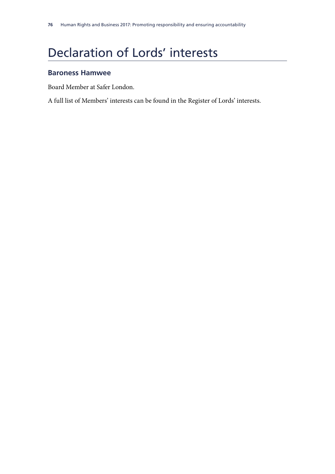# Declaration of Lords' interests

## **Baroness Hamwee**

Board Member at Safer London.

A full list of Members' interests can be found in the Register of Lords' interests.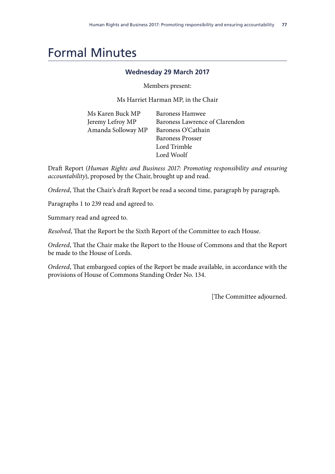## Formal Minutes

### **Wednesday 29 March 2017**

Members present:

Ms Harriet Harman MP, in the Chair

| Ms Karen Buck MP   | Baroness Hamwee                |
|--------------------|--------------------------------|
| Jeremy Lefroy MP   | Baroness Lawrence of Clarendon |
| Amanda Solloway MP | Baroness O'Cathain             |
|                    | <b>Baroness Prosser</b>        |
|                    | Lord Trimble                   |
|                    | Lord Woolf                     |

Draft Report (*Human Rights and Business 2017: Promoting responsibility and ensuring accountability*), proposed by the Chair, brought up and read.

*Ordered*, That the Chair's draft Report be read a second time, paragraph by paragraph.

Paragraphs 1 to 239 read and agreed to.

Summary read and agreed to.

*Resolved*, That the Report be the Sixth Report of the Committee to each House.

*Ordered*, That the Chair make the Report to the House of Commons and that the Report be made to the House of Lords.

*Ordered*, That embargoed copies of the Report be made available, in accordance with the provisions of House of Commons Standing Order No. 134.

[The Committee adjourned.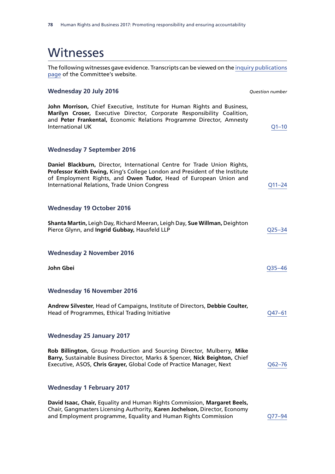The following witnesses gave evidence. Transcripts can be viewed on the [inquiry publications](http://www.parliament.uk/business/committees/committees-a-z/joint-select/human-rights-committee/inquiries/parliament-2015/inquiry/publications/) [page](http://www.parliament.uk/business/committees/committees-a-z/joint-select/human-rights-committee/inquiries/parliament-2015/inquiry/publications/) of the Committee's website.

#### **Wednesday 20 July 2016** *Question number*

**John Morrison,** Chief Executive, Institute for Human Rights and Business, **Marilyn Croser,** Executive Director, Corporate Responsibility Coalition, and **Peter Frankental,** Economic Relations Programme Director, Amnesty International UK [Q1–10](http://data.parliament.uk/writtenevidence/committeeevidence.svc/evidencedocument/human-rights-committee/human-rights-and-business-2017-promoting-responsibility-and-ensuring-accountability/oral/35317.html)

#### **Wednesday 7 September 2016**

**Daniel Blackburn,** Director, International Centre for Trade Union Rights, **Professor Keith Ewing,** King's College London and President of the Institute of Employment Rights, and **Owen Tudor,** Head of European Union and International Relations, Trade Union Congress [Q11–24](http://data.parliament.uk/writtenevidence/committeeevidence.svc/evidencedocument/human-rights-committee/human-rights-and-business-2017-promoting-responsibility-and-ensuring-accountability/oral/37802.html)

#### **Wednesday 19 October 2016**

| Shanta Martin, Leigh Day, Richard Meeran, Leigh Day, Sue Willman, Deighton |                    |
|----------------------------------------------------------------------------|--------------------|
| Pierce Glynn, and Ingrid Gubbay, Hausfeld LLP                              | O <sub>25–34</sub> |

#### **Wednesday 2 November 2016**

| John Gbei                                                                                                                      | O <sub>35–46</sub> |
|--------------------------------------------------------------------------------------------------------------------------------|--------------------|
| <b>Wednesday 16 November 2016</b>                                                                                              |                    |
| Andrew Silvester, Head of Campaigns, Institute of Directors, Debbie Coulter,<br>Head of Programmes, Ethical Trading Initiative | 047–61             |

#### **Wednesday 25 January 2017**

| Rob Billington, Group Production and Sourcing Director, Mulberry, Mike                 |            |
|----------------------------------------------------------------------------------------|------------|
| <b>Barry, Sustainable Business Director, Marks &amp; Spencer, Nick Beighton, Chief</b> |            |
| Executive, ASOS, Chris Grayer, Global Code of Practice Manager, Next                   | $Q62 - 76$ |

#### **Wednesday 1 February 2017**

**David Isaac, Chair,** Equality and Human Rights Commission, **Margaret Beels,**  Chair, Gangmasters Licensing Authority, **Karen Jochelson,** Director, Economy and Employment programme, Equality and Human Rights Commission [Q77–94](http://data.parliament.uk/writtenevidence/committeeevidence.svc/evidencedocument/human-rights-committee/human-rights-and-business-2017-promoting-responsibility-and-ensuring-accountability/oral/46607.html)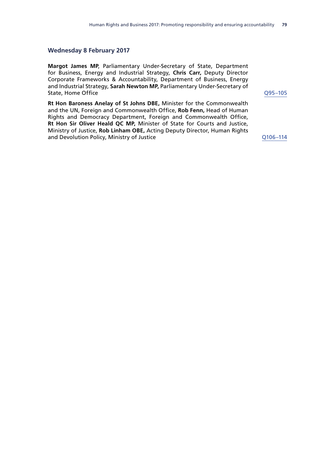#### **Wednesday 8 February 2017**

**Margot James MP**, Parliamentary Under-Secretary of State, Department for Business, Energy and Industrial Strategy, **Chris Carr,** Deputy Director Corporate Frameworks & Accountability, Department of Business, Energy and Industrial Strategy, **Sarah Newton MP,** Parliamentary Under-Secretary of State, Home Office **Contract Contract Contract Contract Contract Contract Contract Contract Contract Contract Contract Contract Contract Contract Contract Contract Contract Contract Contract Contract Contract Contract Cont** 

**Rt Hon Baroness Anelay of St Johns DBE,** Minister for the Commonwealth and the UN, Foreign and Commonwealth Office, **Rob Fenn,** Head of Human Rights and Democracy Department, Foreign and Commonwealth Office, **Rt Hon Sir Oliver Heald QC MP,** Minister of State for Courts and Justice, Ministry of Justice, **Rob Linham OBE,** Acting Deputy Director, Human Rights and Devolution Policy, Ministry of Justice Changes Contained Australian Contained Australian Contained Australia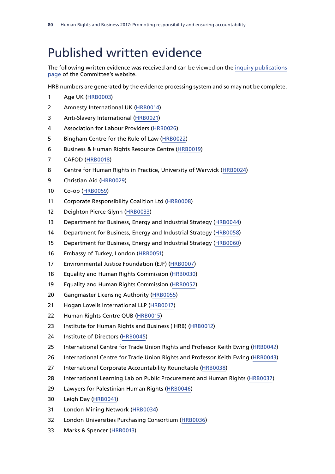## Published written evidence

The following written evidence was received and can be viewed on the [inquiry publications](http://www.parliament.uk/business/committees/committees-a-z/joint-select/human-rights-committee/inquiries/parliament-2015/inquiry/publications/) [page](http://www.parliament.uk/business/committees/committees-a-z/joint-select/human-rights-committee/inquiries/parliament-2015/inquiry/publications/) of the Committee's website.

HRB numbers are generated by the evidence processing system and so may not be complete.

- Age UK [\(HRB0003](http://data.parliament.uk/WrittenEvidence/CommitteeEvidence.svc/EvidenceDocument/Human%20Rights%20Joint%20Committee/Human%20Rights%20and%20Business%202017%20Promoting%20responsibility%20and%20ensuring%20accountability/written/34733.html))
- Amnesty International UK ([HRB0014](http://data.parliament.uk/WrittenEvidence/CommitteeEvidence.svc/EvidenceDocument/Human%20Rights%20Joint%20Committee/Human%20Rights%20and%20Business%202017%20Promoting%20responsibility%20and%20ensuring%20accountability/written/34914.html))
- Anti-Slavery International [\(HRB0021](http://data.parliament.uk/WrittenEvidence/CommitteeEvidence.svc/EvidenceDocument/Human%20Rights%20Joint%20Committee/Human%20Rights%20and%20Business%202017%20Promoting%20responsibility%20and%20ensuring%20accountability/written/35067.html))
- Association for Labour Providers [\(HRB0026](http://data.parliament.uk/WrittenEvidence/CommitteeEvidence.svc/EvidenceDocument/Human%20Rights%20Joint%20Committee/Human%20Rights%20and%20Business%202017%20Promoting%20responsibility%20and%20ensuring%20accountability/written/35127.html))
- Bingham Centre for the Rule of Law [\(HRB0022](http://data.parliament.uk/WrittenEvidence/CommitteeEvidence.svc/EvidenceDocument/Human%20Rights%20Joint%20Committee/Human%20Rights%20and%20Business%202017%20Promoting%20responsibility%20and%20ensuring%20accountability/written/35076.html))
- Business & Human Rights Resource Centre ([HRB0019\)](http://data.parliament.uk/WrittenEvidence/CommitteeEvidence.svc/EvidenceDocument/Human%20Rights%20Joint%20Committee/Human%20Rights%20and%20Business%202017%20Promoting%20responsibility%20and%20ensuring%20accountability/written/34977.html)
- CAFOD [\(HRB0018](http://data.parliament.uk/WrittenEvidence/CommitteeEvidence.svc/EvidenceDocument/Human%20Rights%20Joint%20Committee/Human%20Rights%20and%20Business%202017%20Promoting%20responsibility%20and%20ensuring%20accountability/written/34966.html))
- Centre for Human Rights in Practice, University of Warwick [\(HRB0024](http://data.parliament.uk/WrittenEvidence/CommitteeEvidence.svc/EvidenceDocument/Human%20Rights%20Joint%20Committee/Human%20Rights%20and%20Business%202017%20Promoting%20responsibility%20and%20ensuring%20accountability/written/35109.html))
- Christian Aid ([HRB0029\)](http://data.parliament.uk/WrittenEvidence/CommitteeEvidence.svc/EvidenceDocument/Human%20Rights%20Joint%20Committee/Human%20Rights%20and%20Business%202017%20Promoting%20responsibility%20and%20ensuring%20accountability/written/35133.html)
- Co-op [\(HRB0059](http://data.parliament.uk/writtenevidence/committeeevidence.svc/evidencedocument/human-rights-committee/human-rights-and-business-2017-promoting-responsibility-and-ensuring-accountability/written/48866.html))
- Corporate Responsibility Coalition Ltd ([HRB0008](http://data.parliament.uk/WrittenEvidence/CommitteeEvidence.svc/EvidenceDocument/Human%20Rights%20Joint%20Committee/Human%20Rights%20and%20Business%202017%20Promoting%20responsibility%20and%20ensuring%20accountability/written/34872.html))
- Deighton Pierce Glynn [\(HRB0033](http://data.parliament.uk/WrittenEvidence/CommitteeEvidence.svc/EvidenceDocument/Human%20Rights%20Joint%20Committee/Human%20Rights%20and%20Business%202017%20Promoting%20responsibility%20and%20ensuring%20accountability/written/35152.html))
- Department for Business, Energy and Industrial Strategy ([HRB0044](http://data.parliament.uk/WrittenEvidence/CommitteeEvidence.svc/EvidenceDocument/Human%20Rights%20Joint%20Committee/Human%20Rights%20and%20Business%202017%20Promoting%20responsibility%20and%20ensuring%20accountability/written/38017.html))
- Department for Business, Energy and Industrial Strategy ([HRB0058\)](http://data.parliament.uk/WrittenEvidence/CommitteeEvidence.svc/EvidenceDocument/Human%20Rights%20Joint%20Committee/Human%20Rights%20and%20Business%202017%20Promoting%20responsibility%20and%20ensuring%20accountability/written/48760.html)
- Department for Business, Energy and Industrial Strategy ([HRB0060](http://data.parliament.uk/WrittenEvidence/CommitteeEvidence.svc/EvidenceDocument/Human%20Rights%20Joint%20Committee/Human%20Rights%20and%20Business%202017%20Promoting%20responsibility%20and%20ensuring%20accountability/written/49234.html))
- Embassy of Turkey, London [\(HRB0051](http://data.parliament.uk/WrittenEvidence/CommitteeEvidence.svc/EvidenceDocument/Human%20Rights%20Joint%20Committee/Human%20Rights%20and%20Business%202017%20Promoting%20responsibility%20and%20ensuring%20accountability/written/47485.html))
- Environmental Justice Foundation (EJF) ([HRB0007](http://data.parliament.uk/WrittenEvidence/CommitteeEvidence.svc/EvidenceDocument/Human%20Rights%20Joint%20Committee/Human%20Rights%20and%20Business%202017%20Promoting%20responsibility%20and%20ensuring%20accountability/written/34839.html))
- Equality and Human Rights Commission [\(HRB0030\)](http://data.parliament.uk/WrittenEvidence/CommitteeEvidence.svc/EvidenceDocument/Human%20Rights%20Joint%20Committee/Human%20Rights%20and%20Business%202017%20Promoting%20responsibility%20and%20ensuring%20accountability/written/35138.html)
- Equality and Human Rights Commission [\(HRB0052](http://data.parliament.uk/WrittenEvidence/CommitteeEvidence.svc/EvidenceDocument/Human%20Rights%20Joint%20Committee/Human%20Rights%20and%20Business%202017%20Promoting%20responsibility%20and%20ensuring%20accountability/written/47890.html))
- Gangmaster Licensing Authority ([HRB0055\)](http://data.parliament.uk/WrittenEvidence/CommitteeEvidence.svc/EvidenceDocument/Human%20Rights%20Joint%20Committee/Human%20Rights%20and%20Business%202017%20Promoting%20responsibility%20and%20ensuring%20accountability/written/48417.html)
- 21 Hogan Lovells International LLP [\(HRB0017\)](http://data.parliament.uk/WrittenEvidence/CommitteeEvidence.svc/EvidenceDocument/Human%20Rights%20Joint%20Committee/Human%20Rights%20and%20Business%202017%20Promoting%20responsibility%20and%20ensuring%20accountability/written/34947.html)
- Human Rights Centre QUB [\(HRB0015\)](http://data.parliament.uk/WrittenEvidence/CommitteeEvidence.svc/EvidenceDocument/Human%20Rights%20Joint%20Committee/Human%20Rights%20and%20Business%202017%20Promoting%20responsibility%20and%20ensuring%20accountability/written/34922.html)
- Institute for Human Rights and Business (IHRB) ([HRB0012](http://data.parliament.uk/WrittenEvidence/CommitteeEvidence.svc/EvidenceDocument/Human%20Rights%20Joint%20Committee/Human%20Rights%20and%20Business%202017%20Promoting%20responsibility%20and%20ensuring%20accountability/written/34907.html))
- Institute of Directors [\(HRB0045\)](http://data.parliament.uk/WrittenEvidence/CommitteeEvidence.svc/EvidenceDocument/Human%20Rights%20Joint%20Committee/Human%20Rights%20and%20Business%202017%20Promoting%20responsibility%20and%20ensuring%20accountability/written/43293.html)
- International Centre for Trade Union Rights and Professor Keith Ewing [\(HRB0042\)](http://data.parliament.uk/WrittenEvidence/CommitteeEvidence.svc/EvidenceDocument/Human%20Rights%20Joint%20Committee/Human%20Rights%20and%20Business%202017%20Promoting%20responsibility%20and%20ensuring%20accountability/written/37017.html)
- International Centre for Trade Union Rights and Professor Keith Ewing [\(HRB0043](http://data.parliament.uk/WrittenEvidence/CommitteeEvidence.svc/EvidenceDocument/Human%20Rights%20Joint%20Committee/Human%20Rights%20and%20Business%202017%20Promoting%20responsibility%20and%20ensuring%20accountability/written/37834.html))
- International Corporate Accountability Roundtable ([HRB0038](http://data.parliament.uk/WrittenEvidence/CommitteeEvidence.svc/EvidenceDocument/Human%20Rights%20Joint%20Committee/Human%20Rights%20and%20Business%202017%20Promoting%20responsibility%20and%20ensuring%20accountability/written/36097.html))
- 28 International Learning Lab on Public Procurement and Human Rights [\(HRB0037\)](http://data.parliament.uk/WrittenEvidence/CommitteeEvidence.svc/EvidenceDocument/Human%20Rights%20Joint%20Committee/Human%20Rights%20and%20Business%202017%20Promoting%20responsibility%20and%20ensuring%20accountability/written/36069.html)
- Lawyers for Palestinian Human Rights [\(HRB0046](http://data.parliament.uk/WrittenEvidence/CommitteeEvidence.svc/EvidenceDocument/Human%20Rights%20Joint%20Committee/Human%20Rights%20and%20Business%202017%20Promoting%20responsibility%20and%20ensuring%20accountability/written/43296.html))
- Leigh Day ([HRB0041](http://data.parliament.uk/WrittenEvidence/CommitteeEvidence.svc/EvidenceDocument/Human%20Rights%20Joint%20Committee/Human%20Rights%20and%20Business%202017%20Promoting%20responsibility%20and%20ensuring%20accountability/written/36641.html))
- London Mining Network [\(HRB0034](http://data.parliament.uk/WrittenEvidence/CommitteeEvidence.svc/EvidenceDocument/Human%20Rights%20Joint%20Committee/Human%20Rights%20and%20Business%202017%20Promoting%20responsibility%20and%20ensuring%20accountability/written/35281.html))
- London Universities Purchasing Consortium ([HRB0036\)](http://data.parliament.uk/WrittenEvidence/CommitteeEvidence.svc/EvidenceDocument/Human%20Rights%20Joint%20Committee/Human%20Rights%20and%20Business%202017%20Promoting%20responsibility%20and%20ensuring%20accountability/written/36046.html)
- Marks & Spencer [\(HRB0013](http://data.parliament.uk/WrittenEvidence/CommitteeEvidence.svc/EvidenceDocument/Human%20Rights%20Joint%20Committee/Human%20Rights%20and%20Business%202017%20Promoting%20responsibility%20and%20ensuring%20accountability/written/34910.html))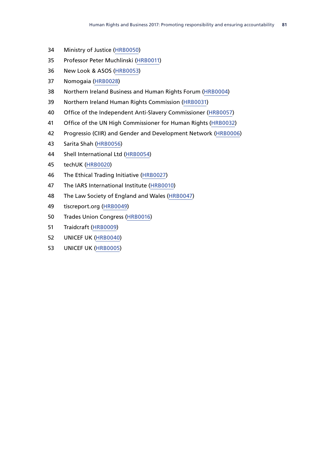- Ministry of Justice [\(HRB0050\)](http://data.parliament.uk/WrittenEvidence/CommitteeEvidence.svc/EvidenceDocument/Human%20Rights%20Joint%20Committee/Human%20Rights%20and%20Business%202017%20Promoting%20responsibility%20and%20ensuring%20accountability/written/47481.html)
- Professor Peter Muchlinski [\(HRB0011\)](http://data.parliament.uk/WrittenEvidence/CommitteeEvidence.svc/EvidenceDocument/Human%20Rights%20Joint%20Committee/Human%20Rights%20and%20Business%202017%20Promoting%20responsibility%20and%20ensuring%20accountability/written/34900.html)
- New Look & ASOS ([HRB0053\)](http://data.parliament.uk/WrittenEvidence/CommitteeEvidence.svc/EvidenceDocument/Human%20Rights%20Joint%20Committee/Human%20Rights%20and%20Business%202017%20Promoting%20responsibility%20and%20ensuring%20accountability/written/48216.html)
- Nomogaia [\(HRB0028](http://data.parliament.uk/WrittenEvidence/CommitteeEvidence.svc/EvidenceDocument/Human%20Rights%20Joint%20Committee/Human%20Rights%20and%20Business%202017%20Promoting%20responsibility%20and%20ensuring%20accountability/written/35131.html))
- Northern Ireland Business and Human Rights Forum [\(HRB0004](http://data.parliament.uk/WrittenEvidence/CommitteeEvidence.svc/EvidenceDocument/Human%20Rights%20Joint%20Committee/Human%20Rights%20and%20Business%202017%20Promoting%20responsibility%20and%20ensuring%20accountability/written/34817.html))
- Northern Ireland Human Rights Commission ([HRB0031](http://data.parliament.uk/WrittenEvidence/CommitteeEvidence.svc/EvidenceDocument/Human%20Rights%20Joint%20Committee/Human%20Rights%20and%20Business%202017%20Promoting%20responsibility%20and%20ensuring%20accountability/written/35141.html))
- Office of the Independent Anti-Slavery Commissioner ([HRB0057](http://data.parliament.uk/WrittenEvidence/CommitteeEvidence.svc/EvidenceDocument/Human%20Rights%20Joint%20Committee/Human%20Rights%20and%20Business%202017%20Promoting%20responsibility%20and%20ensuring%20accountability/written/48548.html))
- Office of the UN High Commissioner for Human Rights [\(HRB0032](http://data.parliament.uk/WrittenEvidence/CommitteeEvidence.svc/EvidenceDocument/Human%20Rights%20Joint%20Committee/Human%20Rights%20and%20Business%202017%20Promoting%20responsibility%20and%20ensuring%20accountability/written/35142.html))
- Progressio (CIIR) and Gender and Development Network ([HRB0006](http://data.parliament.uk/WrittenEvidence/CommitteeEvidence.svc/EvidenceDocument/Human%20Rights%20Joint%20Committee/Human%20Rights%20and%20Business%202017%20Promoting%20responsibility%20and%20ensuring%20accountability/written/34821.html))
- Sarita Shah [\(HRB0056](http://data.parliament.uk/WrittenEvidence/CommitteeEvidence.svc/EvidenceDocument/Human%20Rights%20Joint%20Committee/Human%20Rights%20and%20Business%202017%20Promoting%20responsibility%20and%20ensuring%20accountability/written/48474.html))
- Shell International Ltd [\(HRB0054\)](http://data.parliament.uk/WrittenEvidence/CommitteeEvidence.svc/EvidenceDocument/Human%20Rights%20Joint%20Committee/Human%20Rights%20and%20Business%202017%20Promoting%20responsibility%20and%20ensuring%20accountability/written/48412.html)
- techUK [\(HRB0020\)](http://data.parliament.uk/WrittenEvidence/CommitteeEvidence.svc/EvidenceDocument/Human%20Rights%20Joint%20Committee/Human%20Rights%20and%20Business%202017%20Promoting%20responsibility%20and%20ensuring%20accountability/written/35047.html)
- The Ethical Trading Initiative ([HRB0027\)](http://data.parliament.uk/WrittenEvidence/CommitteeEvidence.svc/EvidenceDocument/Human%20Rights%20Joint%20Committee/Human%20Rights%20and%20Business%202017%20Promoting%20responsibility%20and%20ensuring%20accountability/written/35128.html)
- The IARS International Institute [\(HRB0010\)](http://data.parliament.uk/WrittenEvidence/CommitteeEvidence.svc/EvidenceDocument/Human%20Rights%20Joint%20Committee/Human%20Rights%20and%20Business%202017%20Promoting%20responsibility%20and%20ensuring%20accountability/written/34890.html)
- The Law Society of England and Wales ([HRB0047](http://data.parliament.uk/WrittenEvidence/CommitteeEvidence.svc/EvidenceDocument/Human%20Rights%20Joint%20Committee/Human%20Rights%20and%20Business%202017%20Promoting%20responsibility%20and%20ensuring%20accountability/written/44152.html))
- tiscreport.org ([HRB0049](http://data.parliament.uk/WrittenEvidence/CommitteeEvidence.svc/EvidenceDocument/Human%20Rights%20Joint%20Committee/Human%20Rights%20and%20Business%202017%20Promoting%20responsibility%20and%20ensuring%20accountability/written/47029.html))
- Trades Union Congress ([HRB0016](http://data.parliament.uk/WrittenEvidence/CommitteeEvidence.svc/EvidenceDocument/Human%20Rights%20Joint%20Committee/Human%20Rights%20and%20Business%202017%20Promoting%20responsibility%20and%20ensuring%20accountability/written/34934.html))
- Traidcraft ([HRB0009](http://data.parliament.uk/WrittenEvidence/CommitteeEvidence.svc/EvidenceDocument/Human%20Rights%20Joint%20Committee/Human%20Rights%20and%20Business%202017%20Promoting%20responsibility%20and%20ensuring%20accountability/written/34889.html))
- UNICEF UK [\(HRB0040](http://data.parliament.uk/WrittenEvidence/CommitteeEvidence.svc/EvidenceDocument/Human%20Rights%20Joint%20Committee/Human%20Rights%20and%20Business%202017%20Promoting%20responsibility%20and%20ensuring%20accountability/written/36579.html))
- UNICEF UK [\(HRB0005\)](http://data.parliament.uk/WrittenEvidence/CommitteeEvidence.svc/EvidenceDocument/Human%20Rights%20Joint%20Committee/Human%20Rights%20and%20Business%202017%20Promoting%20responsibility%20and%20ensuring%20accountability/written/34819.html)